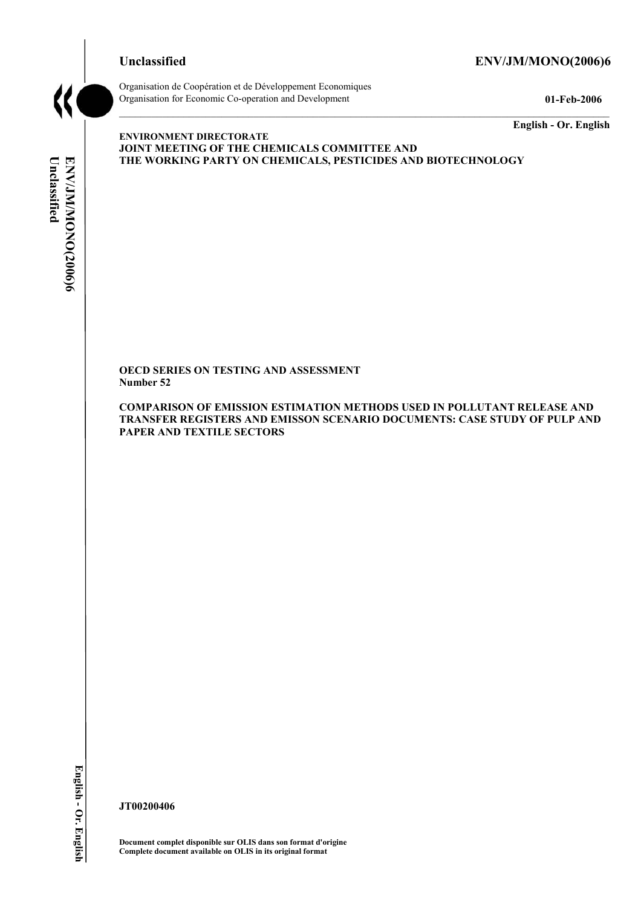## **Unclassified ENV/JM/MONO(2006)6**



Organisation de Coopération et de Développement Economiques Organisation for Economic Co-operation and Development **01-Feb-2006** 

**English - Or. English** 

**ENVIRONMENT DIRECTORATE JOINT MEETING OF THE CHEMICALS COMMITTEE AND THE WORKING PARTY ON CHEMICALS, PESTICIDES AND BIOTECHNOLOGY** 

**OECD SERIES ON TESTING AND ASSESSMENT Number 52** 

**COMPARISON OF EMISSION ESTIMATION METHODS USED IN POLLUTANT RELEASE AND TRANSFER REGISTERS AND EMISSON SCENARIO DOCUMENTS: CASE STUDY OF PULP AND PAPER AND TEXTILE SECTORS** 

English - Or. English

**JT00200406** 

**Document complet disponible sur OLIS dans son format d'origine Complete document available on OLIS in its original format**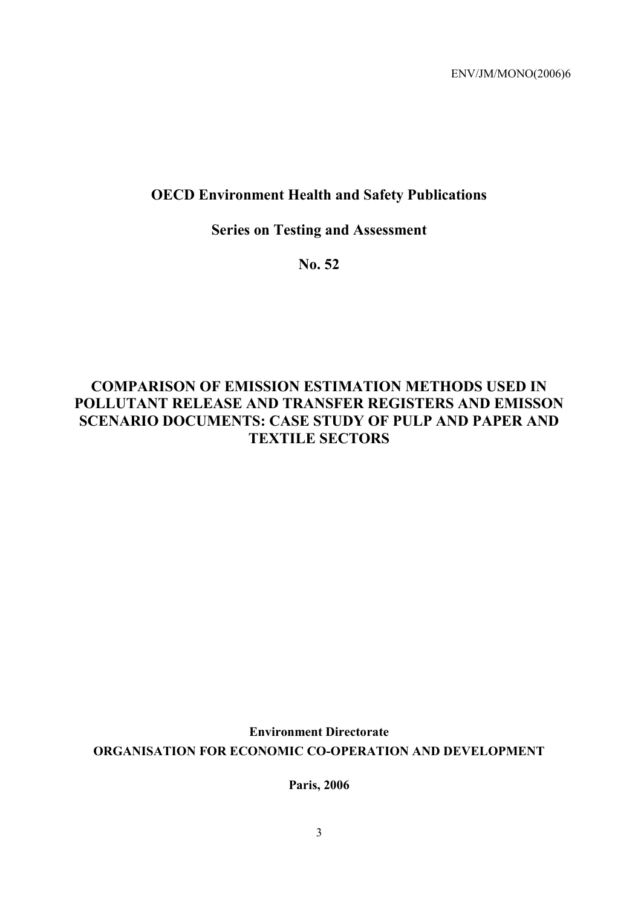# **OECD Environment Health and Safety Publications**

# **Series on Testing and Assessment**

**No. 52** 

# **COMPARISON OF EMISSION ESTIMATION METHODS USED IN POLLUTANT RELEASE AND TRANSFER REGISTERS AND EMISSON SCENARIO DOCUMENTS: CASE STUDY OF PULP AND PAPER AND TEXTILE SECTORS**

**Environment Directorate ORGANISATION FOR ECONOMIC CO-OPERATION AND DEVELOPMENT** 

**Paris, 2006**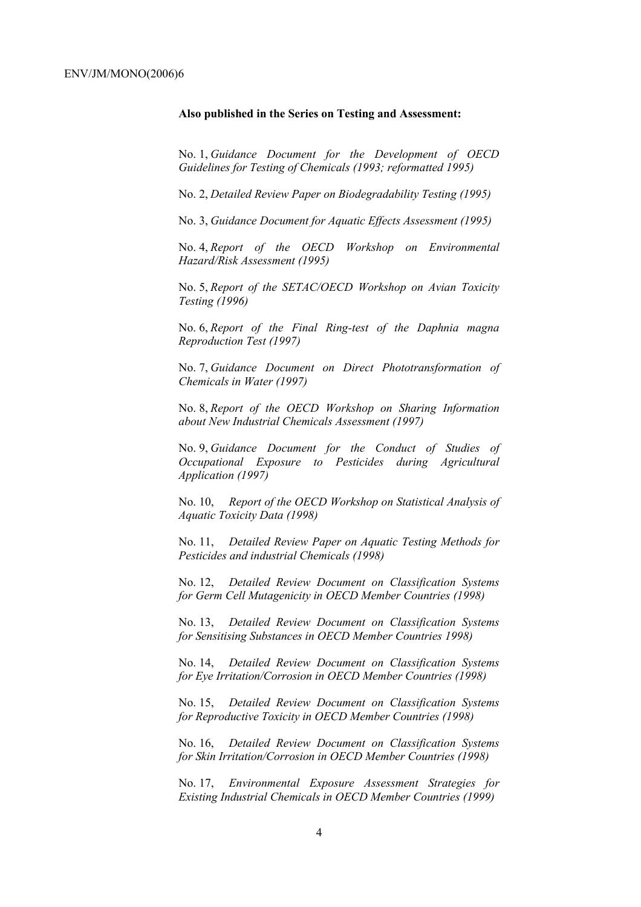#### **Also published in the Series on Testing and Assessment:**

No. 1, *Guidance Document for the Development of OECD Guidelines for Testing of Chemicals (1993; reformatted 1995)*

No. 2, *Detailed Review Paper on Biodegradability Testing (1995)*

No. 3, *Guidance Document for Aquatic Effects Assessment (1995)* 

No. 4, *Report of the OECD Workshop on Environmental Hazard/Risk Assessment (1995)*

No. 5, *Report of the SETAC/OECD Workshop on Avian Toxicity Testing (1996)*

No. 6, *Report of the Final Ring-test of the Daphnia magna Reproduction Test (1997)*

No. 7, *Guidance Document on Direct Phototransformation of Chemicals in Water (1997)* 

No. 8, *Report of the OECD Workshop on Sharing Information about New Industrial Chemicals Assessment (1997)*

No. 9, *Guidance Document for the Conduct of Studies of Occupational Exposure to Pesticides during Agricultural Application (1997)*

No. 10, *Report of the OECD Workshop on Statistical Analysis of Aquatic Toxicity Data (1998)*

No. 11, *Detailed Review Paper on Aquatic Testing Methods for Pesticides and industrial Chemicals (1998)*

No. 12, *Detailed Review Document on Classification Systems for Germ Cell Mutagenicity in OECD Member Countries (1998)*

No. 13, *Detailed Review Document on Classification Systems for Sensitising Substances in OECD Member Countries 1998)*

No. 14, *Detailed Review Document on Classification Systems for Eye Irritation/Corrosion in OECD Member Countries (1998)*

No. 15, *Detailed Review Document on Classification Systems for Reproductive Toxicity in OECD Member Countries (1998)*

No. 16, *Detailed Review Document on Classification Systems for Skin Irritation/Corrosion in OECD Member Countries (1998)*

No. 17, *Environmental Exposure Assessment Strategies for Existing Industrial Chemicals in OECD Member Countries (1999)*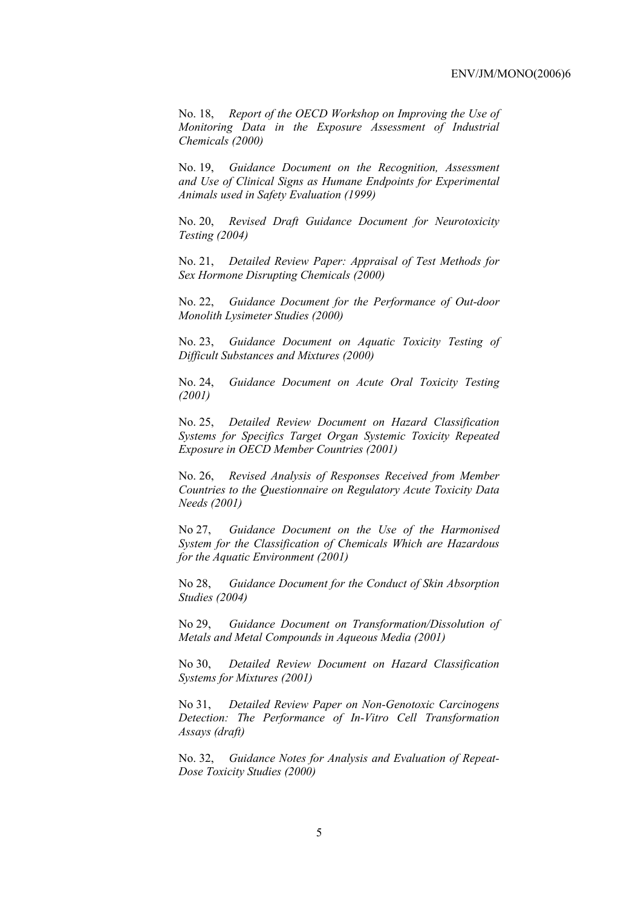No. 18, *Report of the OECD Workshop on Improving the Use of Monitoring Data in the Exposure Assessment of Industrial Chemicals (2000)*

No. 19, *Guidance Document on the Recognition, Assessment and Use of Clinical Signs as Humane Endpoints for Experimental Animals used in Safety Evaluation (1999)*

No. 20, *Revised Draft Guidance Document for Neurotoxicity Testing (2004)*

No. 21, *Detailed Review Paper: Appraisal of Test Methods for Sex Hormone Disrupting Chemicals (2000)*

No. 22, *Guidance Document for the Performance of Out-door Monolith Lysimeter Studies (2000)*

No. 23, *Guidance Document on Aquatic Toxicity Testing of Difficult Substances and Mixtures (2000)*

No. 24, *Guidance Document on Acute Oral Toxicity Testing (2001)*

No. 25, *Detailed Review Document on Hazard Classification Systems for Specifics Target Organ Systemic Toxicity Repeated Exposure in OECD Member Countries (2001)*

No. 26, *Revised Analysis of Responses Received from Member Countries to the Questionnaire on Regulatory Acute Toxicity Data Needs (2001)*

No 27, *Guidance Document on the Use of the Harmonised System for the Classification of Chemicals Which are Hazardous for the Aquatic Environment (2001)*

No 28, *Guidance Document for the Conduct of Skin Absorption Studies (2004)*

No 29, *Guidance Document on Transformation/Dissolution of Metals and Metal Compounds in Aqueous Media (2001)*

No 30, *Detailed Review Document on Hazard Classification Systems for Mixtures (2001)*

No 31, *Detailed Review Paper on Non-Genotoxic Carcinogens Detection: The Performance of In-Vitro Cell Transformation Assays (draft)*

No. 32, *Guidance Notes for Analysis and Evaluation of Repeat-Dose Toxicity Studies (2000)*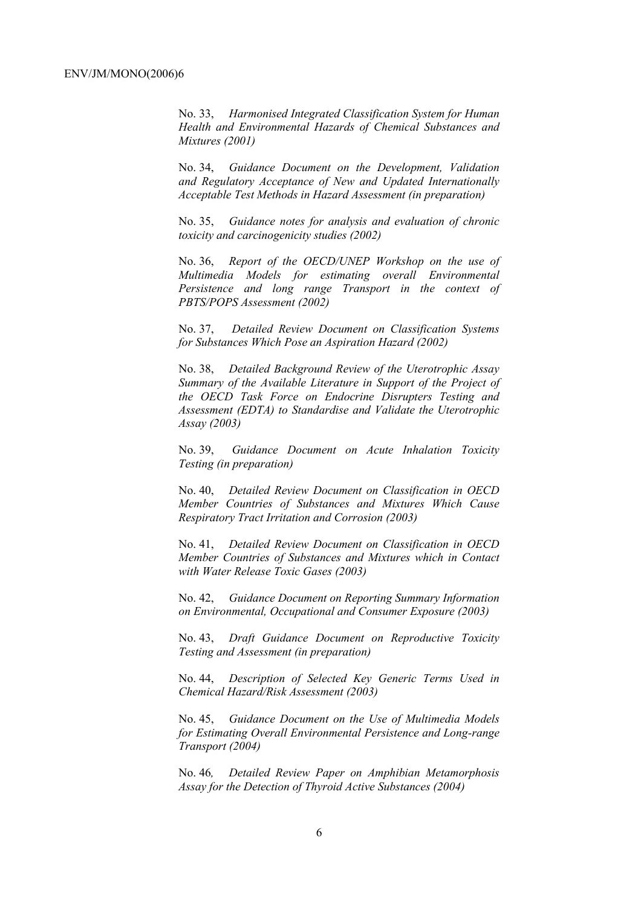No. 33, *Harmonised Integrated Classification System for Human Health and Environmental Hazards of Chemical Substances and Mixtures (2001)*

No. 34, *Guidance Document on the Development, Validation and Regulatory Acceptance of New and Updated Internationally Acceptable Test Methods in Hazard Assessment (in preparation)*

No. 35, *Guidance notes for analysis and evaluation of chronic toxicity and carcinogenicity studies (2002)*

No. 36, *Report of the OECD/UNEP Workshop on the use of Multimedia Models for estimating overall Environmental Persistence and long range Transport in the context of PBTS/POPS Assessment (2002)*

No. 37, *Detailed Review Document on Classification Systems for Substances Which Pose an Aspiration Hazard (2002)*

No. 38, *Detailed Background Review of the Uterotrophic Assay Summary of the Available Literature in Support of the Project of the OECD Task Force on Endocrine Disrupters Testing and Assessment (EDTA) to Standardise and Validate the Uterotrophic Assay (2003)*

No. 39, *Guidance Document on Acute Inhalation Toxicity Testing (in preparation)*

No. 40, *Detailed Review Document on Classification in OECD Member Countries of Substances and Mixtures Which Cause Respiratory Tract Irritation and Corrosion (2003)*

No. 41, *Detailed Review Document on Classification in OECD Member Countries of Substances and Mixtures which in Contact with Water Release Toxic Gases (2003)*

No. 42, *Guidance Document on Reporting Summary Information on Environmental, Occupational and Consumer Exposure (2003)*

No. 43, *Draft Guidance Document on Reproductive Toxicity Testing and Assessment (in preparation)*

No. 44, *Description of Selected Key Generic Terms Used in Chemical Hazard/Risk Assessment (2003)* 

No. 45, *Guidance Document on the Use of Multimedia Models for Estimating Overall Environmental Persistence and Long-range Transport (2004)*

No. 46*, Detailed Review Paper on Amphibian Metamorphosis Assay for the Detection of Thyroid Active Substances (2004)*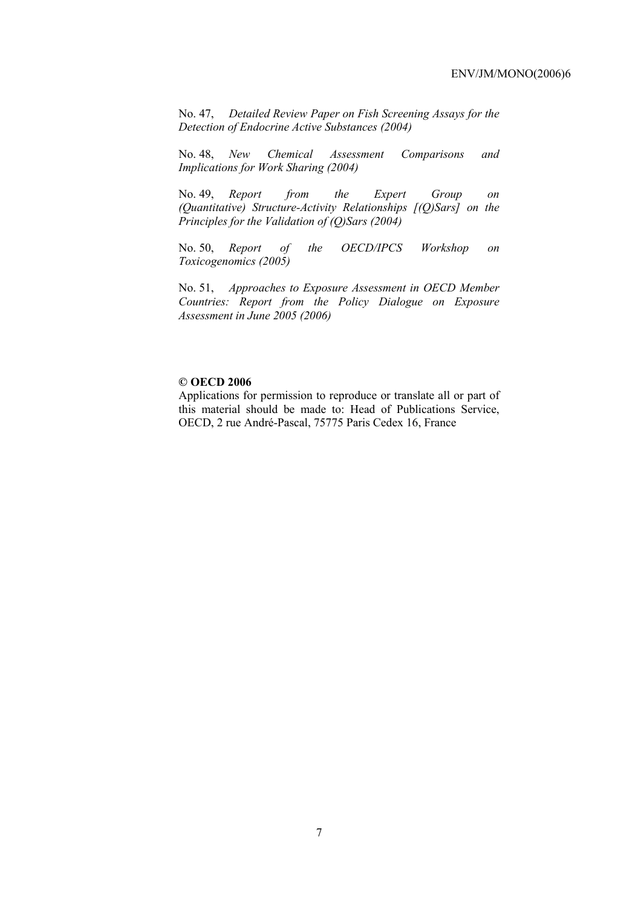No. 47, *Detailed Review Paper on Fish Screening Assays for the Detection of Endocrine Active Substances (2004)* 

No. 48, *New Chemical Assessment Comparisons and Implications for Work Sharing (2004)* 

No. 49, *Report from the Expert Group on (Quantitative) Structure-Activity Relationships [(Q)Sars] on the Principles for the Validation of (Q)Sars (2004)* 

No. 50, *Report of the OECD/IPCS Workshop on Toxicogenomics (2005)* 

No. 51, *Approaches to Exposure Assessment in OECD Member Countries: Report from the Policy Dialogue on Exposure Assessment in June 2005 (2006)* 

### **© OECD 2006**

Applications for permission to reproduce or translate all or part of this material should be made to: Head of Publications Service, OECD, 2 rue André-Pascal, 75775 Paris Cedex 16, France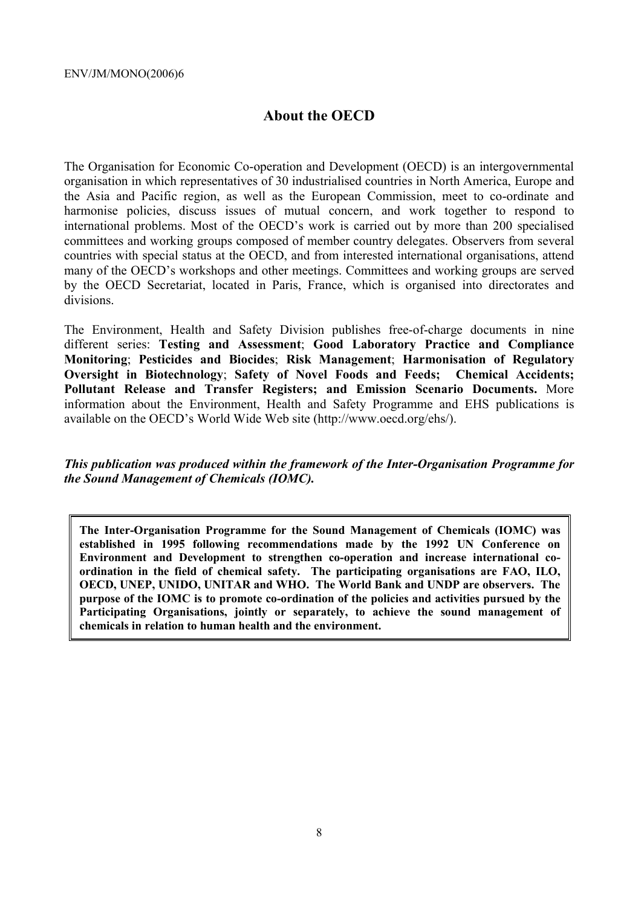# **About the OECD**

The Organisation for Economic Co-operation and Development (OECD) is an intergovernmental organisation in which representatives of 30 industrialised countries in North America, Europe and the Asia and Pacific region, as well as the European Commission, meet to co-ordinate and harmonise policies, discuss issues of mutual concern, and work together to respond to international problems. Most of the OECD's work is carried out by more than 200 specialised committees and working groups composed of member country delegates. Observers from several countries with special status at the OECD, and from interested international organisations, attend many of the OECD's workshops and other meetings. Committees and working groups are served by the OECD Secretariat, located in Paris, France, which is organised into directorates and divisions.

The Environment, Health and Safety Division publishes free-of-charge documents in nine different series: **Testing and Assessment**; **Good Laboratory Practice and Compliance Monitoring**; **Pesticides and Biocides**; **Risk Management**; **Harmonisation of Regulatory Oversight in Biotechnology**; **Safety of Novel Foods and Feeds; Chemical Accidents; Pollutant Release and Transfer Registers; and Emission Scenario Documents.** More information about the Environment, Health and Safety Programme and EHS publications is available on the OECD's World Wide Web site (http://www.oecd.org/ehs/).

*This publication was produced within the framework of the Inter-Organisation Programme for the Sound Management of Chemicals (IOMC).* 

**The Inter-Organisation Programme for the Sound Management of Chemicals (IOMC) was established in 1995 following recommendations made by the 1992 UN Conference on Environment and Development to strengthen co-operation and increase international coordination in the field of chemical safety. The participating organisations are FAO, ILO, OECD, UNEP, UNIDO, UNITAR and WHO. The World Bank and UNDP are observers. The purpose of the IOMC is to promote co-ordination of the policies and activities pursued by the Participating Organisations, jointly or separately, to achieve the sound management of chemicals in relation to human health and the environment.**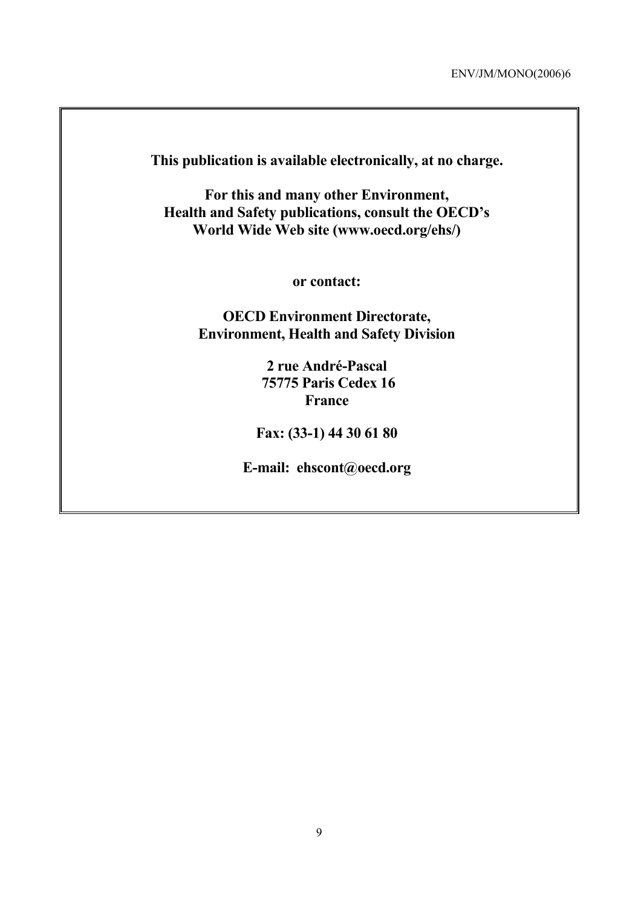**This publication is available electronically, at no charge.** 

**For this and many other Environment, Health and Safety publications, consult the OECD's World Wide Web site (www.oecd.org/ehs/)** 

**or contact:** 

**OECD Environment Directorate, Environment, Health and Safety Division**

> **2 rue André-Pascal 75775 Paris Cedex 16 France**

**Fax: (33-1) 44 30 61 80** 

**E-mail: ehscont@oecd.org**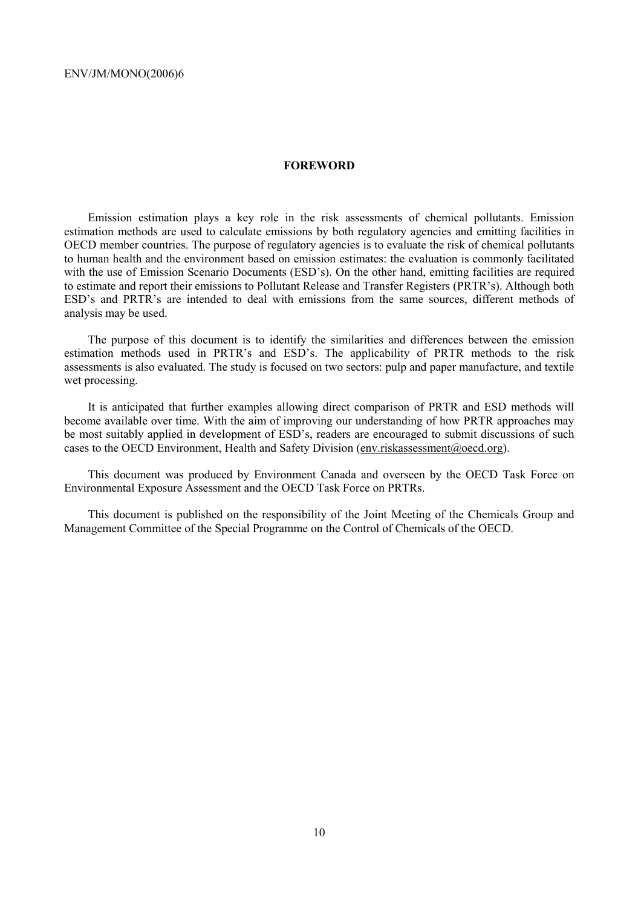#### **FOREWORD**

Emission estimation plays a key role in the risk assessments of chemical pollutants. Emission estimation methods are used to calculate emissions by both regulatory agencies and emitting facilities in OECD member countries. The purpose of regulatory agencies is to evaluate the risk of chemical pollutants to human health and the environment based on emission estimates: the evaluation is commonly facilitated with the use of Emission Scenario Documents (ESD's). On the other hand, emitting facilities are required to estimate and report their emissions to Pollutant Release and Transfer Registers (PRTR's). Although both ESD's and PRTR's are intended to deal with emissions from the same sources, different methods of analysis may be used.

The purpose of this document is to identify the similarities and differences between the emission estimation methods used in PRTR's and ESD's. The applicability of PRTR methods to the risk assessments is also evaluated. The study is focused on two sectors: pulp and paper manufacture, and textile wet processing.

It is anticipated that further examples allowing direct comparison of PRTR and ESD methods will become available over time. With the aim of improving our understanding of how PRTR approaches may be most suitably applied in development of ESD's, readers are encouraged to submit discussions of such cases to the OECD Environment, Health and Safety Division (env.riskassessment@oecd.org).

This document was produced by Environment Canada and overseen by the OECD Task Force on Environmental Exposure Assessment and the OECD Task Force on PRTRs.

This document is published on the responsibility of the Joint Meeting of the Chemicals Group and Management Committee of the Special Programme on the Control of Chemicals of the OECD.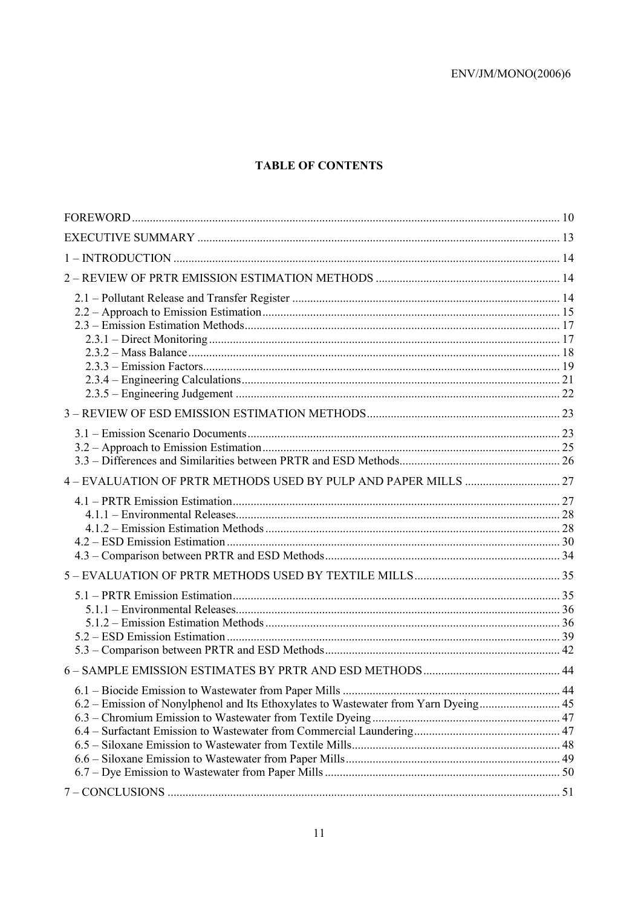## **TABLE OF CONTENTS**

| 6.2 – Emission of Nonylphenol and Its Ethoxylates to Wastewater from Yarn Dyeing 45 |  |
|-------------------------------------------------------------------------------------|--|
|                                                                                     |  |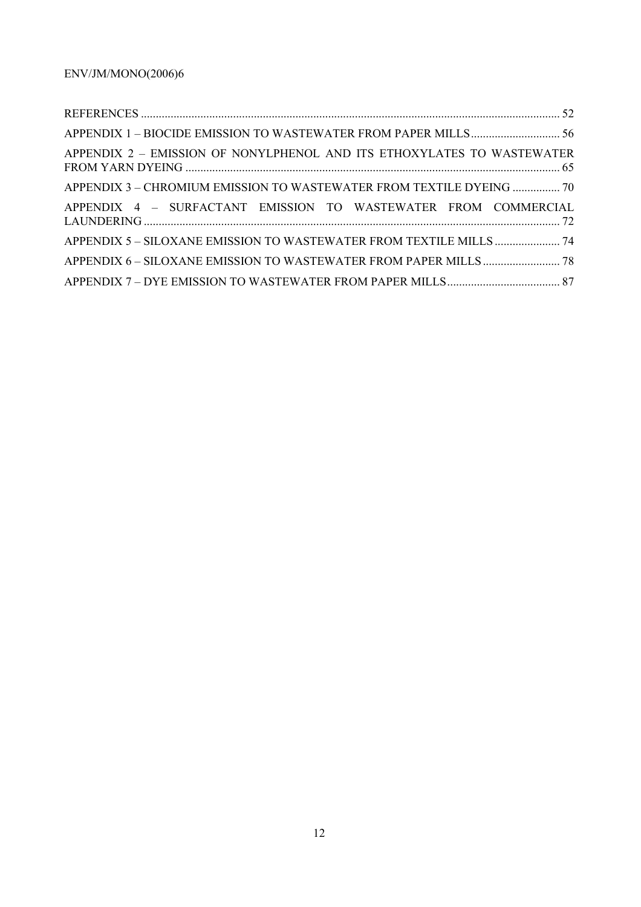| APPENDIX 2 - EMISSION OF NONYLPHENOL AND ITS ETHOXYLATES TO WASTEWATER |  |
|------------------------------------------------------------------------|--|
| APPENDIX 3 – CHROMIUM EMISSION TO WASTEWATER FROM TEXTILE DYEING  70   |  |
| APPENDIX 4 - SURFACTANT EMISSION TO WASTEWATER FROM COMMERCIAL         |  |
|                                                                        |  |
|                                                                        |  |
|                                                                        |  |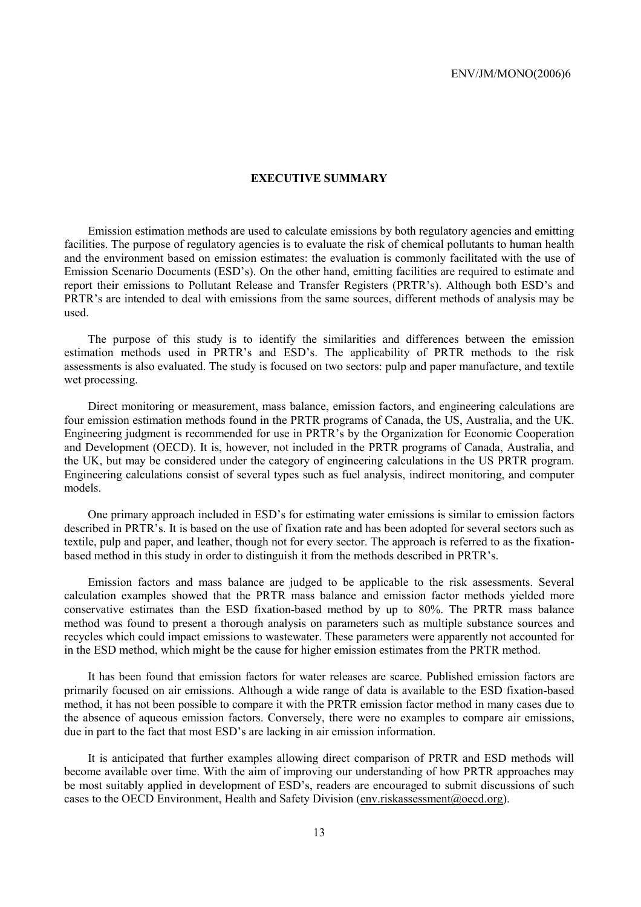#### **EXECUTIVE SUMMARY**

Emission estimation methods are used to calculate emissions by both regulatory agencies and emitting facilities. The purpose of regulatory agencies is to evaluate the risk of chemical pollutants to human health and the environment based on emission estimates: the evaluation is commonly facilitated with the use of Emission Scenario Documents (ESD's). On the other hand, emitting facilities are required to estimate and report their emissions to Pollutant Release and Transfer Registers (PRTR's). Although both ESD's and PRTR's are intended to deal with emissions from the same sources, different methods of analysis may be used.

The purpose of this study is to identify the similarities and differences between the emission estimation methods used in PRTR's and ESD's. The applicability of PRTR methods to the risk assessments is also evaluated. The study is focused on two sectors: pulp and paper manufacture, and textile wet processing.

Direct monitoring or measurement, mass balance, emission factors, and engineering calculations are four emission estimation methods found in the PRTR programs of Canada, the US, Australia, and the UK. Engineering judgment is recommended for use in PRTR's by the Organization for Economic Cooperation and Development (OECD). It is, however, not included in the PRTR programs of Canada, Australia, and the UK, but may be considered under the category of engineering calculations in the US PRTR program. Engineering calculations consist of several types such as fuel analysis, indirect monitoring, and computer models.

One primary approach included in ESD's for estimating water emissions is similar to emission factors described in PRTR's. It is based on the use of fixation rate and has been adopted for several sectors such as textile, pulp and paper, and leather, though not for every sector. The approach is referred to as the fixationbased method in this study in order to distinguish it from the methods described in PRTR's.

Emission factors and mass balance are judged to be applicable to the risk assessments. Several calculation examples showed that the PRTR mass balance and emission factor methods yielded more conservative estimates than the ESD fixation-based method by up to 80%. The PRTR mass balance method was found to present a thorough analysis on parameters such as multiple substance sources and recycles which could impact emissions to wastewater. These parameters were apparently not accounted for in the ESD method, which might be the cause for higher emission estimates from the PRTR method.

It has been found that emission factors for water releases are scarce. Published emission factors are primarily focused on air emissions. Although a wide range of data is available to the ESD fixation-based method, it has not been possible to compare it with the PRTR emission factor method in many cases due to the absence of aqueous emission factors. Conversely, there were no examples to compare air emissions, due in part to the fact that most ESD's are lacking in air emission information.

It is anticipated that further examples allowing direct comparison of PRTR and ESD methods will become available over time. With the aim of improving our understanding of how PRTR approaches may be most suitably applied in development of ESD's, readers are encouraged to submit discussions of such cases to the OECD Environment, Health and Safety Division (env.riskassessment@oecd.org).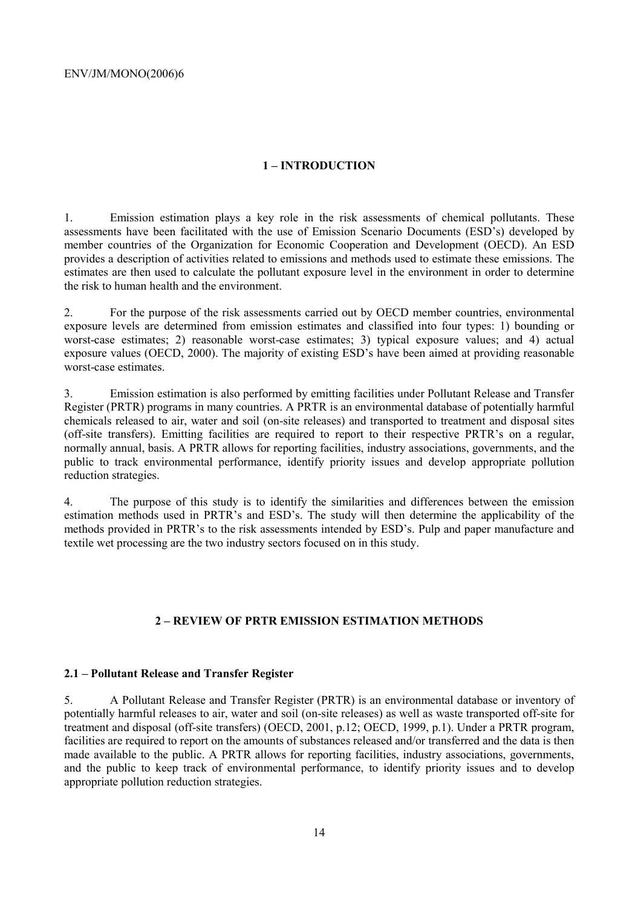## **1 – INTRODUCTION**

1. Emission estimation plays a key role in the risk assessments of chemical pollutants. These assessments have been facilitated with the use of Emission Scenario Documents (ESD's) developed by member countries of the Organization for Economic Cooperation and Development (OECD). An ESD provides a description of activities related to emissions and methods used to estimate these emissions. The estimates are then used to calculate the pollutant exposure level in the environment in order to determine the risk to human health and the environment.

2. For the purpose of the risk assessments carried out by OECD member countries, environmental exposure levels are determined from emission estimates and classified into four types: 1) bounding or worst-case estimates; 2) reasonable worst-case estimates; 3) typical exposure values; and 4) actual exposure values (OECD, 2000). The majority of existing ESD's have been aimed at providing reasonable worst-case estimates.

3. Emission estimation is also performed by emitting facilities under Pollutant Release and Transfer Register (PRTR) programs in many countries. A PRTR is an environmental database of potentially harmful chemicals released to air, water and soil (on-site releases) and transported to treatment and disposal sites (off-site transfers). Emitting facilities are required to report to their respective PRTR's on a regular, normally annual, basis. A PRTR allows for reporting facilities, industry associations, governments, and the public to track environmental performance, identify priority issues and develop appropriate pollution reduction strategies.

4. The purpose of this study is to identify the similarities and differences between the emission estimation methods used in PRTR's and ESD's. The study will then determine the applicability of the methods provided in PRTR's to the risk assessments intended by ESD's. Pulp and paper manufacture and textile wet processing are the two industry sectors focused on in this study.

## **2 – REVIEW OF PRTR EMISSION ESTIMATION METHODS**

## **2.1 – Pollutant Release and Transfer Register**

5. A Pollutant Release and Transfer Register (PRTR) is an environmental database or inventory of potentially harmful releases to air, water and soil (on-site releases) as well as waste transported off-site for treatment and disposal (off-site transfers) (OECD, 2001, p.12; OECD, 1999, p.1). Under a PRTR program, facilities are required to report on the amounts of substances released and/or transferred and the data is then made available to the public. A PRTR allows for reporting facilities, industry associations, governments, and the public to keep track of environmental performance, to identify priority issues and to develop appropriate pollution reduction strategies.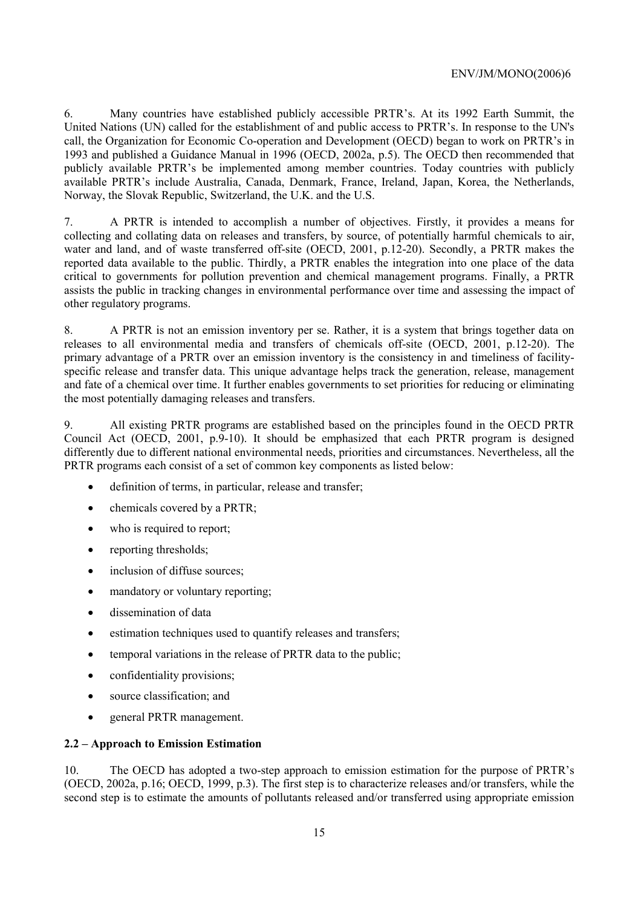6. Many countries have established publicly accessible PRTR's. At its 1992 Earth Summit, the United Nations (UN) called for the establishment of and public access to PRTR's. In response to the UN's call, the Organization for Economic Co-operation and Development (OECD) began to work on PRTR's in 1993 and published a Guidance Manual in 1996 (OECD, 2002a, p.5). The OECD then recommended that publicly available PRTR's be implemented among member countries. Today countries with publicly available PRTR's include Australia, Canada, Denmark, France, Ireland, Japan, Korea, the Netherlands, Norway, the Slovak Republic, Switzerland, the U.K. and the U.S.

7. A PRTR is intended to accomplish a number of objectives. Firstly, it provides a means for collecting and collating data on releases and transfers, by source, of potentially harmful chemicals to air, water and land, and of waste transferred off-site (OECD, 2001, p.12-20). Secondly, a PRTR makes the reported data available to the public. Thirdly, a PRTR enables the integration into one place of the data critical to governments for pollution prevention and chemical management programs. Finally, a PRTR assists the public in tracking changes in environmental performance over time and assessing the impact of other regulatory programs.

8. A PRTR is not an emission inventory per se. Rather, it is a system that brings together data on releases to all environmental media and transfers of chemicals off-site (OECD, 2001, p.12-20). The primary advantage of a PRTR over an emission inventory is the consistency in and timeliness of facilityspecific release and transfer data. This unique advantage helps track the generation, release, management and fate of a chemical over time. It further enables governments to set priorities for reducing or eliminating the most potentially damaging releases and transfers.

9. All existing PRTR programs are established based on the principles found in the OECD PRTR Council Act (OECD, 2001, p.9-10). It should be emphasized that each PRTR program is designed differently due to different national environmental needs, priorities and circumstances. Nevertheless, all the PRTR programs each consist of a set of common key components as listed below:

- definition of terms, in particular, release and transfer;
- chemicals covered by a PRTR:
- who is required to report:
- reporting thresholds:
- inclusion of diffuse sources;
- mandatory or voluntary reporting;
- dissemination of data
- estimation techniques used to quantify releases and transfers;
- temporal variations in the release of PRTR data to the public;
- confidentiality provisions;
- source classification; and
- general PRTR management.

## **2.2 – Approach to Emission Estimation**

10. The OECD has adopted a two-step approach to emission estimation for the purpose of PRTR's (OECD, 2002a, p.16; OECD, 1999, p.3). The first step is to characterize releases and/or transfers, while the second step is to estimate the amounts of pollutants released and/or transferred using appropriate emission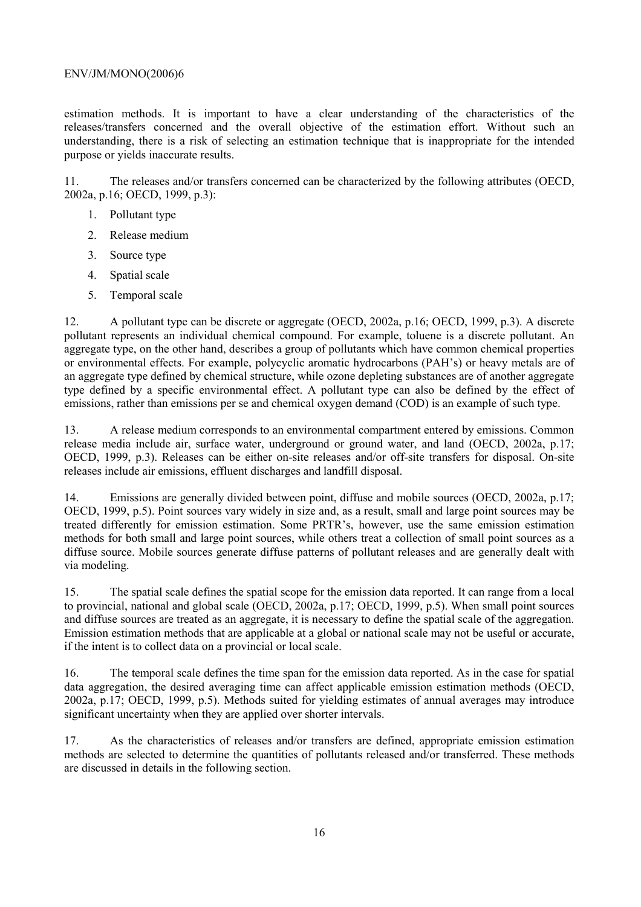estimation methods. It is important to have a clear understanding of the characteristics of the releases/transfers concerned and the overall objective of the estimation effort. Without such an understanding, there is a risk of selecting an estimation technique that is inappropriate for the intended purpose or yields inaccurate results.

11. The releases and/or transfers concerned can be characterized by the following attributes (OECD, 2002a, p.16; OECD, 1999, p.3):

- 1. Pollutant type
- 2. Release medium
- 3. Source type
- 4. Spatial scale
- 5. Temporal scale

12. A pollutant type can be discrete or aggregate (OECD, 2002a, p.16; OECD, 1999, p.3). A discrete pollutant represents an individual chemical compound. For example, toluene is a discrete pollutant. An aggregate type, on the other hand, describes a group of pollutants which have common chemical properties or environmental effects. For example, polycyclic aromatic hydrocarbons (PAH's) or heavy metals are of an aggregate type defined by chemical structure, while ozone depleting substances are of another aggregate type defined by a specific environmental effect. A pollutant type can also be defined by the effect of emissions, rather than emissions per se and chemical oxygen demand (COD) is an example of such type.

13. A release medium corresponds to an environmental compartment entered by emissions. Common release media include air, surface water, underground or ground water, and land (OECD, 2002a, p.17; OECD, 1999, p.3). Releases can be either on-site releases and/or off-site transfers for disposal. On-site releases include air emissions, effluent discharges and landfill disposal.

14. Emissions are generally divided between point, diffuse and mobile sources (OECD, 2002a, p.17; OECD, 1999, p.5). Point sources vary widely in size and, as a result, small and large point sources may be treated differently for emission estimation. Some PRTR's, however, use the same emission estimation methods for both small and large point sources, while others treat a collection of small point sources as a diffuse source. Mobile sources generate diffuse patterns of pollutant releases and are generally dealt with via modeling.

15. The spatial scale defines the spatial scope for the emission data reported. It can range from a local to provincial, national and global scale (OECD, 2002a, p.17; OECD, 1999, p.5). When small point sources and diffuse sources are treated as an aggregate, it is necessary to define the spatial scale of the aggregation. Emission estimation methods that are applicable at a global or national scale may not be useful or accurate, if the intent is to collect data on a provincial or local scale.

16. The temporal scale defines the time span for the emission data reported. As in the case for spatial data aggregation, the desired averaging time can affect applicable emission estimation methods (OECD, 2002a, p.17; OECD, 1999, p.5). Methods suited for yielding estimates of annual averages may introduce significant uncertainty when they are applied over shorter intervals.

17. As the characteristics of releases and/or transfers are defined, appropriate emission estimation methods are selected to determine the quantities of pollutants released and/or transferred. These methods are discussed in details in the following section.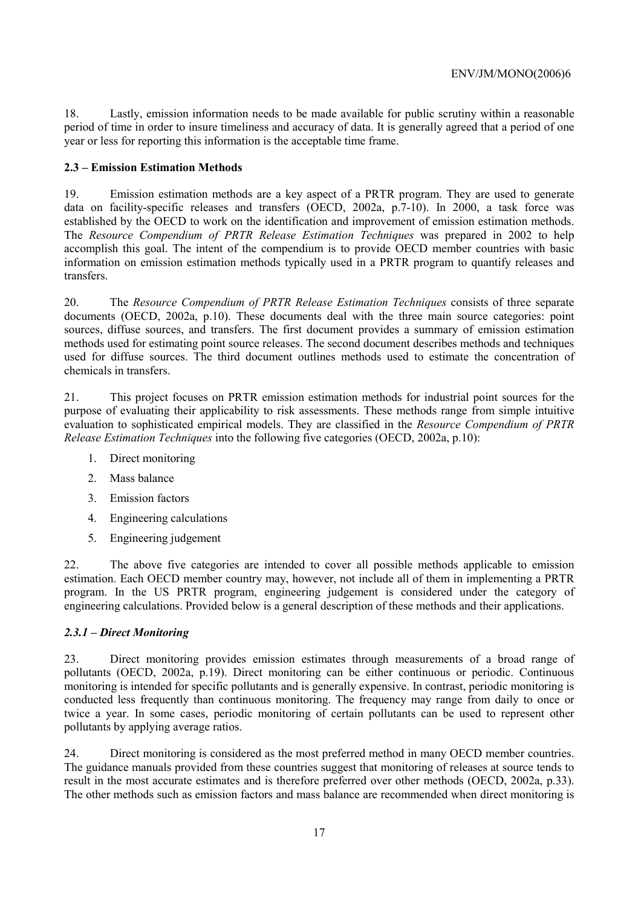18. Lastly, emission information needs to be made available for public scrutiny within a reasonable period of time in order to insure timeliness and accuracy of data. It is generally agreed that a period of one year or less for reporting this information is the acceptable time frame.

## **2.3 – Emission Estimation Methods**

19. Emission estimation methods are a key aspect of a PRTR program. They are used to generate data on facility-specific releases and transfers (OECD, 2002a, p.7-10). In 2000, a task force was established by the OECD to work on the identification and improvement of emission estimation methods. The *Resource Compendium of PRTR Release Estimation Techniques* was prepared in 2002 to help accomplish this goal. The intent of the compendium is to provide OECD member countries with basic information on emission estimation methods typically used in a PRTR program to quantify releases and transfers.

20. The *Resource Compendium of PRTR Release Estimation Techniques* consists of three separate documents (OECD, 2002a, p.10). These documents deal with the three main source categories: point sources, diffuse sources, and transfers. The first document provides a summary of emission estimation methods used for estimating point source releases. The second document describes methods and techniques used for diffuse sources. The third document outlines methods used to estimate the concentration of chemicals in transfers.

21. This project focuses on PRTR emission estimation methods for industrial point sources for the purpose of evaluating their applicability to risk assessments. These methods range from simple intuitive evaluation to sophisticated empirical models. They are classified in the *Resource Compendium of PRTR Release Estimation Techniques* into the following five categories (OECD, 2002a, p.10):

- 1. Direct monitoring
- 2. Mass balance
- 3. Emission factors
- 4. Engineering calculations
- 5. Engineering judgement

22. The above five categories are intended to cover all possible methods applicable to emission estimation. Each OECD member country may, however, not include all of them in implementing a PRTR program. In the US PRTR program, engineering judgement is considered under the category of engineering calculations. Provided below is a general description of these methods and their applications.

## *2.3.1 – Direct Monitoring*

23. Direct monitoring provides emission estimates through measurements of a broad range of pollutants (OECD, 2002a, p.19). Direct monitoring can be either continuous or periodic. Continuous monitoring is intended for specific pollutants and is generally expensive. In contrast, periodic monitoring is conducted less frequently than continuous monitoring. The frequency may range from daily to once or twice a year. In some cases, periodic monitoring of certain pollutants can be used to represent other pollutants by applying average ratios.

24. Direct monitoring is considered as the most preferred method in many OECD member countries. The guidance manuals provided from these countries suggest that monitoring of releases at source tends to result in the most accurate estimates and is therefore preferred over other methods (OECD, 2002a, p.33). The other methods such as emission factors and mass balance are recommended when direct monitoring is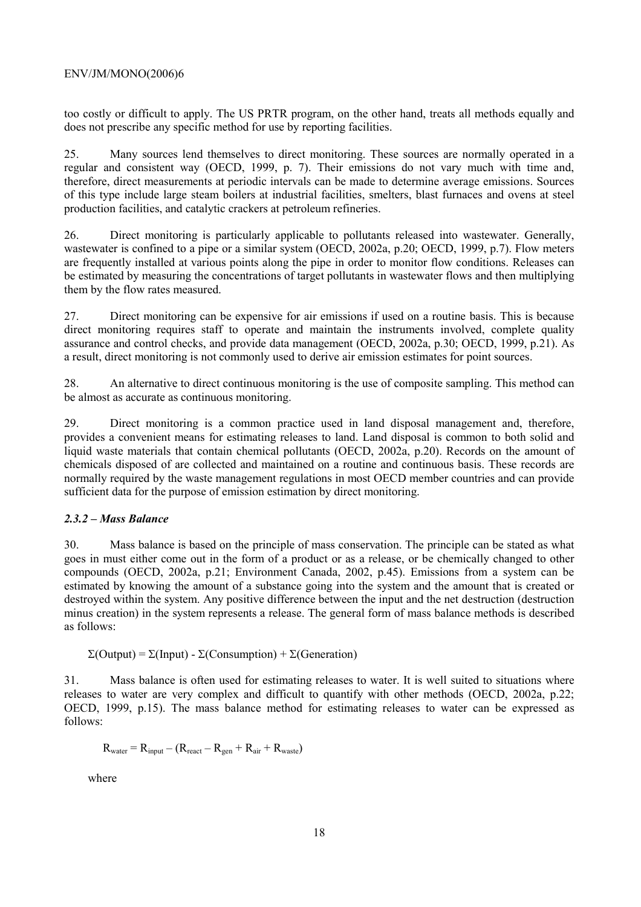too costly or difficult to apply. The US PRTR program, on the other hand, treats all methods equally and does not prescribe any specific method for use by reporting facilities.

25. Many sources lend themselves to direct monitoring. These sources are normally operated in a regular and consistent way (OECD, 1999, p. 7). Their emissions do not vary much with time and, therefore, direct measurements at periodic intervals can be made to determine average emissions. Sources of this type include large steam boilers at industrial facilities, smelters, blast furnaces and ovens at steel production facilities, and catalytic crackers at petroleum refineries.

26. Direct monitoring is particularly applicable to pollutants released into wastewater. Generally, wastewater is confined to a pipe or a similar system (OECD, 2002a, p.20; OECD, 1999, p.7). Flow meters are frequently installed at various points along the pipe in order to monitor flow conditions. Releases can be estimated by measuring the concentrations of target pollutants in wastewater flows and then multiplying them by the flow rates measured.

27. Direct monitoring can be expensive for air emissions if used on a routine basis. This is because direct monitoring requires staff to operate and maintain the instruments involved, complete quality assurance and control checks, and provide data management (OECD, 2002a, p.30; OECD, 1999, p.21). As a result, direct monitoring is not commonly used to derive air emission estimates for point sources.

28. An alternative to direct continuous monitoring is the use of composite sampling. This method can be almost as accurate as continuous monitoring.

29. Direct monitoring is a common practice used in land disposal management and, therefore, provides a convenient means for estimating releases to land. Land disposal is common to both solid and liquid waste materials that contain chemical pollutants (OECD, 2002a, p.20). Records on the amount of chemicals disposed of are collected and maintained on a routine and continuous basis. These records are normally required by the waste management regulations in most OECD member countries and can provide sufficient data for the purpose of emission estimation by direct monitoring.

## *2.3.2 – Mass Balance*

30. Mass balance is based on the principle of mass conservation. The principle can be stated as what goes in must either come out in the form of a product or as a release, or be chemically changed to other compounds (OECD, 2002a, p.21; Environment Canada, 2002, p.45). Emissions from a system can be estimated by knowing the amount of a substance going into the system and the amount that is created or destroyed within the system. Any positive difference between the input and the net destruction (destruction minus creation) in the system represents a release. The general form of mass balance methods is described as follows:

Σ(Output) = Σ(Input) - Σ(Consumption) + Σ(Generation)

31. Mass balance is often used for estimating releases to water. It is well suited to situations where releases to water are very complex and difficult to quantify with other methods (OECD, 2002a, p.22; OECD, 1999, p.15). The mass balance method for estimating releases to water can be expressed as follows:

$$
R_{water} = R_{input} - (R_{react} - R_{gen} + R_{air} + R_{waste})
$$

where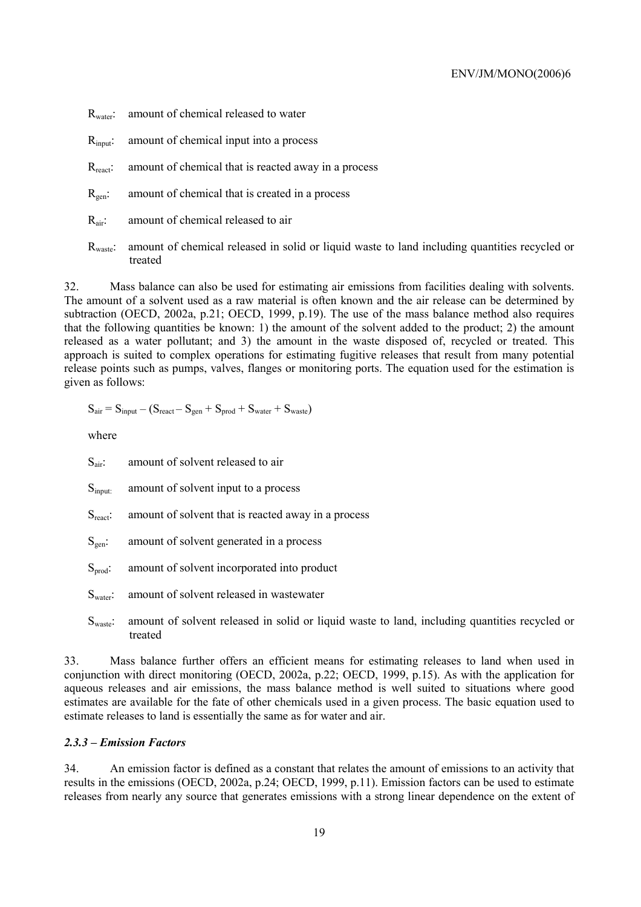- R<sub>water</sub>: amount of chemical released to water
- R<sub>input</sub>: amount of chemical input into a process
- R<sub>react</sub>: amount of chemical that is reacted away in a process
- $R<sub>gen</sub>$ : amount of chemical that is created in a process
- R<sub>air</sub>: amount of chemical released to air
- Rwaste: amount of chemical released in solid or liquid waste to land including quantities recycled or treated

32. Mass balance can also be used for estimating air emissions from facilities dealing with solvents. The amount of a solvent used as a raw material is often known and the air release can be determined by subtraction (OECD, 2002a, p.21; OECD, 1999, p.19). The use of the mass balance method also requires that the following quantities be known: 1) the amount of the solvent added to the product; 2) the amount released as a water pollutant; and 3) the amount in the waste disposed of, recycled or treated. This approach is suited to complex operations for estimating fugitive releases that result from many potential release points such as pumps, valves, flanges or monitoring ports. The equation used for the estimation is given as follows:

$$
S_{air} = S_{input} - (S_{react} - S_{gen} + S_{prod} + S_{water} + S_{waste})
$$

where

- S<sub>air</sub>: amount of solvent released to air
- S<sub>input:</sub> amount of solvent input to a process
- $S<sub>react</sub>$ : amount of solvent that is reacted away in a process
- $S<sub>gen</sub>$ : amount of solvent generated in a process
- $S<sub>prod</sub>$ : amount of solvent incorporated into product
- S<sub>water</sub>: amount of solvent released in wastewater
- S<sub>waste</sub>: amount of solvent released in solid or liquid waste to land, including quantities recycled or treated

33. Mass balance further offers an efficient means for estimating releases to land when used in conjunction with direct monitoring (OECD, 2002a, p.22; OECD, 1999, p.15). As with the application for aqueous releases and air emissions, the mass balance method is well suited to situations where good estimates are available for the fate of other chemicals used in a given process. The basic equation used to estimate releases to land is essentially the same as for water and air.

### *2.3.3 – Emission Factors*

34. An emission factor is defined as a constant that relates the amount of emissions to an activity that results in the emissions (OECD, 2002a, p.24; OECD, 1999, p.11). Emission factors can be used to estimate releases from nearly any source that generates emissions with a strong linear dependence on the extent of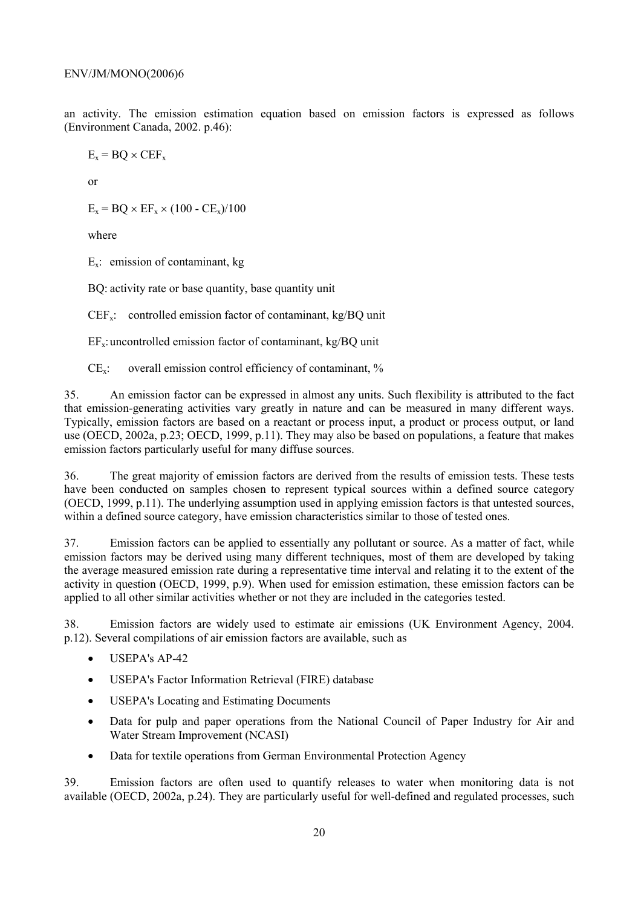an activity. The emission estimation equation based on emission factors is expressed as follows (Environment Canada, 2002. p.46):

$$
E_x = BQ \times CEF_x
$$

or

 $E_x = BO \times EF_x \times (100 - CE_x)/100$ 

where

 $E_x$ : emission of contaminant, kg

BQ: activity rate or base quantity, base quantity unit

 $CEF_x$ : controlled emission factor of contaminant, kg/BQ unit

 $EF_x$ : uncontrolled emission factor of contaminant, kg/BQ unit

 $CE<sub>x</sub>$ : overall emission control efficiency of contaminant, %

35. An emission factor can be expressed in almost any units. Such flexibility is attributed to the fact that emission-generating activities vary greatly in nature and can be measured in many different ways. Typically, emission factors are based on a reactant or process input, a product or process output, or land use (OECD, 2002a, p.23; OECD, 1999, p.11). They may also be based on populations, a feature that makes emission factors particularly useful for many diffuse sources.

36. The great majority of emission factors are derived from the results of emission tests. These tests have been conducted on samples chosen to represent typical sources within a defined source category (OECD, 1999, p.11). The underlying assumption used in applying emission factors is that untested sources, within a defined source category, have emission characteristics similar to those of tested ones.

37. Emission factors can be applied to essentially any pollutant or source. As a matter of fact, while emission factors may be derived using many different techniques, most of them are developed by taking the average measured emission rate during a representative time interval and relating it to the extent of the activity in question (OECD, 1999, p.9). When used for emission estimation, these emission factors can be applied to all other similar activities whether or not they are included in the categories tested.

38. Emission factors are widely used to estimate air emissions (UK Environment Agency, 2004. p.12). Several compilations of air emission factors are available, such as

- **USEPA's AP-42**
- USEPA's Factor Information Retrieval (FIRE) database
- USEPA's Locating and Estimating Documents
- Data for pulp and paper operations from the National Council of Paper Industry for Air and Water Stream Improvement (NCASI)
- Data for textile operations from German Environmental Protection Agency

39. Emission factors are often used to quantify releases to water when monitoring data is not available (OECD, 2002a, p.24). They are particularly useful for well-defined and regulated processes, such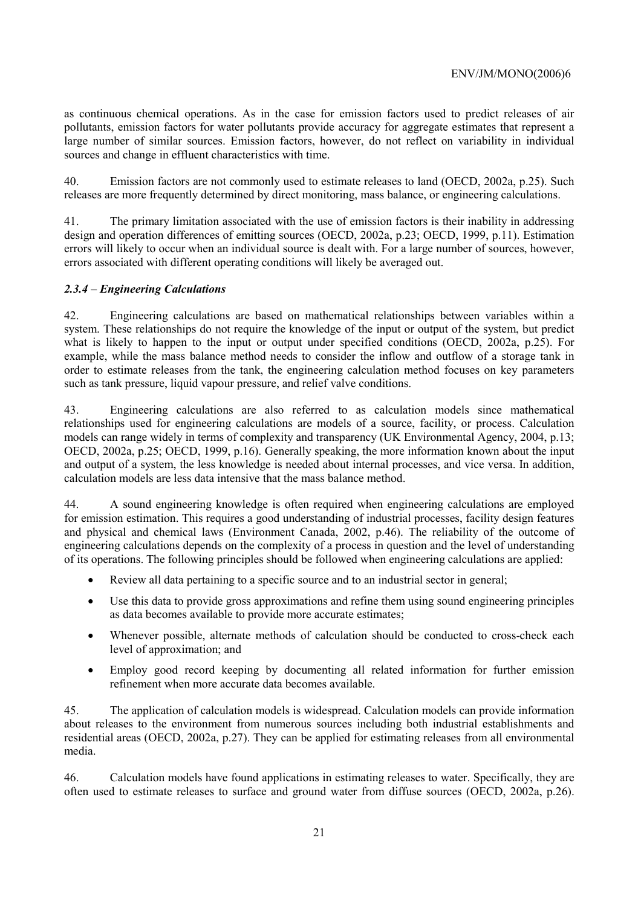as continuous chemical operations. As in the case for emission factors used to predict releases of air pollutants, emission factors for water pollutants provide accuracy for aggregate estimates that represent a large number of similar sources. Emission factors, however, do not reflect on variability in individual sources and change in effluent characteristics with time.

40. Emission factors are not commonly used to estimate releases to land (OECD, 2002a, p.25). Such releases are more frequently determined by direct monitoring, mass balance, or engineering calculations.

41. The primary limitation associated with the use of emission factors is their inability in addressing design and operation differences of emitting sources (OECD, 2002a, p.23; OECD, 1999, p.11). Estimation errors will likely to occur when an individual source is dealt with. For a large number of sources, however, errors associated with different operating conditions will likely be averaged out.

## *2.3.4 – Engineering Calculations*

42. Engineering calculations are based on mathematical relationships between variables within a system. These relationships do not require the knowledge of the input or output of the system, but predict what is likely to happen to the input or output under specified conditions (OECD, 2002a, p.25). For example, while the mass balance method needs to consider the inflow and outflow of a storage tank in order to estimate releases from the tank, the engineering calculation method focuses on key parameters such as tank pressure, liquid vapour pressure, and relief valve conditions.

43. Engineering calculations are also referred to as calculation models since mathematical relationships used for engineering calculations are models of a source, facility, or process. Calculation models can range widely in terms of complexity and transparency (UK Environmental Agency, 2004, p.13; OECD, 2002a, p.25; OECD, 1999, p.16). Generally speaking, the more information known about the input and output of a system, the less knowledge is needed about internal processes, and vice versa. In addition, calculation models are less data intensive that the mass balance method.

44. A sound engineering knowledge is often required when engineering calculations are employed for emission estimation. This requires a good understanding of industrial processes, facility design features and physical and chemical laws (Environment Canada, 2002, p.46). The reliability of the outcome of engineering calculations depends on the complexity of a process in question and the level of understanding of its operations. The following principles should be followed when engineering calculations are applied:

- Review all data pertaining to a specific source and to an industrial sector in general;
- Use this data to provide gross approximations and refine them using sound engineering principles as data becomes available to provide more accurate estimates;
- Whenever possible, alternate methods of calculation should be conducted to cross-check each level of approximation; and
- Employ good record keeping by documenting all related information for further emission refinement when more accurate data becomes available.

45. The application of calculation models is widespread. Calculation models can provide information about releases to the environment from numerous sources including both industrial establishments and residential areas (OECD, 2002a, p.27). They can be applied for estimating releases from all environmental media.

46. Calculation models have found applications in estimating releases to water. Specifically, they are often used to estimate releases to surface and ground water from diffuse sources (OECD, 2002a, p.26).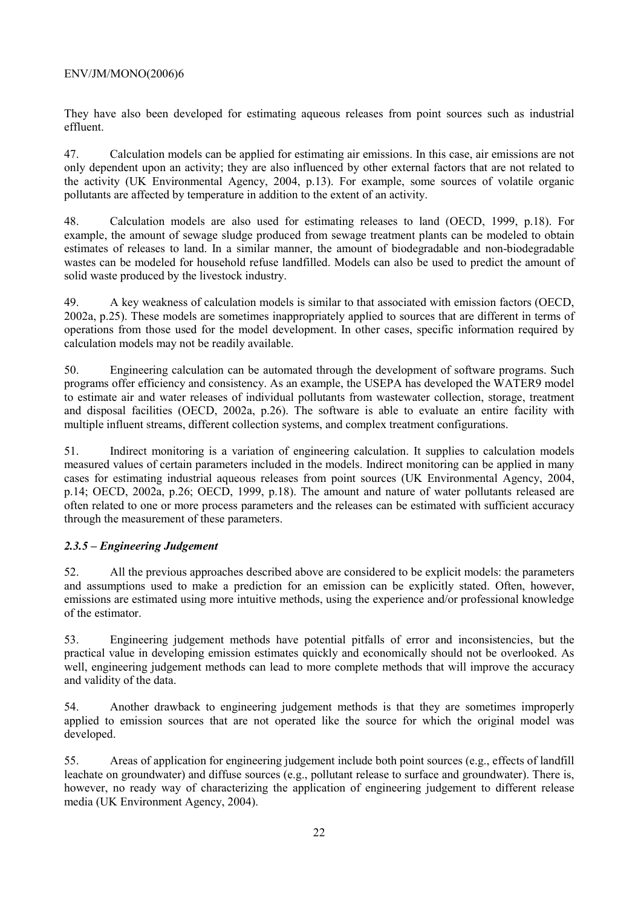They have also been developed for estimating aqueous releases from point sources such as industrial effluent.

47. Calculation models can be applied for estimating air emissions. In this case, air emissions are not only dependent upon an activity; they are also influenced by other external factors that are not related to the activity (UK Environmental Agency, 2004, p.13). For example, some sources of volatile organic pollutants are affected by temperature in addition to the extent of an activity.

48. Calculation models are also used for estimating releases to land (OECD, 1999, p.18). For example, the amount of sewage sludge produced from sewage treatment plants can be modeled to obtain estimates of releases to land. In a similar manner, the amount of biodegradable and non-biodegradable wastes can be modeled for household refuse landfilled. Models can also be used to predict the amount of solid waste produced by the livestock industry.

49. A key weakness of calculation models is similar to that associated with emission factors (OECD, 2002a, p.25). These models are sometimes inappropriately applied to sources that are different in terms of operations from those used for the model development. In other cases, specific information required by calculation models may not be readily available.

50. Engineering calculation can be automated through the development of software programs. Such programs offer efficiency and consistency. As an example, the USEPA has developed the WATER9 model to estimate air and water releases of individual pollutants from wastewater collection, storage, treatment and disposal facilities (OECD, 2002a, p.26). The software is able to evaluate an entire facility with multiple influent streams, different collection systems, and complex treatment configurations.

51. Indirect monitoring is a variation of engineering calculation. It supplies to calculation models measured values of certain parameters included in the models. Indirect monitoring can be applied in many cases for estimating industrial aqueous releases from point sources (UK Environmental Agency, 2004, p.14; OECD, 2002a, p.26; OECD, 1999, p.18). The amount and nature of water pollutants released are often related to one or more process parameters and the releases can be estimated with sufficient accuracy through the measurement of these parameters.

## *2.3.5 – Engineering Judgement*

52. All the previous approaches described above are considered to be explicit models: the parameters and assumptions used to make a prediction for an emission can be explicitly stated. Often, however, emissions are estimated using more intuitive methods, using the experience and/or professional knowledge of the estimator.

53. Engineering judgement methods have potential pitfalls of error and inconsistencies, but the practical value in developing emission estimates quickly and economically should not be overlooked. As well, engineering judgement methods can lead to more complete methods that will improve the accuracy and validity of the data.

54. Another drawback to engineering judgement methods is that they are sometimes improperly applied to emission sources that are not operated like the source for which the original model was developed.

55. Areas of application for engineering judgement include both point sources (e.g., effects of landfill leachate on groundwater) and diffuse sources (e.g., pollutant release to surface and groundwater). There is, however, no ready way of characterizing the application of engineering judgement to different release media (UK Environment Agency, 2004).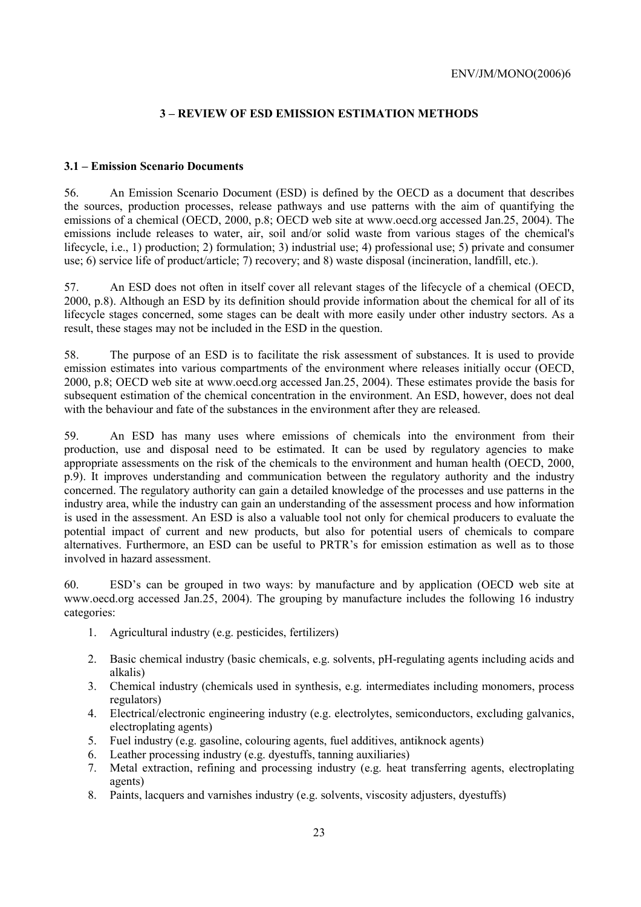## **3 – REVIEW OF ESD EMISSION ESTIMATION METHODS**

## **3.1 – Emission Scenario Documents**

56. An Emission Scenario Document (ESD) is defined by the OECD as a document that describes the sources, production processes, release pathways and use patterns with the aim of quantifying the emissions of a chemical (OECD, 2000, p.8; OECD web site at www.oecd.org accessed Jan.25, 2004). The emissions include releases to water, air, soil and/or solid waste from various stages of the chemical's lifecycle, i.e., 1) production; 2) formulation; 3) industrial use; 4) professional use; 5) private and consumer use; 6) service life of product/article; 7) recovery; and 8) waste disposal (incineration, landfill, etc.).

57. An ESD does not often in itself cover all relevant stages of the lifecycle of a chemical (OECD, 2000, p.8). Although an ESD by its definition should provide information about the chemical for all of its lifecycle stages concerned, some stages can be dealt with more easily under other industry sectors. As a result, these stages may not be included in the ESD in the question.

58. The purpose of an ESD is to facilitate the risk assessment of substances. It is used to provide emission estimates into various compartments of the environment where releases initially occur (OECD, 2000, p.8; OECD web site at www.oecd.org accessed Jan.25, 2004). These estimates provide the basis for subsequent estimation of the chemical concentration in the environment. An ESD, however, does not deal with the behaviour and fate of the substances in the environment after they are released.

59. An ESD has many uses where emissions of chemicals into the environment from their production, use and disposal need to be estimated. It can be used by regulatory agencies to make appropriate assessments on the risk of the chemicals to the environment and human health (OECD, 2000, p.9). It improves understanding and communication between the regulatory authority and the industry concerned. The regulatory authority can gain a detailed knowledge of the processes and use patterns in the industry area, while the industry can gain an understanding of the assessment process and how information is used in the assessment. An ESD is also a valuable tool not only for chemical producers to evaluate the potential impact of current and new products, but also for potential users of chemicals to compare alternatives. Furthermore, an ESD can be useful to PRTR's for emission estimation as well as to those involved in hazard assessment.

60. ESD's can be grouped in two ways: by manufacture and by application (OECD web site at www.oecd.org accessed Jan.25, 2004). The grouping by manufacture includes the following 16 industry categories:

- 1. Agricultural industry (e.g. pesticides, fertilizers)
- 2. Basic chemical industry (basic chemicals, e.g. solvents, pH-regulating agents including acids and alkalis)
- 3. Chemical industry (chemicals used in synthesis, e.g. intermediates including monomers, process regulators)
- 4. Electrical/electronic engineering industry (e.g. electrolytes, semiconductors, excluding galvanics, electroplating agents)
- 5. Fuel industry (e.g. gasoline, colouring agents, fuel additives, antiknock agents)
- 6. Leather processing industry (e.g. dyestuffs, tanning auxiliaries)
- 7. Metal extraction, refining and processing industry (e.g. heat transferring agents, electroplating agents)
- 8. Paints, lacquers and varnishes industry (e.g. solvents, viscosity adjusters, dyestuffs)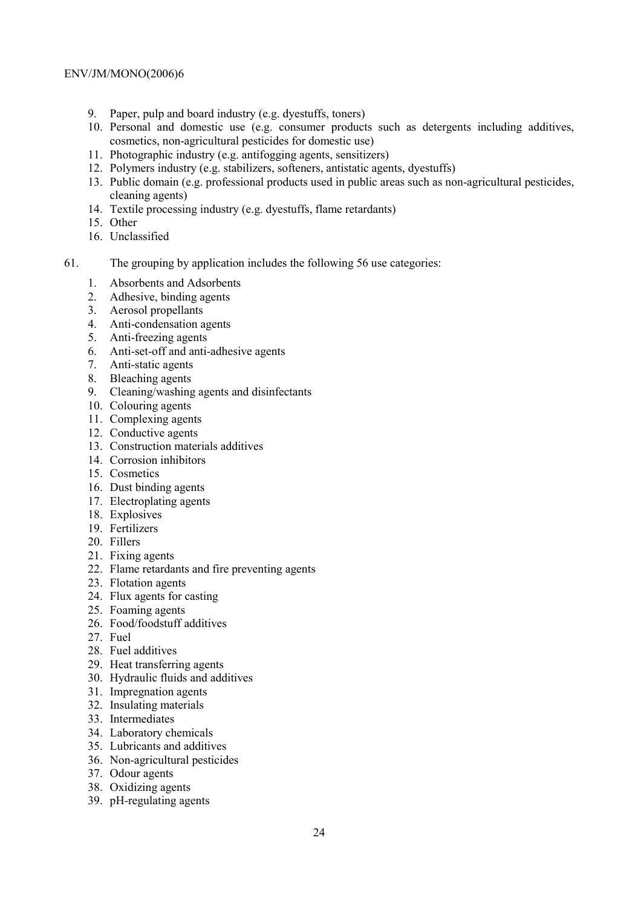- 9. Paper, pulp and board industry (e.g. dyestuffs, toners)
- 10. Personal and domestic use (e.g. consumer products such as detergents including additives, cosmetics, non-agricultural pesticides for domestic use)
- 11. Photographic industry (e.g. antifogging agents, sensitizers)
- 12. Polymers industry (e.g. stabilizers, softeners, antistatic agents, dyestuffs)
- 13. Public domain (e.g. professional products used in public areas such as non-agricultural pesticides, cleaning agents)
- 14. Textile processing industry (e.g. dyestuffs, flame retardants)
- 15. Other
- 16. Unclassified
- 61. The grouping by application includes the following 56 use categories:
	- 1. Absorbents and Adsorbents
		- 2. Adhesive, binding agents
		- 3. Aerosol propellants
		- 4. Anti-condensation agents
		- 5. Anti-freezing agents
		- 6. Anti-set-off and anti-adhesive agents
		- 7. Anti-static agents
		- 8. Bleaching agents
		- 9. Cleaning/washing agents and disinfectants
		- 10. Colouring agents
		- 11. Complexing agents
		- 12. Conductive agents
	- 13. Construction materials additives
	- 14. Corrosion inhibitors
	- 15. Cosmetics
	- 16. Dust binding agents
	- 17. Electroplating agents
	- 18. Explosives
	- 19. Fertilizers
	- 20. Fillers
	- 21. Fixing agents
	- 22. Flame retardants and fire preventing agents
	- 23. Flotation agents
	- 24. Flux agents for casting
	- 25. Foaming agents
	- 26. Food/foodstuff additives
	- 27. Fuel
	- 28. Fuel additives
	- 29. Heat transferring agents
	- 30. Hydraulic fluids and additives
	- 31. Impregnation agents
	- 32. Insulating materials
	- 33. Intermediates
	- 34. Laboratory chemicals
	- 35. Lubricants and additives
	- 36. Non-agricultural pesticides
	- 37. Odour agents
	- 38. Oxidizing agents
	- 39. pH-regulating agents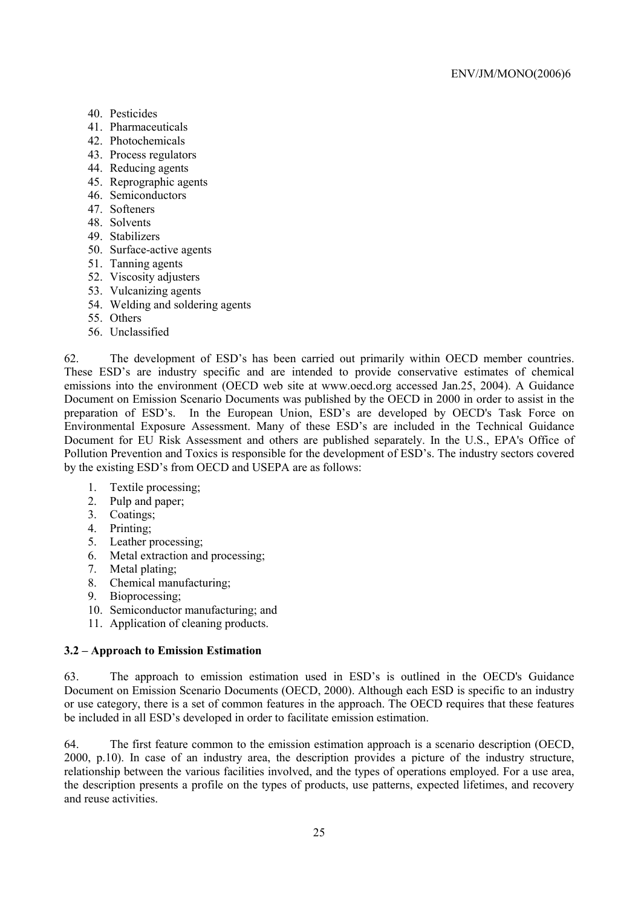- 40. Pesticides
- 41. Pharmaceuticals
- 42. Photochemicals
- 43. Process regulators
- 44. Reducing agents
- 45. Reprographic agents
- 46. Semiconductors
- 47. Softeners
- 48. Solvents
- 49. Stabilizers
- 50. Surface-active agents
- 51. Tanning agents
- 52. Viscosity adjusters
- 53. Vulcanizing agents
- 54. Welding and soldering agents
- 55. Others
- 56. Unclassified

62. The development of ESD's has been carried out primarily within OECD member countries. These ESD's are industry specific and are intended to provide conservative estimates of chemical emissions into the environment (OECD web site at www.oecd.org accessed Jan.25, 2004). A Guidance Document on Emission Scenario Documents was published by the OECD in 2000 in order to assist in the preparation of ESD's. In the European Union, ESD's are developed by OECD's Task Force on Environmental Exposure Assessment. Many of these ESD's are included in the Technical Guidance Document for EU Risk Assessment and others are published separately. In the U.S., EPA's Office of Pollution Prevention and Toxics is responsible for the development of ESD's. The industry sectors covered by the existing ESD's from OECD and USEPA are as follows:

- 1. Textile processing;
- 2. Pulp and paper;
- 3. Coatings;
- 4. Printing;
- 5. Leather processing;
- 6. Metal extraction and processing;
- 7. Metal plating;
- 8. Chemical manufacturing;
- 9. Bioprocessing;
- 10. Semiconductor manufacturing; and
- 11. Application of cleaning products.

## **3.2 – Approach to Emission Estimation**

63. The approach to emission estimation used in ESD's is outlined in the OECD's Guidance Document on Emission Scenario Documents (OECD, 2000). Although each ESD is specific to an industry or use category, there is a set of common features in the approach. The OECD requires that these features be included in all ESD's developed in order to facilitate emission estimation.

64. The first feature common to the emission estimation approach is a scenario description (OECD, 2000, p.10). In case of an industry area, the description provides a picture of the industry structure, relationship between the various facilities involved, and the types of operations employed. For a use area, the description presents a profile on the types of products, use patterns, expected lifetimes, and recovery and reuse activities.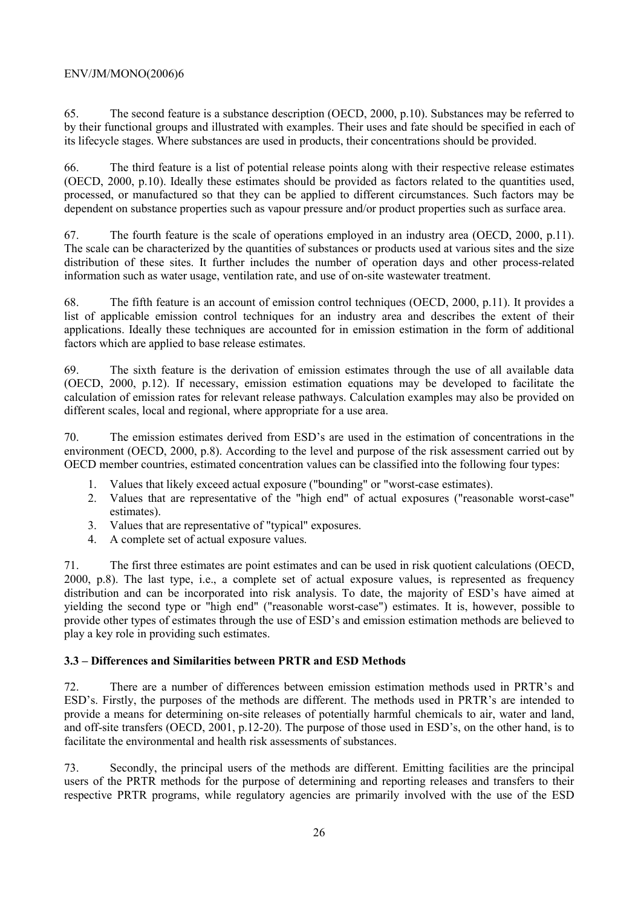65. The second feature is a substance description (OECD, 2000, p.10). Substances may be referred to by their functional groups and illustrated with examples. Their uses and fate should be specified in each of its lifecycle stages. Where substances are used in products, their concentrations should be provided.

66. The third feature is a list of potential release points along with their respective release estimates (OECD, 2000, p.10). Ideally these estimates should be provided as factors related to the quantities used, processed, or manufactured so that they can be applied to different circumstances. Such factors may be dependent on substance properties such as vapour pressure and/or product properties such as surface area.

67. The fourth feature is the scale of operations employed in an industry area (OECD, 2000, p.11). The scale can be characterized by the quantities of substances or products used at various sites and the size distribution of these sites. It further includes the number of operation days and other process-related information such as water usage, ventilation rate, and use of on-site wastewater treatment.

68. The fifth feature is an account of emission control techniques (OECD, 2000, p.11). It provides a list of applicable emission control techniques for an industry area and describes the extent of their applications. Ideally these techniques are accounted for in emission estimation in the form of additional factors which are applied to base release estimates.

69. The sixth feature is the derivation of emission estimates through the use of all available data (OECD, 2000, p.12). If necessary, emission estimation equations may be developed to facilitate the calculation of emission rates for relevant release pathways. Calculation examples may also be provided on different scales, local and regional, where appropriate for a use area.

70. The emission estimates derived from ESD's are used in the estimation of concentrations in the environment (OECD, 2000, p.8). According to the level and purpose of the risk assessment carried out by OECD member countries, estimated concentration values can be classified into the following four types:

- 1. Values that likely exceed actual exposure ("bounding" or "worst-case estimates).
- 2. Values that are representative of the "high end" of actual exposures ("reasonable worst-case" estimates).
- 3. Values that are representative of "typical" exposures.
- 4. A complete set of actual exposure values.

71. The first three estimates are point estimates and can be used in risk quotient calculations (OECD, 2000, p.8). The last type, i.e., a complete set of actual exposure values, is represented as frequency distribution and can be incorporated into risk analysis. To date, the majority of ESD's have aimed at yielding the second type or "high end" ("reasonable worst-case") estimates. It is, however, possible to provide other types of estimates through the use of ESD's and emission estimation methods are believed to play a key role in providing such estimates.

## **3.3 – Differences and Similarities between PRTR and ESD Methods**

72. There are a number of differences between emission estimation methods used in PRTR's and ESD's. Firstly, the purposes of the methods are different. The methods used in PRTR's are intended to provide a means for determining on-site releases of potentially harmful chemicals to air, water and land, and off-site transfers (OECD, 2001, p.12-20). The purpose of those used in ESD's, on the other hand, is to facilitate the environmental and health risk assessments of substances.

73. Secondly, the principal users of the methods are different. Emitting facilities are the principal users of the PRTR methods for the purpose of determining and reporting releases and transfers to their respective PRTR programs, while regulatory agencies are primarily involved with the use of the ESD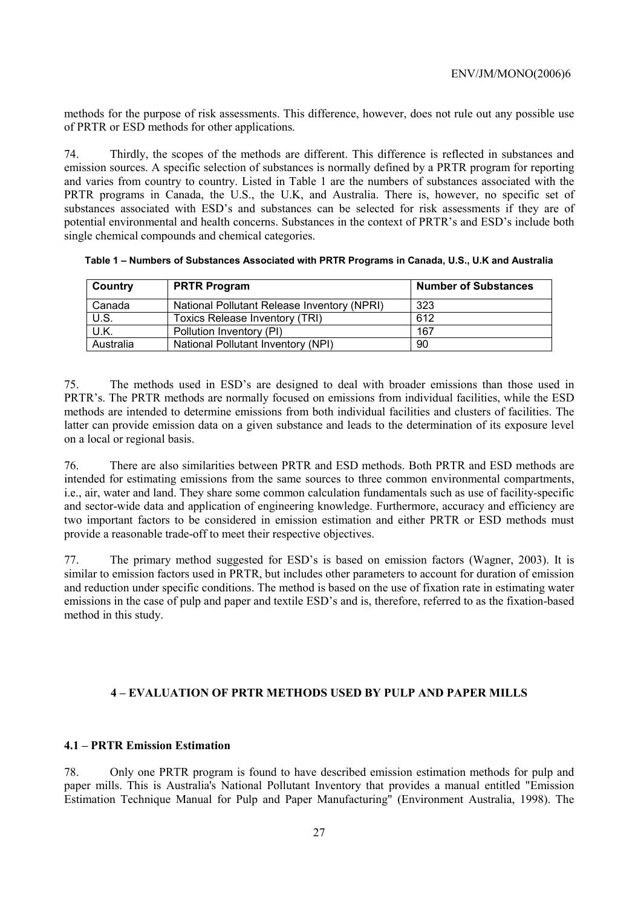methods for the purpose of risk assessments. This difference, however, does not rule out any possible use of PRTR or ESD methods for other applications.

74. Thirdly, the scopes of the methods are different. This difference is reflected in substances and emission sources. A specific selection of substances is normally defined by a PRTR program for reporting and varies from country to country. Listed in Table 1 are the numbers of substances associated with the PRTR programs in Canada, the U.S., the U.K, and Australia. There is, however, no specific set of substances associated with ESD's and substances can be selected for risk assessments if they are of potential environmental and health concerns. Substances in the context of PRTR's and ESD's include both single chemical compounds and chemical categories.

| Country   | <b>PRTR Program</b>                         | <b>Number of Substances</b> |
|-----------|---------------------------------------------|-----------------------------|
| Canada    | National Pollutant Release Inventory (NPRI) | 323                         |
| U.S.      | Toxics Release Inventory (TRI)              | 612                         |
| U.K.      | Pollution Inventory (PI)                    | 167                         |
| Australia | National Pollutant Inventory (NPI)          | 90                          |

**Table 1 – Numbers of Substances Associated with PRTR Programs in Canada, U.S., U.K and Australia** 

75. The methods used in ESD's are designed to deal with broader emissions than those used in PRTR's. The PRTR methods are normally focused on emissions from individual facilities, while the ESD methods are intended to determine emissions from both individual facilities and clusters of facilities. The latter can provide emission data on a given substance and leads to the determination of its exposure level on a local or regional basis.

76. There are also similarities between PRTR and ESD methods. Both PRTR and ESD methods are intended for estimating emissions from the same sources to three common environmental compartments, i.e., air, water and land. They share some common calculation fundamentals such as use of facility-specific and sector-wide data and application of engineering knowledge. Furthermore, accuracy and efficiency are two important factors to be considered in emission estimation and either PRTR or ESD methods must provide a reasonable trade-off to meet their respective objectives.

77. The primary method suggested for ESD's is based on emission factors (Wagner, 2003). It is similar to emission factors used in PRTR, but includes other parameters to account for duration of emission and reduction under specific conditions. The method is based on the use of fixation rate in estimating water emissions in the case of pulp and paper and textile ESD's and is, therefore, referred to as the fixation-based method in this study.

## **4 – EVALUATION OF PRTR METHODS USED BY PULP AND PAPER MILLS**

## **4.1 – PRTR Emission Estimation**

78. Only one PRTR program is found to have described emission estimation methods for pulp and paper mills. This is Australia's National Pollutant Inventory that provides a manual entitled "Emission Estimation Technique Manual for Pulp and Paper Manufacturing" (Environment Australia, 1998). The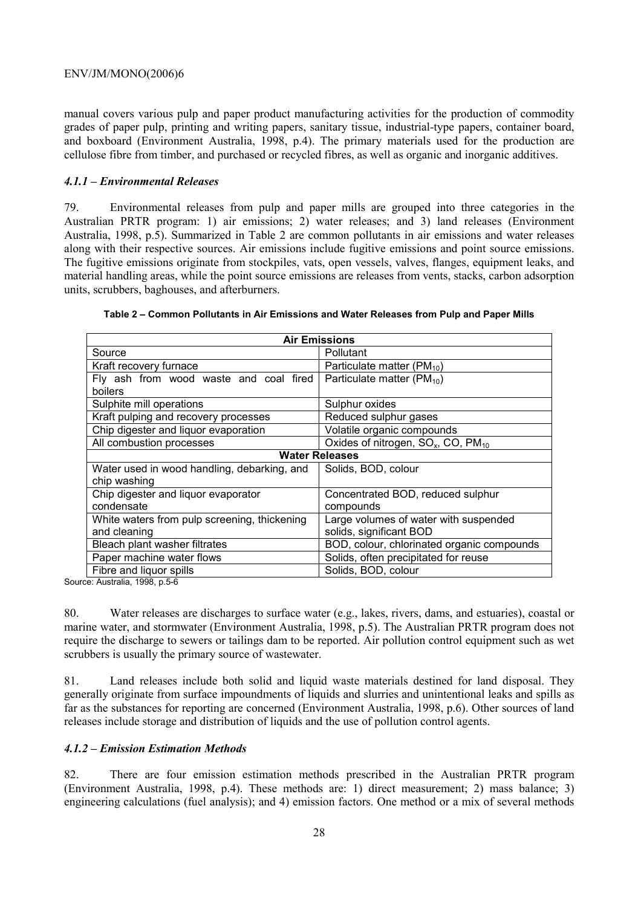manual covers various pulp and paper product manufacturing activities for the production of commodity grades of paper pulp, printing and writing papers, sanitary tissue, industrial-type papers, container board, and boxboard (Environment Australia, 1998, p.4). The primary materials used for the production are cellulose fibre from timber, and purchased or recycled fibres, as well as organic and inorganic additives.

#### *4.1.1 – Environmental Releases*

79. Environmental releases from pulp and paper mills are grouped into three categories in the Australian PRTR program: 1) air emissions; 2) water releases; and 3) land releases (Environment Australia, 1998, p.5). Summarized in Table 2 are common pollutants in air emissions and water releases along with their respective sources. Air emissions include fugitive emissions and point source emissions. The fugitive emissions originate from stockpiles, vats, open vessels, valves, flanges, equipment leaks, and material handling areas, while the point source emissions are releases from vents, stacks, carbon adsorption units, scrubbers, baghouses, and afterburners.

| <b>Air Emissions</b>                                              |                                            |  |  |
|-------------------------------------------------------------------|--------------------------------------------|--|--|
| Source                                                            | <b>Pollutant</b>                           |  |  |
| Kraft recovery furnace                                            | Particulate matter ( $PM_{10}$ )           |  |  |
| Fly ash from wood waste and coal fired                            | Particulate matter ( $PM_{10}$ )           |  |  |
| boilers                                                           |                                            |  |  |
| Sulphite mill operations                                          | Sulphur oxides                             |  |  |
| Kraft pulping and recovery processes                              | Reduced sulphur gases                      |  |  |
| Chip digester and liquor evaporation                              | Volatile organic compounds                 |  |  |
| All combustion processes                                          | Oxides of nitrogen, $SO_x$ , CO, $PM_{10}$ |  |  |
|                                                                   | <b>Water Releases</b>                      |  |  |
| Water used in wood handling, debarking, and                       | Solids, BOD, colour                        |  |  |
| chip washing                                                      |                                            |  |  |
| Chip digester and liquor evaporator                               | Concentrated BOD, reduced sulphur          |  |  |
| condensate                                                        | compounds                                  |  |  |
| White waters from pulp screening, thickening                      | Large volumes of water with suspended      |  |  |
| and cleaning<br>solids, significant BOD                           |                                            |  |  |
| Bleach plant washer filtrates                                     | BOD, colour, chlorinated organic compounds |  |  |
| Paper machine water flows<br>Solids, often precipitated for reuse |                                            |  |  |
| Fibre and liquor spills                                           | Solids, BOD, colour                        |  |  |

| Table 2 – Common Pollutants in Air Emissions and Water Releases from Pulp and Paper Mills |  |  |
|-------------------------------------------------------------------------------------------|--|--|
|-------------------------------------------------------------------------------------------|--|--|

Source: Australia, 1998, p.5-6

80. Water releases are discharges to surface water (e.g., lakes, rivers, dams, and estuaries), coastal or marine water, and stormwater (Environment Australia, 1998, p.5). The Australian PRTR program does not require the discharge to sewers or tailings dam to be reported. Air pollution control equipment such as wet scrubbers is usually the primary source of wastewater.

81. Land releases include both solid and liquid waste materials destined for land disposal. They generally originate from surface impoundments of liquids and slurries and unintentional leaks and spills as far as the substances for reporting are concerned (Environment Australia, 1998, p.6). Other sources of land releases include storage and distribution of liquids and the use of pollution control agents.

## *4.1.2 – Emission Estimation Methods*

82. There are four emission estimation methods prescribed in the Australian PRTR program (Environment Australia, 1998, p.4). These methods are: 1) direct measurement; 2) mass balance; 3) engineering calculations (fuel analysis); and 4) emission factors. One method or a mix of several methods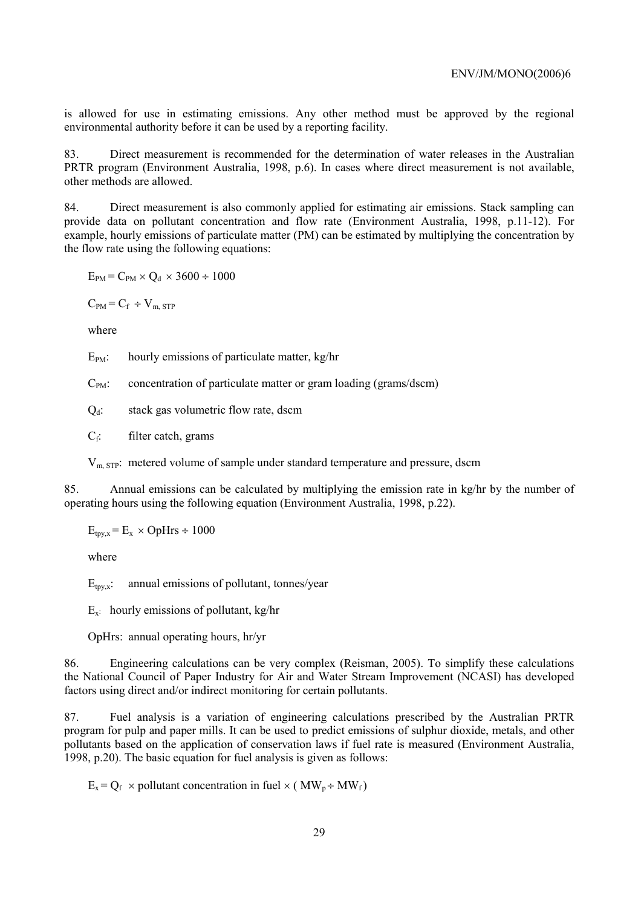is allowed for use in estimating emissions. Any other method must be approved by the regional environmental authority before it can be used by a reporting facility.

83. Direct measurement is recommended for the determination of water releases in the Australian PRTR program (Environment Australia, 1998, p.6). In cases where direct measurement is not available, other methods are allowed.

84. Direct measurement is also commonly applied for estimating air emissions. Stack sampling can provide data on pollutant concentration and flow rate (Environment Australia, 1998, p.11-12). For example, hourly emissions of particulate matter (PM) can be estimated by multiplying the concentration by the flow rate using the following equations:

 $E_{PM}$  =  $C_{PM}$  ×  $Q_d$  × 3600 ÷ 1000

 $C_{PM} = C_f \div V_{m, STP}$ 

where

 $E_{PM}$ : hourly emissions of particulate matter, kg/hr

 $C_{PM}$ : concentration of particulate matter or gram loading (grams/dscm)

 $Q_d$ : stack gas volumetric flow rate, dscm

 $C_f$ : filter catch, grams

 $V<sub>m STP</sub>$ : metered volume of sample under standard temperature and pressure, dscm

85. Annual emissions can be calculated by multiplying the emission rate in kg/hr by the number of operating hours using the following equation (Environment Australia, 1998, p.22).

 $E_{\text{tpy},x}$  =  $E_x \times \text{OpHrs} \div 1000$ 

where

 $E_{\text{trvx}}$ : annual emissions of pollutant, tonnes/year

 $E_x$ : hourly emissions of pollutant, kg/hr

OpHrs: annual operating hours, hr/yr

86. Engineering calculations can be very complex (Reisman, 2005). To simplify these calculations the National Council of Paper Industry for Air and Water Stream Improvement (NCASI) has developed factors using direct and/or indirect monitoring for certain pollutants.

87. Fuel analysis is a variation of engineering calculations prescribed by the Australian PRTR program for pulp and paper mills. It can be used to predict emissions of sulphur dioxide, metals, and other pollutants based on the application of conservation laws if fuel rate is measured (Environment Australia, 1998, p.20). The basic equation for fuel analysis is given as follows:

 $E_x = Q_f$  × pollutant concentration in fuel × (MW<sub>p</sub> ÷ MW<sub>f</sub>)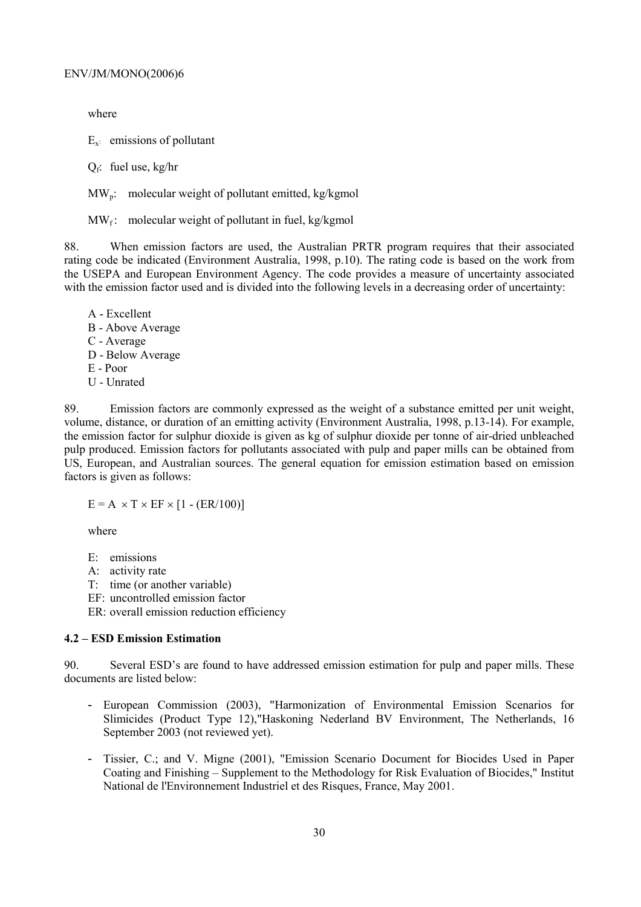where

 $E_{x}$ : emissions of pollutant

 $Q_f$ : fuel use, kg/hr

 $MW<sub>n</sub>$ : molecular weight of pollutant emitted, kg/kgmol

 $MW_f$ : molecular weight of pollutant in fuel, kg/kgmol

88. When emission factors are used, the Australian PRTR program requires that their associated rating code be indicated (Environment Australia, 1998, p.10). The rating code is based on the work from the USEPA and European Environment Agency. The code provides a measure of uncertainty associated with the emission factor used and is divided into the following levels in a decreasing order of uncertainty:

A - Excellent B - Above Average C - Average D - Below Average E - Poor U - Unrated

89. Emission factors are commonly expressed as the weight of a substance emitted per unit weight, volume, distance, or duration of an emitting activity (Environment Australia, 1998, p.13-14). For example, the emission factor for sulphur dioxide is given as kg of sulphur dioxide per tonne of air-dried unbleached pulp produced. Emission factors for pollutants associated with pulp and paper mills can be obtained from US, European, and Australian sources. The general equation for emission estimation based on emission factors is given as follows:

 $E = A \times T \times EF \times [1 - (ER/100)]$ 

where

- E: emissions
- A: activity rate
- T: time (or another variable)
- EF: uncontrolled emission factor
- ER: overall emission reduction efficiency

#### **4.2 – ESD Emission Estimation**

90. Several ESD's are found to have addressed emission estimation for pulp and paper mills. These documents are listed below:

- European Commission (2003), "Harmonization of Environmental Emission Scenarios for Slimicides (Product Type 12),"Haskoning Nederland BV Environment, The Netherlands, 16 September 2003 (not reviewed yet).
- Tissier, C.; and V. Migne (2001), "Emission Scenario Document for Biocides Used in Paper Coating and Finishing – Supplement to the Methodology for Risk Evaluation of Biocides," Institut National de l'Environnement Industriel et des Risques, France, May 2001.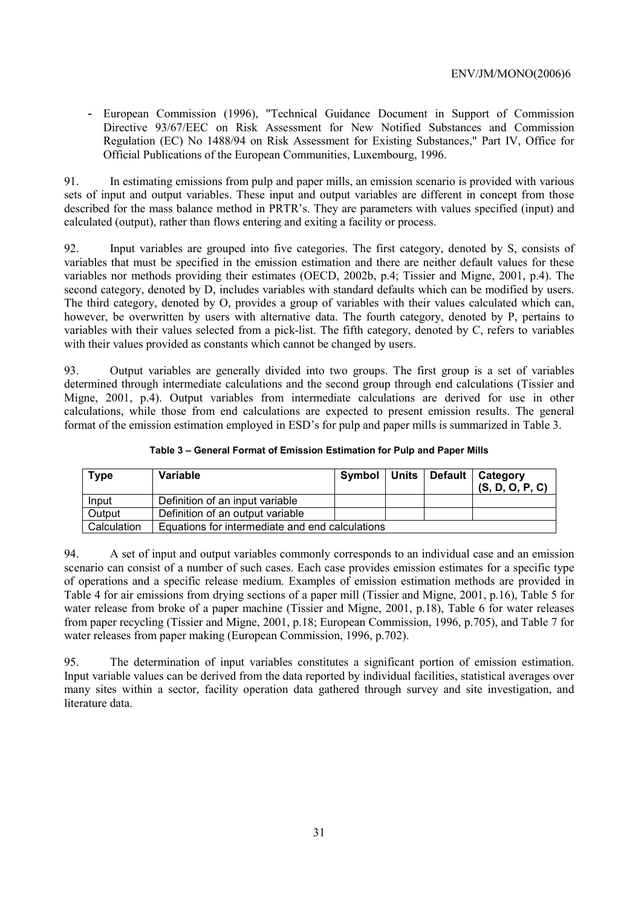- European Commission (1996), "Technical Guidance Document in Support of Commission Directive 93/67/EEC on Risk Assessment for New Notified Substances and Commission Regulation (EC) No 1488/94 on Risk Assessment for Existing Substances," Part IV, Office for Official Publications of the European Communities, Luxembourg, 1996.

91. In estimating emissions from pulp and paper mills, an emission scenario is provided with various sets of input and output variables. These input and output variables are different in concept from those described for the mass balance method in PRTR's. They are parameters with values specified (input) and calculated (output), rather than flows entering and exiting a facility or process.

92. Input variables are grouped into five categories. The first category, denoted by S, consists of variables that must be specified in the emission estimation and there are neither default values for these variables nor methods providing their estimates (OECD, 2002b, p.4; Tissier and Migne, 2001, p.4). The second category, denoted by D, includes variables with standard defaults which can be modified by users. The third category, denoted by O, provides a group of variables with their values calculated which can, however, be overwritten by users with alternative data. The fourth category, denoted by P, pertains to variables with their values selected from a pick-list. The fifth category, denoted by C, refers to variables with their values provided as constants which cannot be changed by users.

93. Output variables are generally divided into two groups. The first group is a set of variables determined through intermediate calculations and the second group through end calculations (Tissier and Migne, 2001, p.4). Output variables from intermediate calculations are derived for use in other calculations, while those from end calculations are expected to present emission results. The general format of the emission estimation employed in ESD's for pulp and paper mills is summarized in Table 3.

| <b>Type</b> | Variable                                        |  | Symbol   Units   Default   Category<br>(S, D, O, P, C) |
|-------------|-------------------------------------------------|--|--------------------------------------------------------|
| Input       | Definition of an input variable                 |  |                                                        |
| Output      | Definition of an output variable                |  |                                                        |
| Calculation | Equations for intermediate and end calculations |  |                                                        |

**Table 3 – General Format of Emission Estimation for Pulp and Paper Mills** 

94. A set of input and output variables commonly corresponds to an individual case and an emission scenario can consist of a number of such cases. Each case provides emission estimates for a specific type of operations and a specific release medium. Examples of emission estimation methods are provided in Table 4 for air emissions from drying sections of a paper mill (Tissier and Migne, 2001, p.16), Table 5 for water release from broke of a paper machine (Tissier and Migne, 2001, p.18), Table 6 for water releases from paper recycling (Tissier and Migne, 2001, p.18; European Commission, 1996, p.705), and Table 7 for water releases from paper making (European Commission, 1996, p.702).

95. The determination of input variables constitutes a significant portion of emission estimation. Input variable values can be derived from the data reported by individual facilities, statistical averages over many sites within a sector, facility operation data gathered through survey and site investigation, and literature data.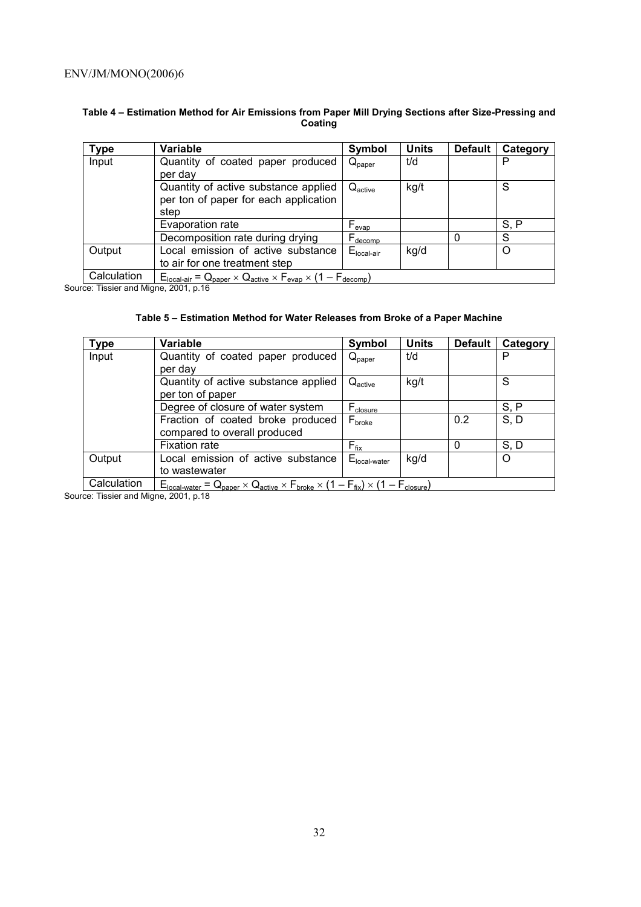#### **Table 4 – Estimation Method for Air Emissions from Paper Mill Drying Sections after Size-Pressing and Coating**

| Type        | <b>Variable</b>                                                                       | Symbol                       | <b>Units</b> | <b>Default</b> | Category |
|-------------|---------------------------------------------------------------------------------------|------------------------------|--------------|----------------|----------|
| Input       | Quantity of coated paper produced<br>per day                                          | $Q_{\text{paper}}$           | t/d          |                | Р        |
|             | Quantity of active substance applied<br>per ton of paper for each application<br>step | $Q_{\text{active}}$          | kg/t         |                | S        |
|             | Evaporation rate                                                                      | $\mathsf{F}_{\mathsf{evap}}$ |              |                | S, P     |
|             | Decomposition rate during drying                                                      | $\vdash$ decomp              |              |                | S        |
| Output      | Local emission of active substance<br>to air for one treatment step                   | $E_{\text{local-air}}$       | kg/d         |                | Ω        |
| Calculation | $E_{local-air} = Q_{paper} \times Q_{active} \times F_{evap} \times (1 - F_{decomp})$ |                              |              |                |          |

Source: Tissier and Migne, 2001, p.16

#### **Table 5 – Estimation Method for Water Releases from Broke of a Paper Machine**

| <b>Type</b> | Variable                                                                                                        | Symbol                   | <b>Units</b> | <b>Default</b> | Category |
|-------------|-----------------------------------------------------------------------------------------------------------------|--------------------------|--------------|----------------|----------|
| Input       | Quantity of coated paper produced                                                                               | $Q_{\text{paper}}$       | t/d          |                | P        |
|             | per day                                                                                                         |                          |              |                |          |
|             | Quantity of active substance applied                                                                            | $Q_{\text{active}}$      | kg/t         |                | S        |
|             | per ton of paper                                                                                                |                          |              |                |          |
|             | Degree of closure of water system                                                                               | $F_{closure}$            |              |                | S, P     |
|             | Fraction of coated broke produced                                                                               | $F_{\text{broken}}$      |              | 0.2            | S, D     |
|             | compared to overall produced                                                                                    |                          |              |                |          |
|             | <b>Fixation rate</b>                                                                                            | $F_{fix}$                |              | 0              | S, D     |
| Output      | Local emission of active substance                                                                              | $E_{\text{local-water}}$ | kg/d         |                | O        |
|             | to wastewater                                                                                                   |                          |              |                |          |
| Calculation | $E_{local-water} = Q_{paper} \times Q_{active} \times F_{broken} \times (1 - F_{fix}) \times (1 - F_{closure})$ |                          |              |                |          |

Source: Tissier and Migne, 2001, p.18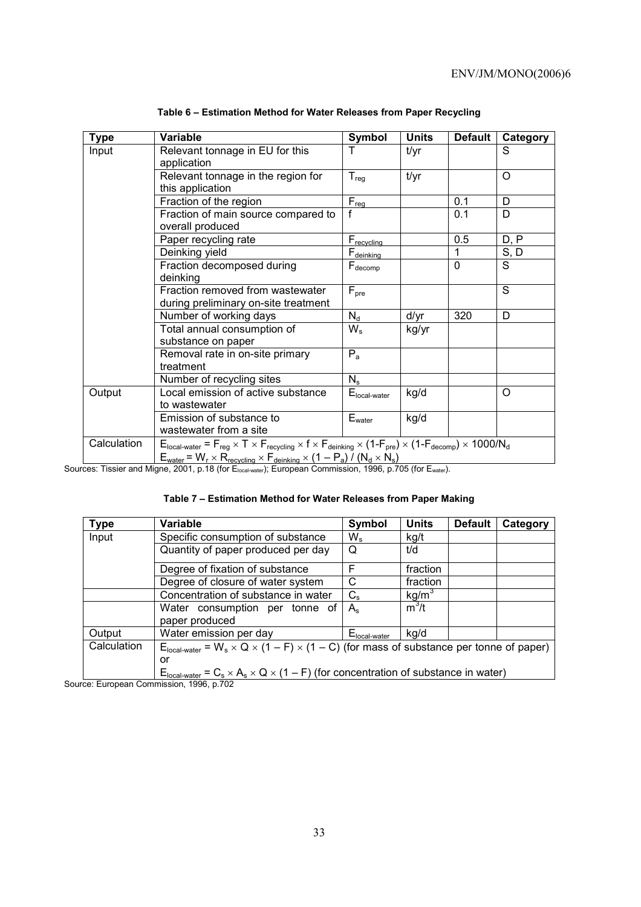| <b>Type</b> | Variable                                                                                                                                                                                                                                                                                      | Symbol                 | <b>Units</b> | <b>Default</b> | Category |
|-------------|-----------------------------------------------------------------------------------------------------------------------------------------------------------------------------------------------------------------------------------------------------------------------------------------------|------------------------|--------------|----------------|----------|
| Input       | Relevant tonnage in EU for this                                                                                                                                                                                                                                                               |                        | t/yr         |                | S        |
|             | application                                                                                                                                                                                                                                                                                   |                        |              |                |          |
|             | Relevant tonnage in the region for                                                                                                                                                                                                                                                            | $T_{reg}$              | t/yr         |                | $\Omega$ |
|             | this application                                                                                                                                                                                                                                                                              |                        |              |                |          |
|             | Fraction of the region                                                                                                                                                                                                                                                                        | $F_{\text{req}}$       |              | 0.1            | D        |
|             | Fraction of main source compared to<br>overall produced                                                                                                                                                                                                                                       | f                      |              | 0.1            | D        |
|             | Paper recycling rate                                                                                                                                                                                                                                                                          | F <sub>recycling</sub> |              | 0.5            | D, P     |
|             | Deinking yield                                                                                                                                                                                                                                                                                | $F_{\text{deinking}}$  |              |                | S, D     |
|             | Fraction decomposed during                                                                                                                                                                                                                                                                    | $F_{\text{decomp}}$    |              | $\Omega$       | S        |
|             | deinking                                                                                                                                                                                                                                                                                      |                        |              |                |          |
|             | Fraction removed from wastewater                                                                                                                                                                                                                                                              | $F_{pre}$              |              |                | S        |
|             | during preliminary on-site treatment                                                                                                                                                                                                                                                          |                        |              |                |          |
|             | Number of working days                                                                                                                                                                                                                                                                        | $N_d$                  | d/yr         | 320            | D        |
|             | Total annual consumption of                                                                                                                                                                                                                                                                   | $W_{s}$                | kg/yr        |                |          |
|             | substance on paper                                                                                                                                                                                                                                                                            |                        |              |                |          |
|             | Removal rate in on-site primary<br>treatment                                                                                                                                                                                                                                                  | $P_{a}$                |              |                |          |
|             |                                                                                                                                                                                                                                                                                               |                        |              |                |          |
|             | Number of recycling sites                                                                                                                                                                                                                                                                     | $N_{\rm s}$            |              |                |          |
| Output      | Local emission of active substance                                                                                                                                                                                                                                                            | $Elocal-water$         | kg/d         |                | $\Omega$ |
|             | to wastewater                                                                                                                                                                                                                                                                                 |                        |              |                |          |
|             | Emission of substance to                                                                                                                                                                                                                                                                      | $E_{\text{water}}$     | kg/d         |                |          |
|             | wastewater from a site                                                                                                                                                                                                                                                                        |                        |              |                |          |
| Calculation | $E_{\text{local-water}} = F_{\text{reg}} \times T \times F_{\text{recycling}} \times f \times F_{\text{deinking}} \times (1-F_{\text{pre}}) \times (1-F_{\text{decomp}}) \times 1000/N_d$<br>$E_{water}$ = $W_r \times R_{recvcling} \times F_{deinking} \times (1 - P_a) / (N_d \times N_s)$ |                        |              |                |          |

**Table 6 – Estimation Method for Water Releases from Paper Recycling** 

Sources: Tissier and Migne, 2001, p.18 (for E<sub>local-water</sub>); European Commission, 1996, p.705 (for E<sub>water</sub>).

|  |  |  | Table 7 - Estimation Method for Water Releases from Paper Making |
|--|--|--|------------------------------------------------------------------|
|--|--|--|------------------------------------------------------------------|

| <b>Type</b> | Variable                                                                                                         | Symbol                   | <b>Units</b>      | <b>Default</b> | Category |
|-------------|------------------------------------------------------------------------------------------------------------------|--------------------------|-------------------|----------------|----------|
| Input       | Specific consumption of substance                                                                                | $W_{\rm s}$              | kg/t              |                |          |
|             | Quantity of paper produced per day                                                                               | O                        | t/d               |                |          |
|             | Degree of fixation of substance                                                                                  | F                        | fraction          |                |          |
|             | Degree of closure of water system                                                                                | C                        | fraction          |                |          |
|             | Concentration of substance in water                                                                              | $C_{\rm s}$              | kg/m <sup>3</sup> |                |          |
|             | Water consumption per tonne of                                                                                   | $A_{s}$                  | $m^3/t$           |                |          |
|             | paper produced                                                                                                   |                          |                   |                |          |
| Output      | Water emission per day                                                                                           | E <sub>local-water</sub> | kg/d              |                |          |
| Calculation | $E_{\text{local-water}} = W_s \times Q \times (1 - F) \times (1 - C)$ (for mass of substance per tonne of paper) |                          |                   |                |          |
|             | or                                                                                                               |                          |                   |                |          |
|             | $E_{\text{local-water}} = C_s \times A_s \times Q \times (1 - F)$ (for concentration of substance in water)      |                          |                   |                |          |

Source: European Commission, 1996, p.702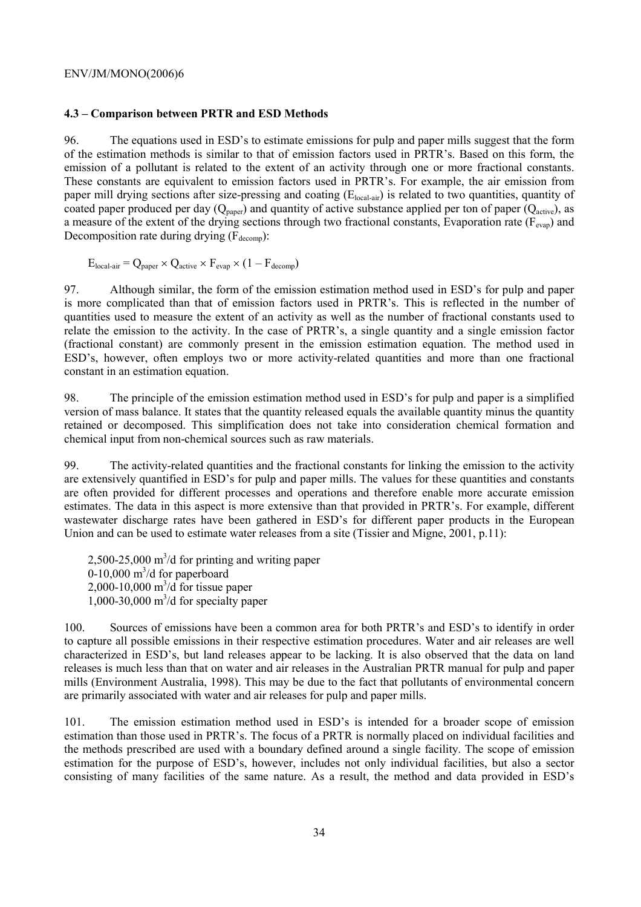#### **4.3 – Comparison between PRTR and ESD Methods**

96. The equations used in ESD's to estimate emissions for pulp and paper mills suggest that the form of the estimation methods is similar to that of emission factors used in PRTR's. Based on this form, the emission of a pollutant is related to the extent of an activity through one or more fractional constants. These constants are equivalent to emission factors used in PRTR's. For example, the air emission from paper mill drying sections after size-pressing and coating (E<sub>local-air</sub>) is related to two quantities, quantity of coated paper produced per day  $(Q_{\text{paper}})$  and quantity of active substance applied per ton of paper  $(Q_{\text{active}})$ , as a measure of the extent of the drying sections through two fractional constants, Evaporation rate ( $F_{evap}$ ) and Decomposition rate during drying  $(F_{\text{decomp}})$ :

$$
E_{local-air} = Q_{paper} \times Q_{active} \times F_{evap} \times (1 - F_{decomp})
$$

97. Although similar, the form of the emission estimation method used in ESD's for pulp and paper is more complicated than that of emission factors used in PRTR's. This is reflected in the number of quantities used to measure the extent of an activity as well as the number of fractional constants used to relate the emission to the activity. In the case of PRTR's, a single quantity and a single emission factor (fractional constant) are commonly present in the emission estimation equation. The method used in ESD's, however, often employs two or more activity-related quantities and more than one fractional constant in an estimation equation.

98. The principle of the emission estimation method used in ESD's for pulp and paper is a simplified version of mass balance. It states that the quantity released equals the available quantity minus the quantity retained or decomposed. This simplification does not take into consideration chemical formation and chemical input from non-chemical sources such as raw materials.

99. The activity-related quantities and the fractional constants for linking the emission to the activity are extensively quantified in ESD's for pulp and paper mills. The values for these quantities and constants are often provided for different processes and operations and therefore enable more accurate emission estimates. The data in this aspect is more extensive than that provided in PRTR's. For example, different wastewater discharge rates have been gathered in ESD's for different paper products in the European Union and can be used to estimate water releases from a site (Tissier and Migne, 2001, p.11):

 $2,500-25,000 \text{ m}^3/\text{d}$  for printing and writing paper  $0-10,000$  m<sup>3</sup>/d for paperboard  $2,000-10,000 \text{ m}^3/\text{d}$  for tissue paper 1,000-30,000  $m^3/d$  for specialty paper

100. Sources of emissions have been a common area for both PRTR's and ESD's to identify in order to capture all possible emissions in their respective estimation procedures. Water and air releases are well characterized in ESD's, but land releases appear to be lacking. It is also observed that the data on land releases is much less than that on water and air releases in the Australian PRTR manual for pulp and paper mills (Environment Australia, 1998). This may be due to the fact that pollutants of environmental concern are primarily associated with water and air releases for pulp and paper mills.

101. The emission estimation method used in ESD's is intended for a broader scope of emission estimation than those used in PRTR's. The focus of a PRTR is normally placed on individual facilities and the methods prescribed are used with a boundary defined around a single facility. The scope of emission estimation for the purpose of ESD's, however, includes not only individual facilities, but also a sector consisting of many facilities of the same nature. As a result, the method and data provided in ESD's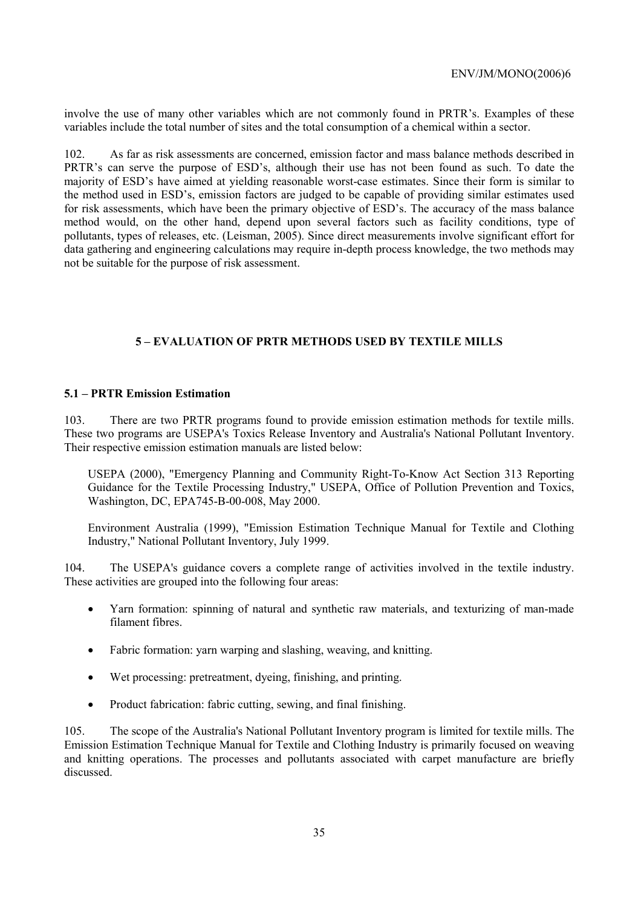involve the use of many other variables which are not commonly found in PRTR's. Examples of these variables include the total number of sites and the total consumption of a chemical within a sector.

102. As far as risk assessments are concerned, emission factor and mass balance methods described in PRTR's can serve the purpose of ESD's, although their use has not been found as such. To date the majority of ESD's have aimed at yielding reasonable worst-case estimates. Since their form is similar to the method used in ESD's, emission factors are judged to be capable of providing similar estimates used for risk assessments, which have been the primary objective of ESD's. The accuracy of the mass balance method would, on the other hand, depend upon several factors such as facility conditions, type of pollutants, types of releases, etc. (Leisman, 2005). Since direct measurements involve significant effort for data gathering and engineering calculations may require in-depth process knowledge, the two methods may not be suitable for the purpose of risk assessment.

## **5 – EVALUATION OF PRTR METHODS USED BY TEXTILE MILLS**

#### **5.1 – PRTR Emission Estimation**

103. There are two PRTR programs found to provide emission estimation methods for textile mills. These two programs are USEPA's Toxics Release Inventory and Australia's National Pollutant Inventory. Their respective emission estimation manuals are listed below:

USEPA (2000), "Emergency Planning and Community Right-To-Know Act Section 313 Reporting Guidance for the Textile Processing Industry," USEPA, Office of Pollution Prevention and Toxics, Washington, DC, EPA745-B-00-008, May 2000.

Environment Australia (1999), "Emission Estimation Technique Manual for Textile and Clothing Industry," National Pollutant Inventory, July 1999.

104. The USEPA's guidance covers a complete range of activities involved in the textile industry. These activities are grouped into the following four areas:

- Yarn formation: spinning of natural and synthetic raw materials, and texturizing of man-made filament fibres.
- Fabric formation: yarn warping and slashing, weaving, and knitting.
- Wet processing: pretreatment, dyeing, finishing, and printing.
- Product fabrication: fabric cutting, sewing, and final finishing.

105. The scope of the Australia's National Pollutant Inventory program is limited for textile mills. The Emission Estimation Technique Manual for Textile and Clothing Industry is primarily focused on weaving and knitting operations. The processes and pollutants associated with carpet manufacture are briefly discussed.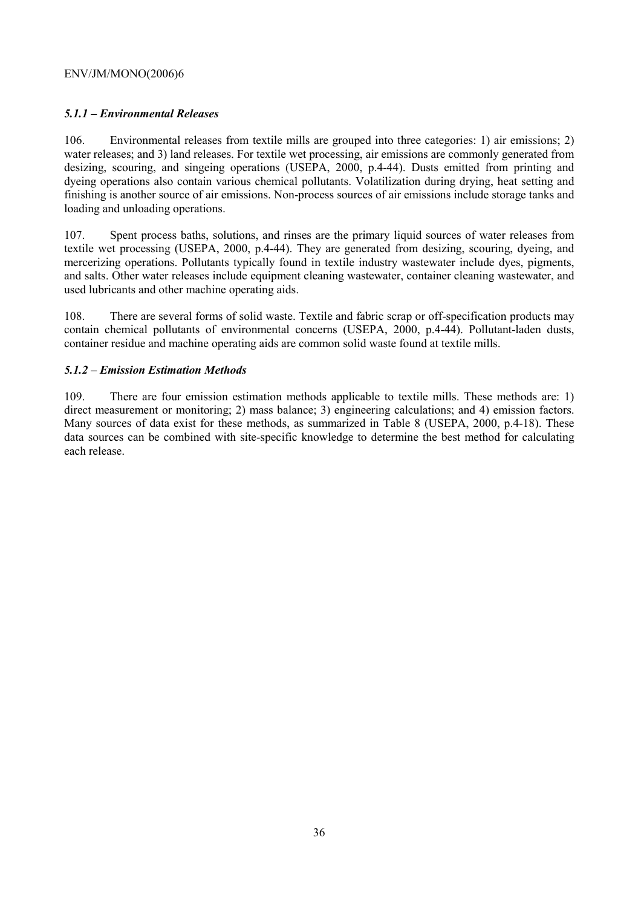## *5.1.1 – Environmental Releases*

106. Environmental releases from textile mills are grouped into three categories: 1) air emissions; 2) water releases; and 3) land releases. For textile wet processing, air emissions are commonly generated from desizing, scouring, and singeing operations (USEPA, 2000, p.4-44). Dusts emitted from printing and dyeing operations also contain various chemical pollutants. Volatilization during drying, heat setting and finishing is another source of air emissions. Non-process sources of air emissions include storage tanks and loading and unloading operations.

107. Spent process baths, solutions, and rinses are the primary liquid sources of water releases from textile wet processing (USEPA, 2000, p.4-44). They are generated from desizing, scouring, dyeing, and mercerizing operations. Pollutants typically found in textile industry wastewater include dyes, pigments, and salts. Other water releases include equipment cleaning wastewater, container cleaning wastewater, and used lubricants and other machine operating aids.

108. There are several forms of solid waste. Textile and fabric scrap or off-specification products may contain chemical pollutants of environmental concerns (USEPA, 2000, p.4-44). Pollutant-laden dusts, container residue and machine operating aids are common solid waste found at textile mills.

## *5.1.2 – Emission Estimation Methods*

109. There are four emission estimation methods applicable to textile mills. These methods are: 1) direct measurement or monitoring; 2) mass balance; 3) engineering calculations; and 4) emission factors. Many sources of data exist for these methods, as summarized in Table 8 (USEPA, 2000, p.4-18). These data sources can be combined with site-specific knowledge to determine the best method for calculating each release.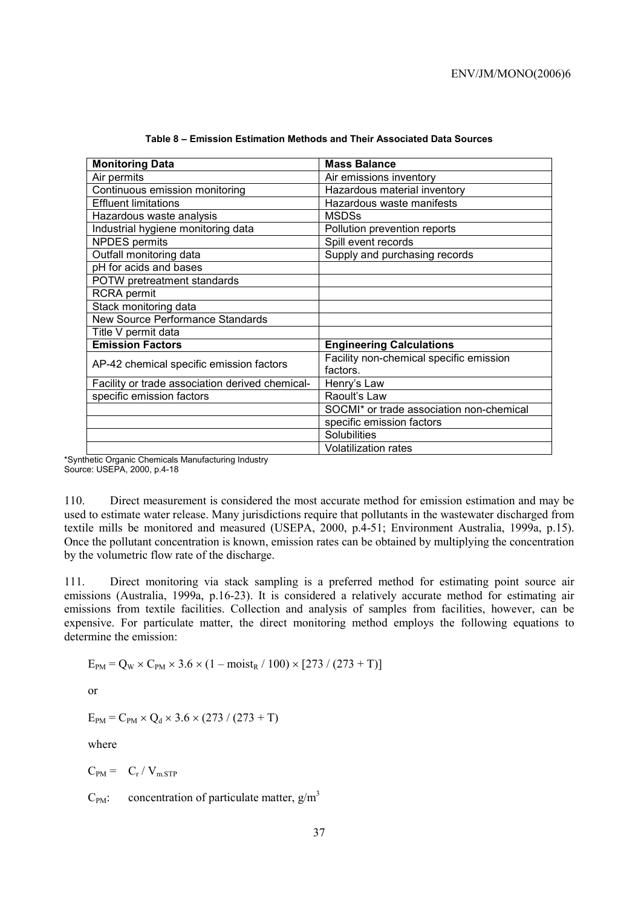| <b>Monitoring Data</b>                          | <b>Mass Balance</b>                      |
|-------------------------------------------------|------------------------------------------|
| Air permits                                     | Air emissions inventory                  |
| Continuous emission monitoring                  | Hazardous material inventory             |
| <b>Effluent limitations</b>                     | Hazardous waste manifests                |
| Hazardous waste analysis                        | <b>MSDSs</b>                             |
| Industrial hygiene monitoring data              | Pollution prevention reports             |
| <b>NPDES</b> permits                            | Spill event records                      |
| Outfall monitoring data                         | Supply and purchasing records            |
| pH for acids and bases                          |                                          |
| POTW pretreatment standards                     |                                          |
| <b>RCRA</b> permit                              |                                          |
| Stack monitoring data                           |                                          |
| New Source Performance Standards                |                                          |
| Title V permit data                             |                                          |
| <b>Emission Factors</b>                         | <b>Engineering Calculations</b>          |
| AP-42 chemical specific emission factors        | Facility non-chemical specific emission  |
|                                                 | factors.                                 |
| Facility or trade association derived chemical- | Henry's Law                              |
| specific emission factors                       | Raoult's Law                             |
|                                                 | SOCMI* or trade association non-chemical |
|                                                 | specific emission factors                |
|                                                 | Solubilities                             |
|                                                 | <b>Volatilization rates</b>              |

| Table 8 – Emission Estimation Methods and Their Associated Data Sources |  |  |  |  |  |
|-------------------------------------------------------------------------|--|--|--|--|--|
|-------------------------------------------------------------------------|--|--|--|--|--|

\*Synthetic Organic Chemicals Manufacturing Industry Source: USEPA, 2000, p.4-18

110. Direct measurement is considered the most accurate method for emission estimation and may be used to estimate water release. Many jurisdictions require that pollutants in the wastewater discharged from textile mills be monitored and measured (USEPA, 2000, p.4-51; Environment Australia, 1999a, p.15). Once the pollutant concentration is known, emission rates can be obtained by multiplying the concentration by the volumetric flow rate of the discharge.

111. Direct monitoring via stack sampling is a preferred method for estimating point source air emissions (Australia, 1999a, p.16-23). It is considered a relatively accurate method for estimating air emissions from textile facilities. Collection and analysis of samples from facilities, however, can be expensive. For particulate matter, the direct monitoring method employs the following equations to determine the emission:

 $E_{PM} = Q_W \times C_{PM} \times 3.6 \times (1 - \text{moist}_R / 100) \times [273 / (273 + T)]$ 

or

 $E_{PM} = C_{PM} \times Q_d \times 3.6 \times (273 / (273 + T))$ 

where

 $C_{PM} = C_r / V_{m,STP}$ 

 $C_{PM}$ : concentration of particulate matter,  $g/m<sup>3</sup>$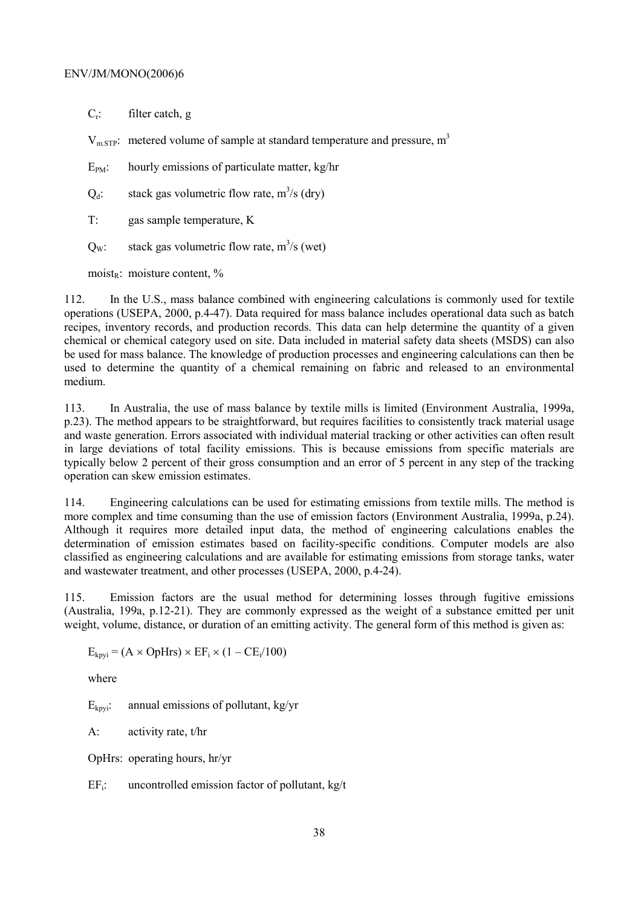$C_r$ : filter catch, g

 $V<sub>m STP</sub>$ : metered volume of sample at standard temperature and pressure,  $m<sup>3</sup>$ 

 $E_{PM}$ : hourly emissions of particulate matter, kg/hr

 $Q_d$ : stack gas volumetric flow rate, m<sup>3</sup>/s (dry)

T: gas sample temperature, K

 $Q_w$ : stack gas volumetric flow rate, m<sup>3</sup>/s (wet)

moist<sub>R</sub>: moisture content,  $\%$ 

112. In the U.S., mass balance combined with engineering calculations is commonly used for textile operations (USEPA, 2000, p.4-47). Data required for mass balance includes operational data such as batch recipes, inventory records, and production records. This data can help determine the quantity of a given chemical or chemical category used on site. Data included in material safety data sheets (MSDS) can also be used for mass balance. The knowledge of production processes and engineering calculations can then be used to determine the quantity of a chemical remaining on fabric and released to an environmental medium.

113. In Australia, the use of mass balance by textile mills is limited (Environment Australia, 1999a, p.23). The method appears to be straightforward, but requires facilities to consistently track material usage and waste generation. Errors associated with individual material tracking or other activities can often result in large deviations of total facility emissions. This is because emissions from specific materials are typically below 2 percent of their gross consumption and an error of 5 percent in any step of the tracking operation can skew emission estimates.

114. Engineering calculations can be used for estimating emissions from textile mills. The method is more complex and time consuming than the use of emission factors (Environment Australia, 1999a, p.24). Although it requires more detailed input data, the method of engineering calculations enables the determination of emission estimates based on facility-specific conditions. Computer models are also classified as engineering calculations and are available for estimating emissions from storage tanks, water and wastewater treatment, and other processes (USEPA, 2000, p.4-24).

115. Emission factors are the usual method for determining losses through fugitive emissions (Australia, 199a, p.12-21). They are commonly expressed as the weight of a substance emitted per unit weight, volume, distance, or duration of an emitting activity. The general form of this method is given as:

 $E_{kpyi} = (A \times OpHrs) \times EF_i \times (1 - CE_i/100)$ 

where

 $E_{kovi}$ : annual emissions of pollutant, kg/yr

A: activity rate, t/hr

OpHrs: operating hours, hr/yr

 $EF_i$ : uncontrolled emission factor of pollutant, kg/t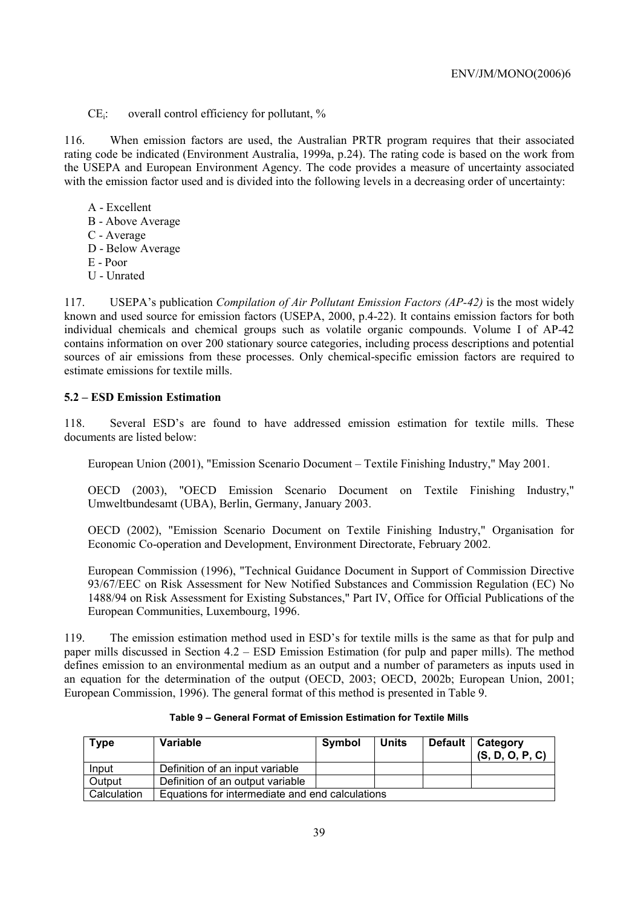$CE_i$ : overall control efficiency for pollutant,  $\%$ 

116. When emission factors are used, the Australian PRTR program requires that their associated rating code be indicated (Environment Australia, 1999a, p.24). The rating code is based on the work from the USEPA and European Environment Agency. The code provides a measure of uncertainty associated with the emission factor used and is divided into the following levels in a decreasing order of uncertainty:

- A Excellent
- B Above Average
- C Average
- D Below Average
- E Poor
- U Unrated

117. USEPA's publication *Compilation of Air Pollutant Emission Factors (AP-42)* is the most widely known and used source for emission factors (USEPA, 2000, p.4-22). It contains emission factors for both individual chemicals and chemical groups such as volatile organic compounds. Volume I of AP-42 contains information on over 200 stationary source categories, including process descriptions and potential sources of air emissions from these processes. Only chemical-specific emission factors are required to estimate emissions for textile mills.

# **5.2 – ESD Emission Estimation**

118. Several ESD's are found to have addressed emission estimation for textile mills. These documents are listed below:

European Union (2001), "Emission Scenario Document – Textile Finishing Industry," May 2001.

OECD (2003), "OECD Emission Scenario Document on Textile Finishing Industry," Umweltbundesamt (UBA), Berlin, Germany, January 2003.

OECD (2002), "Emission Scenario Document on Textile Finishing Industry," Organisation for Economic Co-operation and Development, Environment Directorate, February 2002.

European Commission (1996), "Technical Guidance Document in Support of Commission Directive 93/67/EEC on Risk Assessment for New Notified Substances and Commission Regulation (EC) No 1488/94 on Risk Assessment for Existing Substances," Part IV, Office for Official Publications of the European Communities, Luxembourg, 1996.

119. The emission estimation method used in ESD's for textile mills is the same as that for pulp and paper mills discussed in Section 4.2 – ESD Emission Estimation (for pulp and paper mills). The method defines emission to an environmental medium as an output and a number of parameters as inputs used in an equation for the determination of the output (OECD, 2003; OECD, 2002b; European Union, 2001; European Commission, 1996). The general format of this method is presented in Table 9.

| <b>Type</b> | <b>Variable</b>                                 | Symbol | <b>Units</b> |  | Default   Category<br>(S, D, O, P, C) |  |
|-------------|-------------------------------------------------|--------|--------------|--|---------------------------------------|--|
| Input       | Definition of an input variable                 |        |              |  |                                       |  |
| Output      | Definition of an output variable                |        |              |  |                                       |  |
| Calculation | Equations for intermediate and end calculations |        |              |  |                                       |  |

**Table 9 – General Format of Emission Estimation for Textile Mills**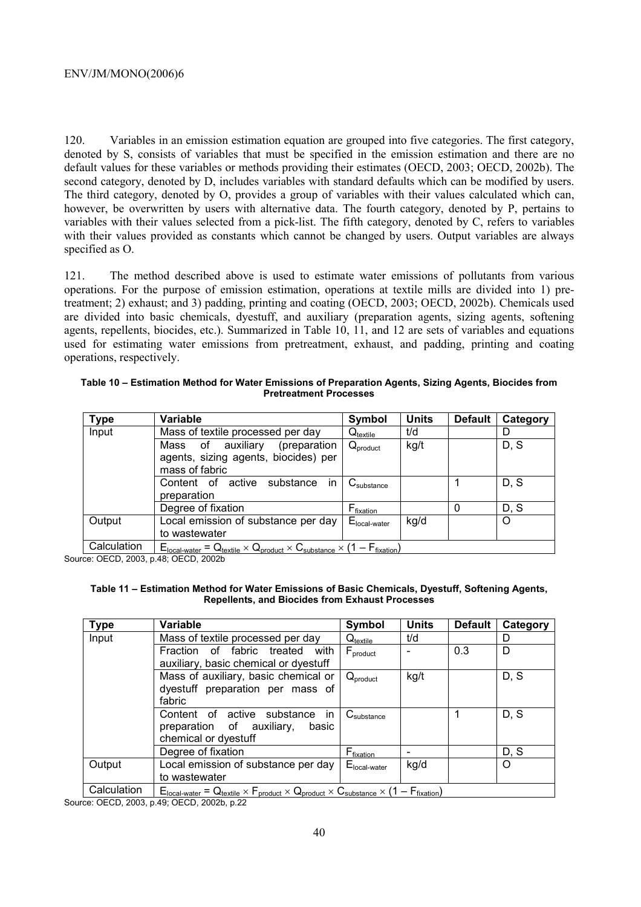120. Variables in an emission estimation equation are grouped into five categories. The first category, denoted by S, consists of variables that must be specified in the emission estimation and there are no default values for these variables or methods providing their estimates (OECD, 2003; OECD, 2002b). The second category, denoted by D, includes variables with standard defaults which can be modified by users. The third category, denoted by O, provides a group of variables with their values calculated which can, however, be overwritten by users with alternative data. The fourth category, denoted by P, pertains to variables with their values selected from a pick-list. The fifth category, denoted by C, refers to variables with their values provided as constants which cannot be changed by users. Output variables are always specified as O.

121. The method described above is used to estimate water emissions of pollutants from various operations. For the purpose of emission estimation, operations at textile mills are divided into 1) pretreatment; 2) exhaust; and 3) padding, printing and coating (OECD, 2003; OECD, 2002b). Chemicals used are divided into basic chemicals, dyestuff, and auxiliary (preparation agents, sizing agents, softening agents, repellents, biocides, etc.). Summarized in Table 10, 11, and 12 are sets of variables and equations used for estimating water emissions from pretreatment, exhaust, and padding, printing and coating operations, respectively.

**Table 10 – Estimation Method for Water Emissions of Preparation Agents, Sizing Agents, Biocides from Pretreatment Processes** 

| <b>Type</b> | <b>Variable</b>                                                                                | Symbol                          | <b>Units</b> | <b>Default</b> | Category |
|-------------|------------------------------------------------------------------------------------------------|---------------------------------|--------------|----------------|----------|
| Input       | Mass of textile processed per day                                                              | $\mathsf{Q}_{\mathsf{textile}}$ | t/d          |                |          |
|             | auxiliary<br>Mass of<br>(preparation<br>agents, sizing agents, biocides) per<br>mass of fabric | $Q_{product}$                   | kg/t         |                | D, S     |
|             | Content of active substance in<br>preparation                                                  | $C_{\text{substance}}$          |              |                | D, S     |
|             | Degree of fixation                                                                             | $F_{fixation}$                  |              |                | D.S      |
| Output      | Local emission of substance per day<br>to wastewater                                           | $Elocal-water$                  | kg/d         |                | O        |
| Calculation | $F_{\alpha}$ $= 0$ $\alpha \times 0$ $\alpha \times 0$ $\alpha \times 1 = F_{\alpha} \times 1$ |                                 |              |                |          |

 $\mathcal{U}_{\text{textile}} \times \mathbf{Q}_{\text{product}} \times \mathbf{C}_{\text{substance}} \times (1 - \mathbf{F}_{\text{fixation}})$ 

Source: OECD, 2003, p.48; OECD, 2002b

#### **Table 11 – Estimation Method for Water Emissions of Basic Chemicals, Dyestuff, Softening Agents, Repellents, and Biocides from Exhaust Processes**

| <b>Type</b> | <b>Variable</b>                                                                                                      | Symbol                          | <b>Units</b> | <b>Default</b> | Category |
|-------------|----------------------------------------------------------------------------------------------------------------------|---------------------------------|--------------|----------------|----------|
| Input       | Mass of textile processed per day                                                                                    | $\mathrm{Q}_\textrm{tex}$       | t/d          |                | D        |
|             | Fraction of fabric<br>treated<br>with<br>auxiliary, basic chemical or dyestuff                                       | $\mathsf{F}_{\mathsf{product}}$ |              | 0.3            | D        |
|             | Mass of auxiliary, basic chemical or                                                                                 | $Q_{product}$                   | kg/t         |                | D, S     |
|             | dyestuff preparation per mass of<br>fabric                                                                           |                                 |              |                |          |
|             | Content of<br>active substance<br>in.<br>preparation of auxiliary,<br>basic<br>chemical or dyestuff                  | $C_{\text{substance}}$          |              |                | D, S     |
|             | Degree of fixation                                                                                                   | F <sub>fi<u>xation</u></sub>    |              |                | D, S     |
| Output      | Local emission of substance per day<br>to wastewater                                                                 | $Elocal-water$                  | kg/d         |                | $\Omega$ |
| Calculation | $E_{local-water} = Q_{textile} \times F_{product} \times Q_{product} \times C_{substance} \times (1 - F_{fixation})$ |                                 |              |                |          |

Source: OECD, 2003, p.49; OECD, 2002b, p.22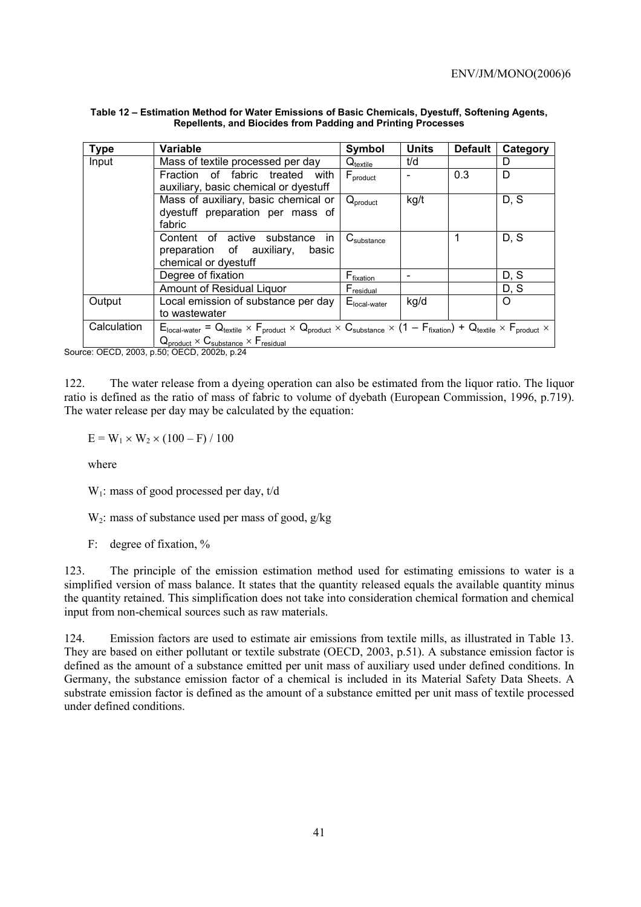| <b>Type</b> | <b>Variable</b>                                                                                                                                                                                                                                                                | Symbol                   | <b>Units</b> | <b>Default</b> | Category |
|-------------|--------------------------------------------------------------------------------------------------------------------------------------------------------------------------------------------------------------------------------------------------------------------------------|--------------------------|--------------|----------------|----------|
| Input       | Mass of textile processed per day                                                                                                                                                                                                                                              | $Q_{\textrm{textile}}$   | t/d          |                | D        |
|             | Fraction of fabric treated<br>with<br>auxiliary, basic chemical or dyestuff                                                                                                                                                                                                    | $F_{product}$            |              | 0.3            | D        |
|             | Mass of auxiliary, basic chemical or<br>dyestuff preparation per mass of<br>fabric                                                                                                                                                                                             | $Q_{product}$            | kg/t         |                | D, S     |
|             | Content of active substance in<br>preparation of auxiliary,<br>basic<br>chemical or dyestuff                                                                                                                                                                                   | $C_{\text{substance}}$   |              |                | D, S     |
|             | Degree of fixation                                                                                                                                                                                                                                                             | F <sub>fixation</sub>    |              |                | D, S     |
|             | Amount of Residual Liquor                                                                                                                                                                                                                                                      | $F_{residual}$           |              |                | D, S     |
| Output      | Local emission of substance per day<br>to wastewater                                                                                                                                                                                                                           | E <sub>local-water</sub> | kg/d         |                | O        |
| Calculation | $E_{\text{local-water}} = Q_{\text{textile}} \times F_{\text{product}} \times Q_{\text{product}} \times C_{\text{substrace}} \times (1 - F_{\text{fixation}}) + Q_{\text{textile}} \times F_{\text{product}} \times$<br>$Q_{product} \times C_{substance} \times F_{residual}$ |                          |              |                |          |

| Table 12 – Estimation Method for Water Emissions of Basic Chemicals, Dyestuff, Softening Agents, |
|--------------------------------------------------------------------------------------------------|
| Repellents, and Biocides from Padding and Printing Processes                                     |

Source: OECD, 2003, p.50; OECD, 2002b, p.24

122. The water release from a dyeing operation can also be estimated from the liquor ratio. The liquor ratio is defined as the ratio of mass of fabric to volume of dyebath (European Commission, 1996, p.719). The water release per day may be calculated by the equation:

 $E = W_1 \times W_2 \times (100 - F) / 100$ 

where

W<sub>1</sub>: mass of good processed per day, t/d

 $W_2$ : mass of substance used per mass of good,  $g/kg$ 

F: degree of fixation, %

123. The principle of the emission estimation method used for estimating emissions to water is a simplified version of mass balance. It states that the quantity released equals the available quantity minus the quantity retained. This simplification does not take into consideration chemical formation and chemical input from non-chemical sources such as raw materials.

124. Emission factors are used to estimate air emissions from textile mills, as illustrated in Table 13. They are based on either pollutant or textile substrate (OECD, 2003, p.51). A substance emission factor is defined as the amount of a substance emitted per unit mass of auxiliary used under defined conditions. In Germany, the substance emission factor of a chemical is included in its Material Safety Data Sheets. A substrate emission factor is defined as the amount of a substance emitted per unit mass of textile processed under defined conditions.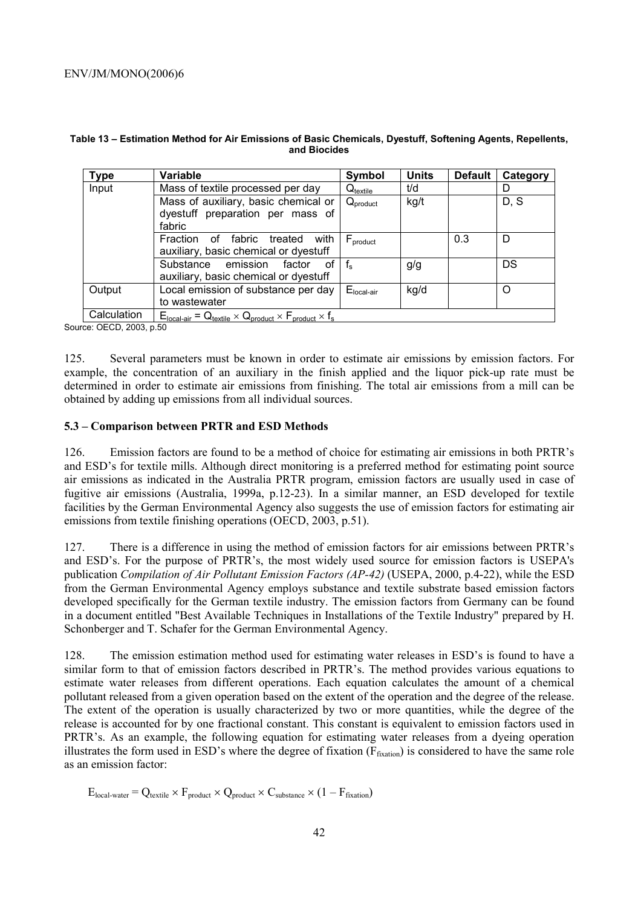| Type        | Variable                                                                                                            | Symbol               | <b>Units</b> | <b>Default</b> | Category |
|-------------|---------------------------------------------------------------------------------------------------------------------|----------------------|--------------|----------------|----------|
| Input       | Mass of textile processed per day                                                                                   | $Q_{\text{textile}}$ | t/d          |                | D        |
|             | Mass of auxiliary, basic chemical or<br>dyestuff preparation per mass of<br>fabric                                  | $Q_{product}$        | kg/t         |                | D, S     |
|             | fabric<br>with<br>Fraction<br>treated<br>οf<br>auxiliary, basic chemical or dyestuff                                | $F_{product}$        |              | 0.3            | D        |
|             | Substance emission<br>factor<br>οf<br>auxiliary, basic chemical or dyestuff                                         | $f_{e}$              | g/g          |                | DS       |
| Output      | Local emission of substance per day<br>to wastewater                                                                | $Elocal-air$         | kg/d         |                | റ        |
| Calculation | $E_{\text{local-air}} = Q_{\text{textile}} \times Q_{\text{product}} \times F_{\text{product}} \times f_{\text{s}}$ |                      |              |                |          |

#### **Table 13 – Estimation Method for Air Emissions of Basic Chemicals, Dyestuff, Softening Agents, Repellents, and Biocides**

Source: OECD, 2003, p.50

125. Several parameters must be known in order to estimate air emissions by emission factors. For example, the concentration of an auxiliary in the finish applied and the liquor pick-up rate must be determined in order to estimate air emissions from finishing. The total air emissions from a mill can be obtained by adding up emissions from all individual sources.

## **5.3 – Comparison between PRTR and ESD Methods**

126. Emission factors are found to be a method of choice for estimating air emissions in both PRTR's and ESD's for textile mills. Although direct monitoring is a preferred method for estimating point source air emissions as indicated in the Australia PRTR program, emission factors are usually used in case of fugitive air emissions (Australia, 1999a, p.12-23). In a similar manner, an ESD developed for textile facilities by the German Environmental Agency also suggests the use of emission factors for estimating air emissions from textile finishing operations (OECD, 2003, p.51).

127. There is a difference in using the method of emission factors for air emissions between PRTR's and ESD's. For the purpose of PRTR's, the most widely used source for emission factors is USEPA's publication *Compilation of Air Pollutant Emission Factors (AP-42)* (USEPA, 2000, p.4-22), while the ESD from the German Environmental Agency employs substance and textile substrate based emission factors developed specifically for the German textile industry. The emission factors from Germany can be found in a document entitled "Best Available Techniques in Installations of the Textile Industry" prepared by H. Schonberger and T. Schafer for the German Environmental Agency.

128. The emission estimation method used for estimating water releases in ESD's is found to have a similar form to that of emission factors described in PRTR's. The method provides various equations to estimate water releases from different operations. Each equation calculates the amount of a chemical pollutant released from a given operation based on the extent of the operation and the degree of the release. The extent of the operation is usually characterized by two or more quantities, while the degree of the release is accounted for by one fractional constant. This constant is equivalent to emission factors used in PRTR's. As an example, the following equation for estimating water releases from a dyeing operation illustrates the form used in ESD's where the degree of fixation ( $F_{fixation}$ ) is considered to have the same role as an emission factor:

 $E_{local-water} = Q_{textile} \times F_{product} \times Q_{product} \times C_{substance} \times (1 - F_{fixation})$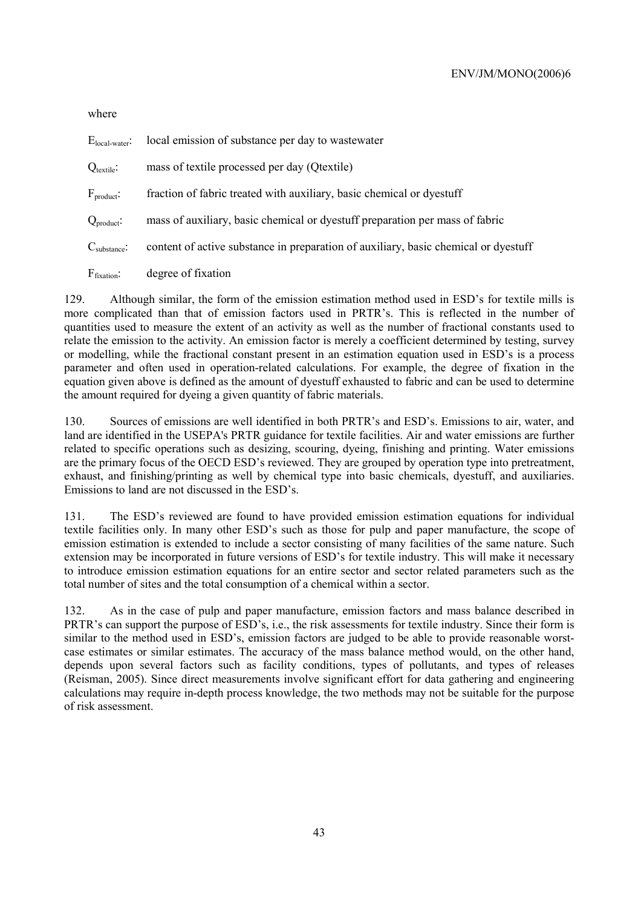where

| $E_{local-water}$ :      | local emission of substance per day to wastewater                                   |
|--------------------------|-------------------------------------------------------------------------------------|
| $Q_{\text{textile}}$ :   | mass of textile processed per day (Qtextile)                                        |
| $F_{product}$ :          | fraction of fabric treated with auxiliary, basic chemical or dyestuff               |
| $Q_{product}$ :          | mass of auxiliary, basic chemical or dyestuff preparation per mass of fabric        |
| $C_{\text{substance}}$ : | content of active substance in preparation of auxiliary, basic chemical or dyestuff |
| $F_{fixation}$ :         | degree of fixation                                                                  |

129. Although similar, the form of the emission estimation method used in ESD's for textile mills is more complicated than that of emission factors used in PRTR's. This is reflected in the number of quantities used to measure the extent of an activity as well as the number of fractional constants used to relate the emission to the activity. An emission factor is merely a coefficient determined by testing, survey or modelling, while the fractional constant present in an estimation equation used in ESD's is a process parameter and often used in operation-related calculations. For example, the degree of fixation in the equation given above is defined as the amount of dyestuff exhausted to fabric and can be used to determine the amount required for dyeing a given quantity of fabric materials.

130. Sources of emissions are well identified in both PRTR's and ESD's. Emissions to air, water, and land are identified in the USEPA's PRTR guidance for textile facilities. Air and water emissions are further related to specific operations such as desizing, scouring, dyeing, finishing and printing. Water emissions are the primary focus of the OECD ESD's reviewed. They are grouped by operation type into pretreatment, exhaust, and finishing/printing as well by chemical type into basic chemicals, dyestuff, and auxiliaries. Emissions to land are not discussed in the ESD's.

131. The ESD's reviewed are found to have provided emission estimation equations for individual textile facilities only. In many other ESD's such as those for pulp and paper manufacture, the scope of emission estimation is extended to include a sector consisting of many facilities of the same nature. Such extension may be incorporated in future versions of ESD's for textile industry. This will make it necessary to introduce emission estimation equations for an entire sector and sector related parameters such as the total number of sites and the total consumption of a chemical within a sector.

132. As in the case of pulp and paper manufacture, emission factors and mass balance described in PRTR's can support the purpose of ESD's, i.e., the risk assessments for textile industry. Since their form is similar to the method used in ESD's, emission factors are judged to be able to provide reasonable worstcase estimates or similar estimates. The accuracy of the mass balance method would, on the other hand, depends upon several factors such as facility conditions, types of pollutants, and types of releases (Reisman, 2005). Since direct measurements involve significant effort for data gathering and engineering calculations may require in-depth process knowledge, the two methods may not be suitable for the purpose of risk assessment.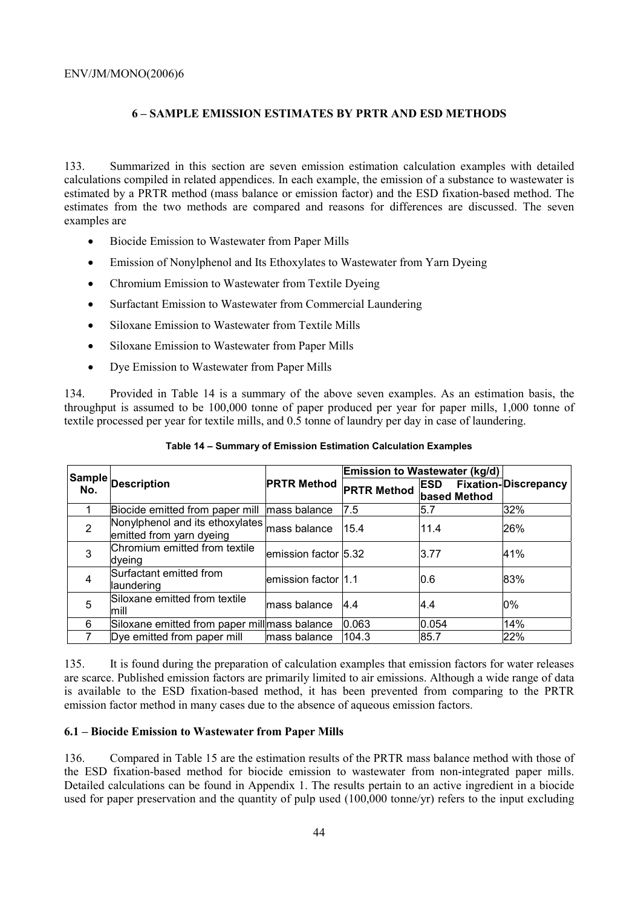# **6 – SAMPLE EMISSION ESTIMATES BY PRTR AND ESD METHODS**

133. Summarized in this section are seven emission estimation calculation examples with detailed calculations compiled in related appendices. In each example, the emission of a substance to wastewater is estimated by a PRTR method (mass balance or emission factor) and the ESD fixation-based method. The estimates from the two methods are compared and reasons for differences are discussed. The seven examples are

- Biocide Emission to Wastewater from Paper Mills
- Emission of Nonylphenol and Its Ethoxylates to Wastewater from Yarn Dyeing
- Chromium Emission to Wastewater from Textile Dyeing
- Surfactant Emission to Wastewater from Commercial Laundering
- Siloxane Emission to Wastewater from Textile Mills
- Siloxane Emission to Wastewater from Paper Mills
- Dye Emission to Wastewater from Paper Mills

134. Provided in Table 14 is a summary of the above seven examples. As an estimation basis, the throughput is assumed to be 100,000 tonne of paper produced per year for paper mills, 1,000 tonne of textile processed per year for textile mills, and 0.5 tonne of laundry per day in case of laundering.

|                |                                                                          |                       |                    | Emission to Wastewater (kg/d) |                             |
|----------------|--------------------------------------------------------------------------|-----------------------|--------------------|-------------------------------|-----------------------------|
| No.            | Sample Description                                                       | <b>PRTR Method</b>    | <b>PRTR Method</b> | <b>ESD</b><br>based Method    | <b>Fixation-Discrepancy</b> |
|                | Biocide emitted from paper mill mass balance                             |                       | 7.5                | 5.7                           | 32%                         |
| $\overline{2}$ | Nonylphenol and its ethoxylates mass balance<br>emitted from yarn dyeing |                       | 15.4               | 11.4                          | 26%                         |
| 3              | Chromium emitted from textile<br>dveing                                  | emission factor 5.32  |                    | 3.77                          | 41%                         |
| $\overline{4}$ | Surfactant emitted from<br>laundering                                    | lemission factor l1.1 |                    | 0.6                           | 83%                         |
| 5              | Siloxane emitted from textile<br>lmill                                   | lmass balance         | 4.4                | 4.4                           | 0%                          |
| 6              | Siloxane emitted from paper millmass balance                             |                       | 0.063              | 0.054                         | 14%                         |
|                | Dye emitted from paper mill                                              | lmass balance         | 104.3              | 85.7                          | 22%                         |

**Table 14 – Summary of Emission Estimation Calculation Examples** 

135. It is found during the preparation of calculation examples that emission factors for water releases are scarce. Published emission factors are primarily limited to air emissions. Although a wide range of data is available to the ESD fixation-based method, it has been prevented from comparing to the PRTR emission factor method in many cases due to the absence of aqueous emission factors.

# **6.1 – Biocide Emission to Wastewater from Paper Mills**

136. Compared in Table 15 are the estimation results of the PRTR mass balance method with those of the ESD fixation-based method for biocide emission to wastewater from non-integrated paper mills. Detailed calculations can be found in Appendix 1. The results pertain to an active ingredient in a biocide used for paper preservation and the quantity of pulp used (100,000 tonne/yr) refers to the input excluding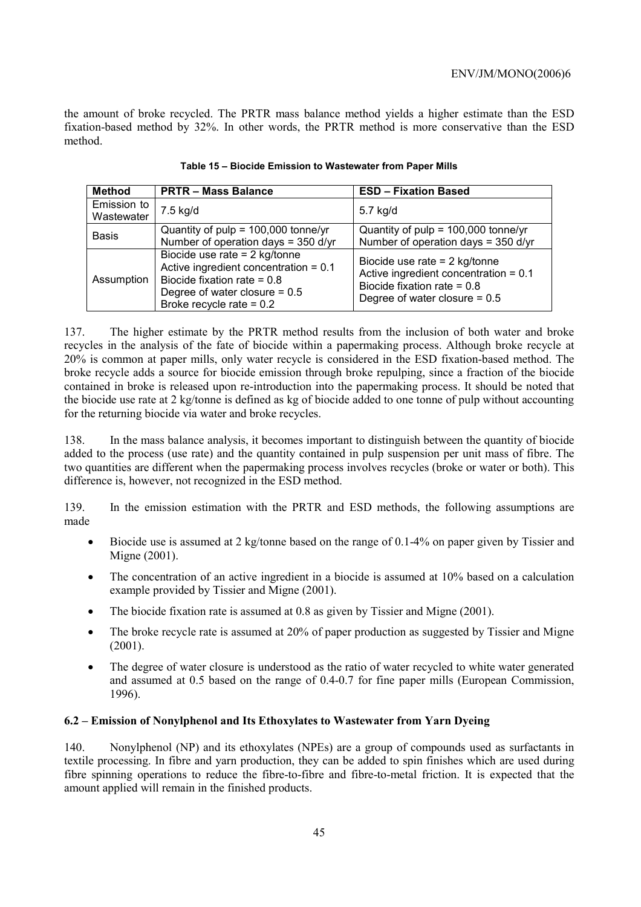the amount of broke recycled. The PRTR mass balance method yields a higher estimate than the ESD fixation-based method by 32%. In other words, the PRTR method is more conservative than the ESD method.

| Method                    | <b>PRTR-Mass Balance</b>                                                                                                                                                     | <b>ESD - Fixation Based</b>                                                                                                                    |
|---------------------------|------------------------------------------------------------------------------------------------------------------------------------------------------------------------------|------------------------------------------------------------------------------------------------------------------------------------------------|
| Emission to<br>Wastewater | 7.5 kg/d                                                                                                                                                                     | 5.7 kg/d                                                                                                                                       |
| <b>Basis</b>              | Quantity of $pulp = 100,000 tonne/yr$<br>Number of operation days = 350 d/yr                                                                                                 | Quantity of $pulp = 100,000 tonne/yr$<br>Number of operation days = $350$ d/yr                                                                 |
| Assumption                | Biocide use rate $= 2$ kg/tonne<br>Active ingredient concentration = $0.1$<br>Biocide fixation rate = $0.8$<br>Degree of water closure = $0.5$<br>Broke recycle rate = $0.2$ | Biocide use rate $= 2$ kg/tonne<br>Active ingredient concentration = $0.1$<br>Biocide fixation rate = $0.8$<br>Degree of water closure = $0.5$ |

**Table 15 – Biocide Emission to Wastewater from Paper Mills** 

137. The higher estimate by the PRTR method results from the inclusion of both water and broke recycles in the analysis of the fate of biocide within a papermaking process. Although broke recycle at 20% is common at paper mills, only water recycle is considered in the ESD fixation-based method. The broke recycle adds a source for biocide emission through broke repulping, since a fraction of the biocide contained in broke is released upon re-introduction into the papermaking process. It should be noted that the biocide use rate at 2 kg/tonne is defined as kg of biocide added to one tonne of pulp without accounting for the returning biocide via water and broke recycles.

138. In the mass balance analysis, it becomes important to distinguish between the quantity of biocide added to the process (use rate) and the quantity contained in pulp suspension per unit mass of fibre. The two quantities are different when the papermaking process involves recycles (broke or water or both). This difference is, however, not recognized in the ESD method.

139. In the emission estimation with the PRTR and ESD methods, the following assumptions are made

- Biocide use is assumed at 2 kg/tonne based on the range of 0.1-4% on paper given by Tissier and Migne (2001).
- The concentration of an active ingredient in a biocide is assumed at 10% based on a calculation example provided by Tissier and Migne (2001).
- The biocide fixation rate is assumed at 0.8 as given by Tissier and Migne (2001).
- The broke recycle rate is assumed at 20% of paper production as suggested by Tissier and Migne (2001).
- The degree of water closure is understood as the ratio of water recycled to white water generated and assumed at 0.5 based on the range of 0.4-0.7 for fine paper mills (European Commission, 1996).

# **6.2 – Emission of Nonylphenol and Its Ethoxylates to Wastewater from Yarn Dyeing**

140. Nonylphenol (NP) and its ethoxylates (NPEs) are a group of compounds used as surfactants in textile processing. In fibre and yarn production, they can be added to spin finishes which are used during fibre spinning operations to reduce the fibre-to-fibre and fibre-to-metal friction. It is expected that the amount applied will remain in the finished products.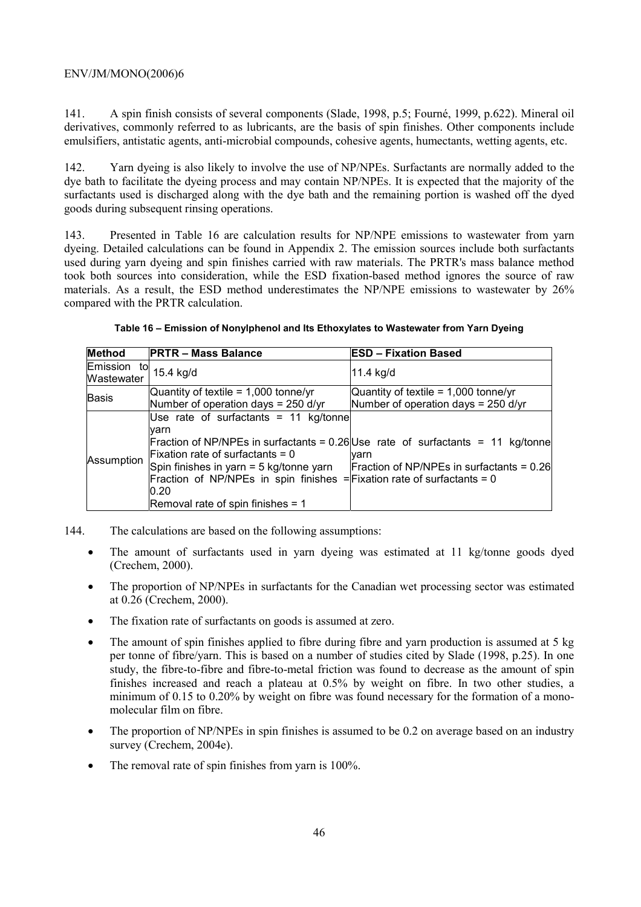141. A spin finish consists of several components (Slade, 1998, p.5; Fourné, 1999, p.622). Mineral oil derivatives, commonly referred to as lubricants, are the basis of spin finishes. Other components include emulsifiers, antistatic agents, anti-microbial compounds, cohesive agents, humectants, wetting agents, etc.

142. Yarn dyeing is also likely to involve the use of NP/NPEs. Surfactants are normally added to the dye bath to facilitate the dyeing process and may contain NP/NPEs. It is expected that the majority of the surfactants used is discharged along with the dye bath and the remaining portion is washed off the dyed goods during subsequent rinsing operations.

143. Presented in Table 16 are calculation results for NP/NPE emissions to wastewater from yarn dyeing. Detailed calculations can be found in Appendix 2. The emission sources include both surfactants used during yarn dyeing and spin finishes carried with raw materials. The PRTR's mass balance method took both sources into consideration, while the ESD fixation-based method ignores the source of raw materials. As a result, the ESD method underestimates the NP/NPE emissions to wastewater by 26% compared with the PRTR calculation.

| <b>Method</b>             | <b>PRTR - Mass Balance</b>                                                                                                                                                                                                                                  | <b>ESD - Fixation Based</b>                                                                                                            |
|---------------------------|-------------------------------------------------------------------------------------------------------------------------------------------------------------------------------------------------------------------------------------------------------------|----------------------------------------------------------------------------------------------------------------------------------------|
| Emission to<br>Wastewater | 15.4 kg/d                                                                                                                                                                                                                                                   | 11.4 kg/d                                                                                                                              |
| Basis                     | Quantity of textile = $1,000$ tonne/yr<br>Number of operation days = $250$ d/yr                                                                                                                                                                             | Quantity of textile = $1,000$ tonne/yr<br>Number of operation days = $250$ d/yr                                                        |
| Assumption                | Use rate of surfactants = 11 $kg/tonne$<br>lvarn<br>Fixation rate of surfactants = $0$<br>Spin finishes in yarn $=$ 5 kg/tonne yarn<br>Fraction of NP/NPEs in spin finishes = Fixation rate of surfactants = 0<br>0.20<br>Removal rate of spin finishes = 1 | Fraction of NP/NPEs in surfactants = 0.26 Use rate of surfactants = 11 kg/tonne<br>varn<br>Fraction of NP/NPEs in surfactants = $0.26$ |

**Table 16 – Emission of Nonylphenol and Its Ethoxylates to Wastewater from Yarn Dyeing** 

- 144. The calculations are based on the following assumptions:
	- The amount of surfactants used in yarn dyeing was estimated at 11 kg/tonne goods dyed (Crechem, 2000).
	- The proportion of NP/NPEs in surfactants for the Canadian wet processing sector was estimated at 0.26 (Crechem, 2000).
	- The fixation rate of surfactants on goods is assumed at zero.
	- The amount of spin finishes applied to fibre during fibre and yarn production is assumed at 5 kg per tonne of fibre/yarn. This is based on a number of studies cited by Slade (1998, p.25). In one study, the fibre-to-fibre and fibre-to-metal friction was found to decrease as the amount of spin finishes increased and reach a plateau at 0.5% by weight on fibre. In two other studies, a minimum of 0.15 to 0.20% by weight on fibre was found necessary for the formation of a monomolecular film on fibre.
	- The proportion of NP/NPEs in spin finishes is assumed to be 0.2 on average based on an industry survey (Crechem, 2004e).
	- The removal rate of spin finishes from yarn is 100%.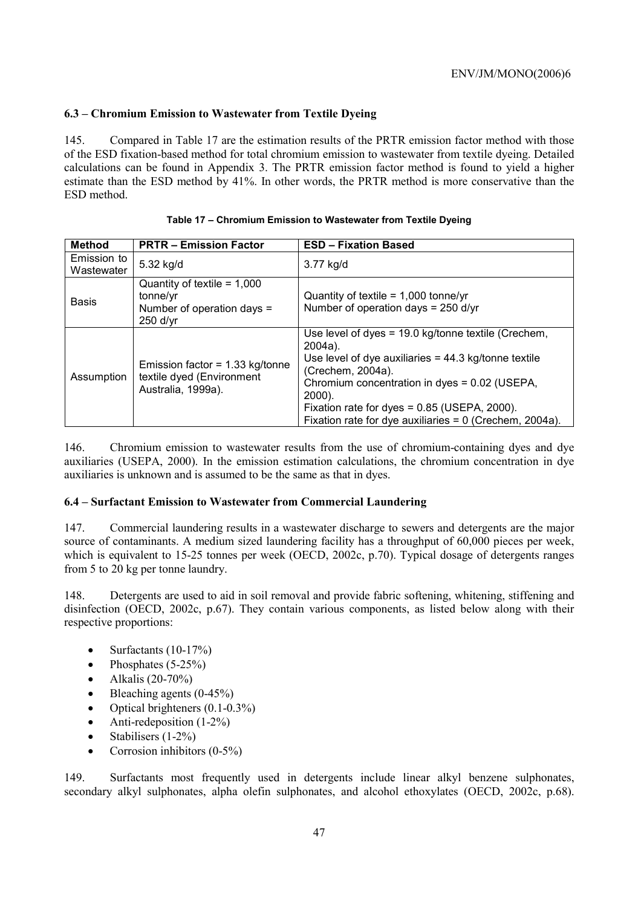# **6.3 – Chromium Emission to Wastewater from Textile Dyeing**

145. Compared in Table 17 are the estimation results of the PRTR emission factor method with those of the ESD fixation-based method for total chromium emission to wastewater from textile dyeing. Detailed calculations can be found in Appendix 3. The PRTR emission factor method is found to yield a higher estimate than the ESD method by 41%. In other words, the PRTR method is more conservative than the ESD method.

| <b>Method</b>             | <b>PRTR - Emission Factor</b>                                                         | <b>ESD - Fixation Based</b>                                                                                                                                                                                                                                                                                                 |
|---------------------------|---------------------------------------------------------------------------------------|-----------------------------------------------------------------------------------------------------------------------------------------------------------------------------------------------------------------------------------------------------------------------------------------------------------------------------|
| Emission to<br>Wastewater | 5.32 kg/d                                                                             | 3.77 kg/d                                                                                                                                                                                                                                                                                                                   |
| <b>Basis</b>              | Quantity of textile = $1,000$<br>tonne/yr<br>Number of operation days =<br>$250$ d/yr | Quantity of textile = $1,000$ tonne/yr<br>Number of operation days = 250 d/yr                                                                                                                                                                                                                                               |
| Assumption                | Emission factor = $1.33$ kg/tonne<br>textile dyed (Environment<br>Australia, 1999a).  | Use level of dyes = 19.0 kg/tonne textile (Crechem,<br>$2004a$ ).<br>Use level of dye auxiliaries $= 44.3$ kg/tonne textile<br>(Crechem, 2004a).<br>Chromium concentration in dyes = 0.02 (USEPA,<br>$2000$ ).<br>Fixation rate for dyes = 0.85 (USEPA, 2000).<br>Fixation rate for dye auxiliaries = $0$ (Crechem, 2004a). |

146. Chromium emission to wastewater results from the use of chromium-containing dyes and dye auxiliaries (USEPA, 2000). In the emission estimation calculations, the chromium concentration in dye auxiliaries is unknown and is assumed to be the same as that in dyes.

# **6.4 – Surfactant Emission to Wastewater from Commercial Laundering**

147. Commercial laundering results in a wastewater discharge to sewers and detergents are the major source of contaminants. A medium sized laundering facility has a throughput of 60,000 pieces per week, which is equivalent to 15-25 tonnes per week (OECD, 2002c, p.70). Typical dosage of detergents ranges from 5 to 20 kg per tonne laundry.

148. Detergents are used to aid in soil removal and provide fabric softening, whitening, stiffening and disinfection (OECD, 2002c, p.67). They contain various components, as listed below along with their respective proportions:

- Surfactants  $(10-17%)$
- Phosphates  $(5-25%)$
- Alkalis  $(20-70\%)$
- Bleaching agents (0-45%)
- Optical brighteners (0.1-0.3%)
- Anti-redeposition (1-2%)
- Stabilisers (1-2%)
- Corrosion inhibitors  $(0-5\%)$

149. Surfactants most frequently used in detergents include linear alkyl benzene sulphonates, secondary alkyl sulphonates, alpha olefin sulphonates, and alcohol ethoxylates (OECD, 2002c, p.68).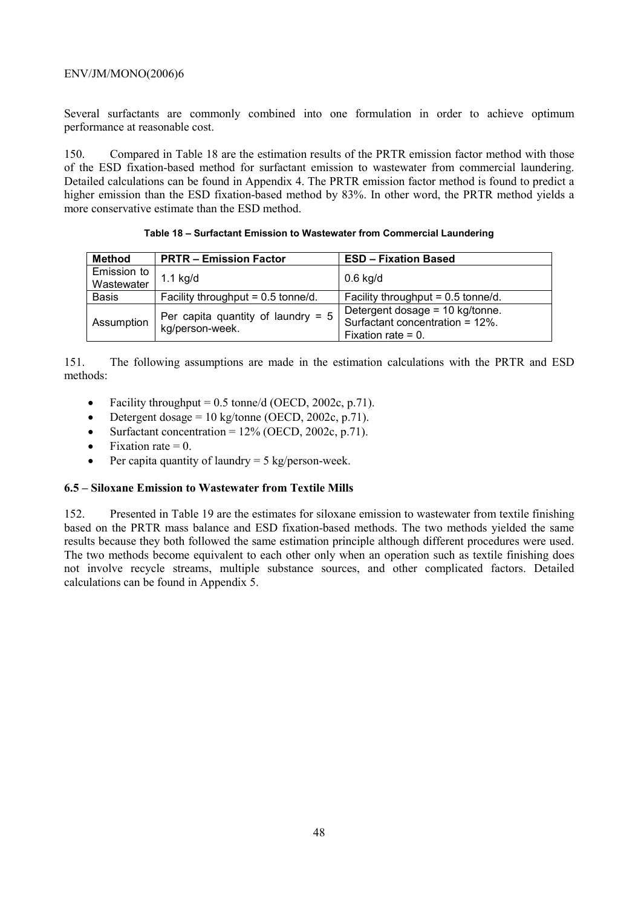Several surfactants are commonly combined into one formulation in order to achieve optimum performance at reasonable cost.

150. Compared in Table 18 are the estimation results of the PRTR emission factor method with those of the ESD fixation-based method for surfactant emission to wastewater from commercial laundering. Detailed calculations can be found in Appendix 4. The PRTR emission factor method is found to predict a higher emission than the ESD fixation-based method by 83%. In other word, the PRTR method yields a more conservative estimate than the ESD method.

| Method       | <b>PRTR - Emission Factor</b>                           | <b>ESD - Fixation Based</b>          |
|--------------|---------------------------------------------------------|--------------------------------------|
| Emission to  |                                                         |                                      |
| Wastewater   | $1.1$ kg/d                                              | $0.6$ kg/d                           |
|              |                                                         |                                      |
| <b>Basis</b> | Facility throughput = $0.5$ tonne/d.                    | Facility throughput = $0.5$ tonne/d. |
|              |                                                         | Detergent dosage = 10 kg/tonne.      |
| Assumption   | Per capita quantity of laundry = $5$<br>kg/person-week. | Surfactant concentration = 12%.      |
|              |                                                         |                                      |
|              |                                                         | Fixation rate = $0$ .                |

**Table 18 – Surfactant Emission to Wastewater from Commercial Laundering** 

151. The following assumptions are made in the estimation calculations with the PRTR and ESD methods:

- Facility throughput =  $0.5$  tonne/d (OECD, 2002c, p.71).
- Detergent dosage =  $10 \text{ kg/tonne}$  (OECD, 2002c, p.71).
- Surfactant concentration =  $12\%$  (OECD, 2002c, p.71).
- Fixation rate  $= 0$ .
- Per capita quantity of laundry  $= 5 \text{ kg/person-week.}$

# **6.5 – Siloxane Emission to Wastewater from Textile Mills**

152. Presented in Table 19 are the estimates for siloxane emission to wastewater from textile finishing based on the PRTR mass balance and ESD fixation-based methods. The two methods yielded the same results because they both followed the same estimation principle although different procedures were used. The two methods become equivalent to each other only when an operation such as textile finishing does not involve recycle streams, multiple substance sources, and other complicated factors. Detailed calculations can be found in Appendix 5.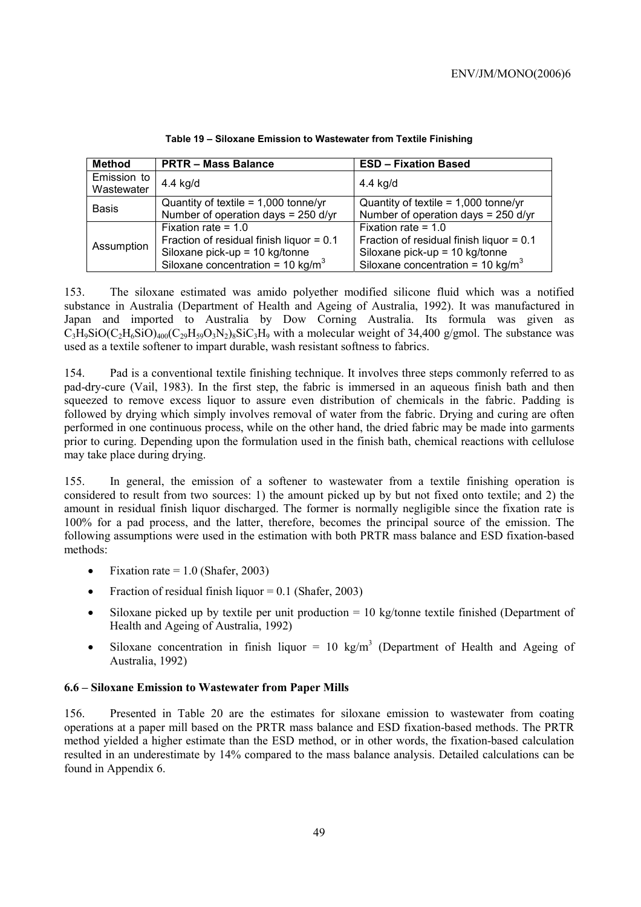| <b>Method</b>             | <b>PRTR - Mass Balance</b>                                                                                                                             | <b>ESD - Fixation Based</b>                                                                                                                            |
|---------------------------|--------------------------------------------------------------------------------------------------------------------------------------------------------|--------------------------------------------------------------------------------------------------------------------------------------------------------|
| Emission to<br>Wastewater | 4.4 kg/d                                                                                                                                               | 4.4 kg/d                                                                                                                                               |
| <b>Basis</b>              | Quantity of textile = $1,000$ tonne/yr<br>Number of operation days = 250 d/yr                                                                          | Quantity of textile = $1,000$ tonne/yr<br>Number of operation days = 250 d/yr                                                                          |
| Assumption                | Fixation rate = $1.0$<br>Fraction of residual finish liquor = $0.1$<br>Siloxane pick-up = 10 kg/tonne<br>Siloxane concentration = 10 kg/m <sup>3</sup> | Fixation rate = $1.0$<br>Fraction of residual finish liquor = $0.1$<br>Siloxane pick-up = 10 kg/tonne<br>Siloxane concentration = 10 kg/m <sup>3</sup> |

**Table 19 – Siloxane Emission to Wastewater from Textile Finishing** 

153. The siloxane estimated was amido polyether modified silicone fluid which was a notified substance in Australia (Department of Health and Ageing of Australia, 1992). It was manufactured in Japan and imported to Australia by Dow Corning Australia. Its formula was given as  $C_3H_9SiO(C_2H_6SiO)_{400}(C_{29}H_{59}O_3N_2)_{8}SiC_3H_9$  with a molecular weight of 34,400 g/gmol. The substance was used as a textile softener to impart durable, wash resistant softness to fabrics.

154. Pad is a conventional textile finishing technique. It involves three steps commonly referred to as pad-dry-cure (Vail, 1983). In the first step, the fabric is immersed in an aqueous finish bath and then squeezed to remove excess liquor to assure even distribution of chemicals in the fabric. Padding is followed by drying which simply involves removal of water from the fabric. Drying and curing are often performed in one continuous process, while on the other hand, the dried fabric may be made into garments prior to curing. Depending upon the formulation used in the finish bath, chemical reactions with cellulose may take place during drying.

155. In general, the emission of a softener to wastewater from a textile finishing operation is considered to result from two sources: 1) the amount picked up by but not fixed onto textile; and 2) the amount in residual finish liquor discharged. The former is normally negligible since the fixation rate is 100% for a pad process, and the latter, therefore, becomes the principal source of the emission. The following assumptions were used in the estimation with both PRTR mass balance and ESD fixation-based methods:

- Fixation rate  $= 1.0$  (Shafer, 2003)
- Fraction of residual finish liquor  $= 0.1$  (Shafer, 2003)
- Siloxane picked up by textile per unit production = 10 kg/tonne textile finished (Department of Health and Ageing of Australia, 1992)
- Siloxane concentration in finish liquor = 10 kg/m<sup>3</sup> (Department of Health and Ageing of Australia, 1992)

# **6.6 – Siloxane Emission to Wastewater from Paper Mills**

156. Presented in Table 20 are the estimates for siloxane emission to wastewater from coating operations at a paper mill based on the PRTR mass balance and ESD fixation-based methods. The PRTR method yielded a higher estimate than the ESD method, or in other words, the fixation-based calculation resulted in an underestimate by 14% compared to the mass balance analysis. Detailed calculations can be found in Appendix 6.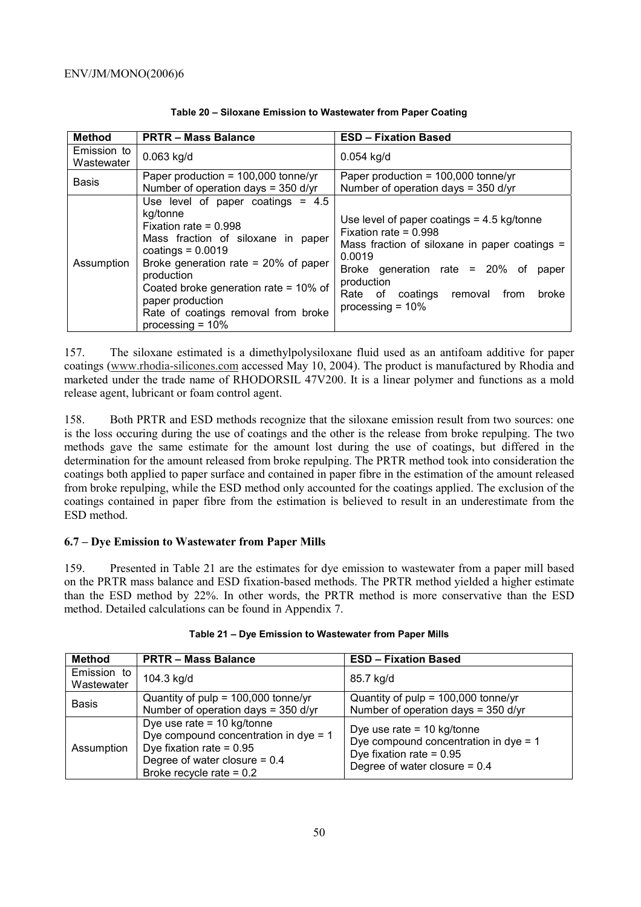| <b>Method</b>             | <b>PRTR-Mass Balance</b>                                                                                                                                                                                                                                                                                                       | <b>ESD - Fixation Based</b>                                                                                                                                                                                                                                     |
|---------------------------|--------------------------------------------------------------------------------------------------------------------------------------------------------------------------------------------------------------------------------------------------------------------------------------------------------------------------------|-----------------------------------------------------------------------------------------------------------------------------------------------------------------------------------------------------------------------------------------------------------------|
| Emission to<br>Wastewater | $0.063$ kg/d                                                                                                                                                                                                                                                                                                                   | $0.054$ kg/d                                                                                                                                                                                                                                                    |
| <b>Basis</b>              | Paper production = $100,000$ tonne/yr<br>Number of operation days = $350$ d/yr                                                                                                                                                                                                                                                 | Paper production = $100,000$ tonne/yr<br>Number of operation days = $350$ d/yr                                                                                                                                                                                  |
| Assumption                | Use level of paper coatings $= 4.5$<br>kg/tonne<br>Fixation rate = $0.998$<br>Mass fraction of siloxane in paper<br>coatings = $0.0019$<br>Broke generation rate = $20\%$ of paper<br>production<br>Coated broke generation rate = $10\%$ of<br>paper production<br>Rate of coatings removal from broke<br>processing $= 10\%$ | Use level of paper coatings $= 4.5$ kg/tonne<br>Fixation rate = $0.998$<br>Mass fraction of siloxane in paper coatings =<br>0.0019<br>Broke generation rate = $20\%$ of<br>paper<br>production<br>Rate of coatings removal from<br>broke<br>processing $= 10\%$ |

### **Table 20 – Siloxane Emission to Wastewater from Paper Coating**

157. The siloxane estimated is a dimethylpolysiloxane fluid used as an antifoam additive for paper coatings (www.rhodia-silicones.com accessed May 10, 2004). The product is manufactured by Rhodia and marketed under the trade name of RHODORSIL 47V200. It is a linear polymer and functions as a mold release agent, lubricant or foam control agent.

158. Both PRTR and ESD methods recognize that the siloxane emission result from two sources: one is the loss occuring during the use of coatings and the other is the release from broke repulping. The two methods gave the same estimate for the amount lost during the use of coatings, but differed in the determination for the amount released from broke repulping. The PRTR method took into consideration the coatings both applied to paper surface and contained in paper fibre in the estimation of the amount released from broke repulping, while the ESD method only accounted for the coatings applied. The exclusion of the coatings contained in paper fibre from the estimation is believed to result in an underestimate from the ESD method.

# **6.7 – Dye Emission to Wastewater from Paper Mills**

159. Presented in Table 21 are the estimates for dye emission to wastewater from a paper mill based on the PRTR mass balance and ESD fixation-based methods. The PRTR method yielded a higher estimate than the ESD method by 22%. In other words, the PRTR method is more conservative than the ESD method. Detailed calculations can be found in Appendix 7.

| <b>Method</b>             | <b>PRTR - Mass Balance</b>                                                                                                                                           | <b>ESD - Fixation Based</b>                                                                                                              |
|---------------------------|----------------------------------------------------------------------------------------------------------------------------------------------------------------------|------------------------------------------------------------------------------------------------------------------------------------------|
| Emission to<br>Wastewater | 104.3 kg/d                                                                                                                                                           | 85.7 kg/d                                                                                                                                |
| <b>Basis</b>              | Quantity of $pulp = 100,000$ tonne/yr<br>Number of operation days = 350 d/yr                                                                                         | Quantity of $pulp = 100,000 tonne/yr$<br>Number of operation days = $350$ d/yr                                                           |
| Assumption                | Dye use rate = $10$ kg/tonne<br>Dye compound concentration in dye $= 1$<br>Dye fixation rate = $0.95$<br>Degree of water closure = 0.4<br>Broke recycle rate = $0.2$ | Dye use rate = $10$ kg/tonne<br>Dye compound concentration in dye $= 1$<br>Dye fixation rate = $0.95$<br>Degree of water closure = $0.4$ |

|  |  |  | Table 21 – Dye Emission to Wastewater from Paper Mills |
|--|--|--|--------------------------------------------------------|
|--|--|--|--------------------------------------------------------|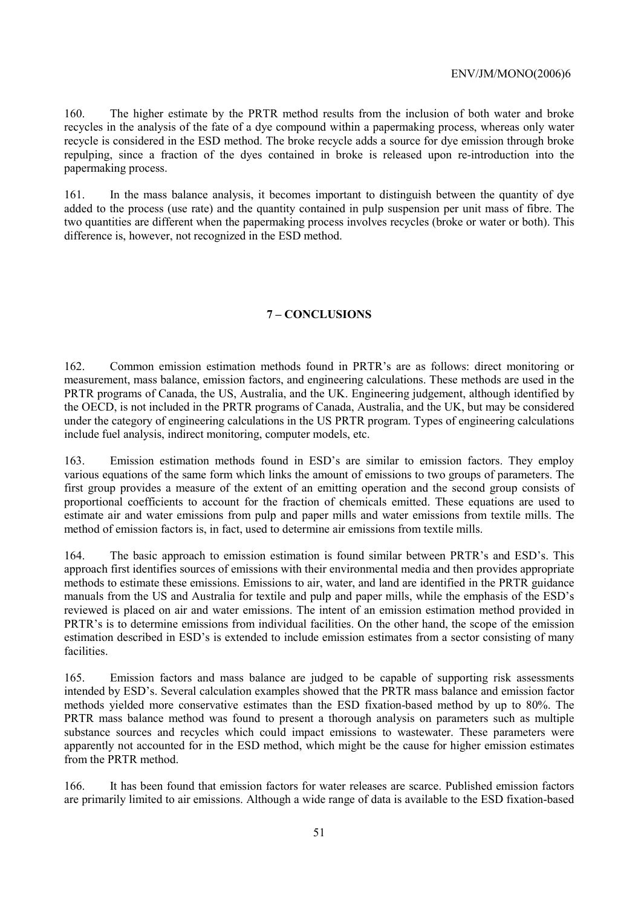160. The higher estimate by the PRTR method results from the inclusion of both water and broke recycles in the analysis of the fate of a dye compound within a papermaking process, whereas only water recycle is considered in the ESD method. The broke recycle adds a source for dye emission through broke repulping, since a fraction of the dyes contained in broke is released upon re-introduction into the papermaking process.

161. In the mass balance analysis, it becomes important to distinguish between the quantity of dye added to the process (use rate) and the quantity contained in pulp suspension per unit mass of fibre. The two quantities are different when the papermaking process involves recycles (broke or water or both). This difference is, however, not recognized in the ESD method.

# **7 – CONCLUSIONS**

162. Common emission estimation methods found in PRTR's are as follows: direct monitoring or measurement, mass balance, emission factors, and engineering calculations. These methods are used in the PRTR programs of Canada, the US, Australia, and the UK. Engineering judgement, although identified by the OECD, is not included in the PRTR programs of Canada, Australia, and the UK, but may be considered under the category of engineering calculations in the US PRTR program. Types of engineering calculations include fuel analysis, indirect monitoring, computer models, etc.

163. Emission estimation methods found in ESD's are similar to emission factors. They employ various equations of the same form which links the amount of emissions to two groups of parameters. The first group provides a measure of the extent of an emitting operation and the second group consists of proportional coefficients to account for the fraction of chemicals emitted. These equations are used to estimate air and water emissions from pulp and paper mills and water emissions from textile mills. The method of emission factors is, in fact, used to determine air emissions from textile mills.

164. The basic approach to emission estimation is found similar between PRTR's and ESD's. This approach first identifies sources of emissions with their environmental media and then provides appropriate methods to estimate these emissions. Emissions to air, water, and land are identified in the PRTR guidance manuals from the US and Australia for textile and pulp and paper mills, while the emphasis of the ESD's reviewed is placed on air and water emissions. The intent of an emission estimation method provided in PRTR's is to determine emissions from individual facilities. On the other hand, the scope of the emission estimation described in ESD's is extended to include emission estimates from a sector consisting of many facilities.

165. Emission factors and mass balance are judged to be capable of supporting risk assessments intended by ESD's. Several calculation examples showed that the PRTR mass balance and emission factor methods yielded more conservative estimates than the ESD fixation-based method by up to 80%. The PRTR mass balance method was found to present a thorough analysis on parameters such as multiple substance sources and recycles which could impact emissions to wastewater. These parameters were apparently not accounted for in the ESD method, which might be the cause for higher emission estimates from the PRTR method.

166. It has been found that emission factors for water releases are scarce. Published emission factors are primarily limited to air emissions. Although a wide range of data is available to the ESD fixation-based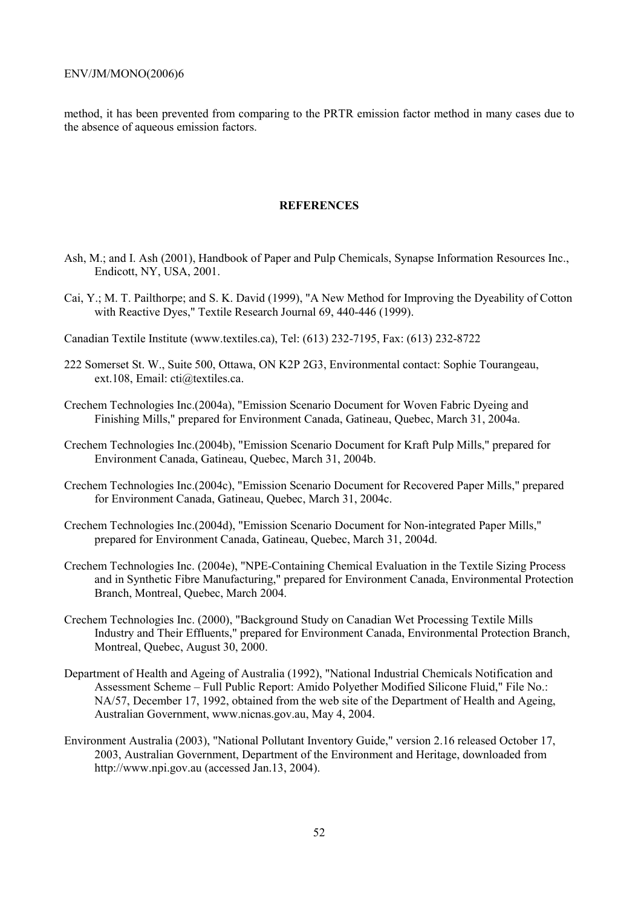method, it has been prevented from comparing to the PRTR emission factor method in many cases due to the absence of aqueous emission factors.

#### **REFERENCES**

- Ash, M.; and I. Ash (2001), Handbook of Paper and Pulp Chemicals, Synapse Information Resources Inc., Endicott, NY, USA, 2001.
- Cai, Y.; M. T. Pailthorpe; and S. K. David (1999), "A New Method for Improving the Dyeability of Cotton with Reactive Dyes," Textile Research Journal 69, 440-446 (1999).
- Canadian Textile Institute (www.textiles.ca), Tel: (613) 232-7195, Fax: (613) 232-8722
- 222 Somerset St. W., Suite 500, Ottawa, ON K2P 2G3, Environmental contact: Sophie Tourangeau, ext.108, Email: cti@textiles.ca.
- Crechem Technologies Inc.(2004a), "Emission Scenario Document for Woven Fabric Dyeing and Finishing Mills," prepared for Environment Canada, Gatineau, Quebec, March 31, 2004a.
- Crechem Technologies Inc.(2004b), "Emission Scenario Document for Kraft Pulp Mills," prepared for Environment Canada, Gatineau, Quebec, March 31, 2004b.
- Crechem Technologies Inc.(2004c), "Emission Scenario Document for Recovered Paper Mills," prepared for Environment Canada, Gatineau, Quebec, March 31, 2004c.
- Crechem Technologies Inc.(2004d), "Emission Scenario Document for Non-integrated Paper Mills," prepared for Environment Canada, Gatineau, Quebec, March 31, 2004d.
- Crechem Technologies Inc. (2004e), "NPE-Containing Chemical Evaluation in the Textile Sizing Process and in Synthetic Fibre Manufacturing," prepared for Environment Canada, Environmental Protection Branch, Montreal, Quebec, March 2004.
- Crechem Technologies Inc. (2000), "Background Study on Canadian Wet Processing Textile Mills Industry and Their Effluents," prepared for Environment Canada, Environmental Protection Branch, Montreal, Quebec, August 30, 2000.
- Department of Health and Ageing of Australia (1992), "National Industrial Chemicals Notification and Assessment Scheme – Full Public Report: Amido Polyether Modified Silicone Fluid," File No.: NA/57, December 17, 1992, obtained from the web site of the Department of Health and Ageing, Australian Government, www.nicnas.gov.au, May 4, 2004.
- Environment Australia (2003), "National Pollutant Inventory Guide," version 2.16 released October 17, 2003, Australian Government, Department of the Environment and Heritage, downloaded from http://www.npi.gov.au (accessed Jan.13, 2004).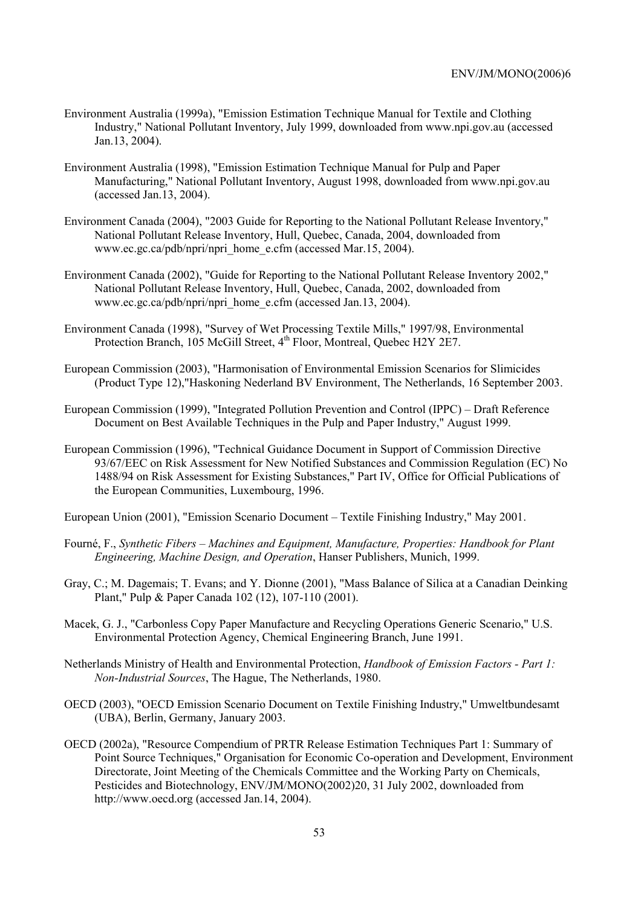- Environment Australia (1999a), "Emission Estimation Technique Manual for Textile and Clothing Industry," National Pollutant Inventory, July 1999, downloaded from www.npi.gov.au (accessed Jan.13, 2004).
- Environment Australia (1998), "Emission Estimation Technique Manual for Pulp and Paper Manufacturing," National Pollutant Inventory, August 1998, downloaded from www.npi.gov.au (accessed Jan.13, 2004).
- Environment Canada (2004), "2003 Guide for Reporting to the National Pollutant Release Inventory," National Pollutant Release Inventory, Hull, Quebec, Canada, 2004, downloaded from www.ec.gc.ca/pdb/npri/npri\_home\_e.cfm (accessed Mar.15, 2004).
- Environment Canada (2002), "Guide for Reporting to the National Pollutant Release Inventory 2002," National Pollutant Release Inventory, Hull, Quebec, Canada, 2002, downloaded from www.ec.gc.ca/pdb/npri/npri\_home\_e.cfm (accessed Jan.13, 2004).
- Environment Canada (1998), "Survey of Wet Processing Textile Mills," 1997/98, Environmental Protection Branch, 105 McGill Street, 4<sup>th</sup> Floor, Montreal, Quebec H2Y 2E7.
- European Commission (2003), "Harmonisation of Environmental Emission Scenarios for Slimicides (Product Type 12),"Haskoning Nederland BV Environment, The Netherlands, 16 September 2003.
- European Commission (1999), "Integrated Pollution Prevention and Control (IPPC) Draft Reference Document on Best Available Techniques in the Pulp and Paper Industry," August 1999.
- European Commission (1996), "Technical Guidance Document in Support of Commission Directive 93/67/EEC on Risk Assessment for New Notified Substances and Commission Regulation (EC) No 1488/94 on Risk Assessment for Existing Substances," Part IV, Office for Official Publications of the European Communities, Luxembourg, 1996.

European Union (2001), "Emission Scenario Document – Textile Finishing Industry," May 2001.

- Fourné, F., *Synthetic Fibers Machines and Equipment, Manufacture, Properties: Handbook for Plant Engineering, Machine Design, and Operation*, Hanser Publishers, Munich, 1999.
- Gray, C.; M. Dagemais; T. Evans; and Y. Dionne (2001), "Mass Balance of Silica at a Canadian Deinking Plant," Pulp & Paper Canada 102 (12), 107-110 (2001).
- Macek, G. J., "Carbonless Copy Paper Manufacture and Recycling Operations Generic Scenario," U.S. Environmental Protection Agency, Chemical Engineering Branch, June 1991.
- Netherlands Ministry of Health and Environmental Protection, *Handbook of Emission Factors Part 1: Non-Industrial Sources*, The Hague, The Netherlands, 1980.
- OECD (2003), "OECD Emission Scenario Document on Textile Finishing Industry," Umweltbundesamt (UBA), Berlin, Germany, January 2003.
- OECD (2002a), "Resource Compendium of PRTR Release Estimation Techniques Part 1: Summary of Point Source Techniques," Organisation for Economic Co-operation and Development, Environment Directorate, Joint Meeting of the Chemicals Committee and the Working Party on Chemicals, Pesticides and Biotechnology, ENV/JM/MONO(2002)20, 31 July 2002, downloaded from http://www.oecd.org (accessed Jan.14, 2004).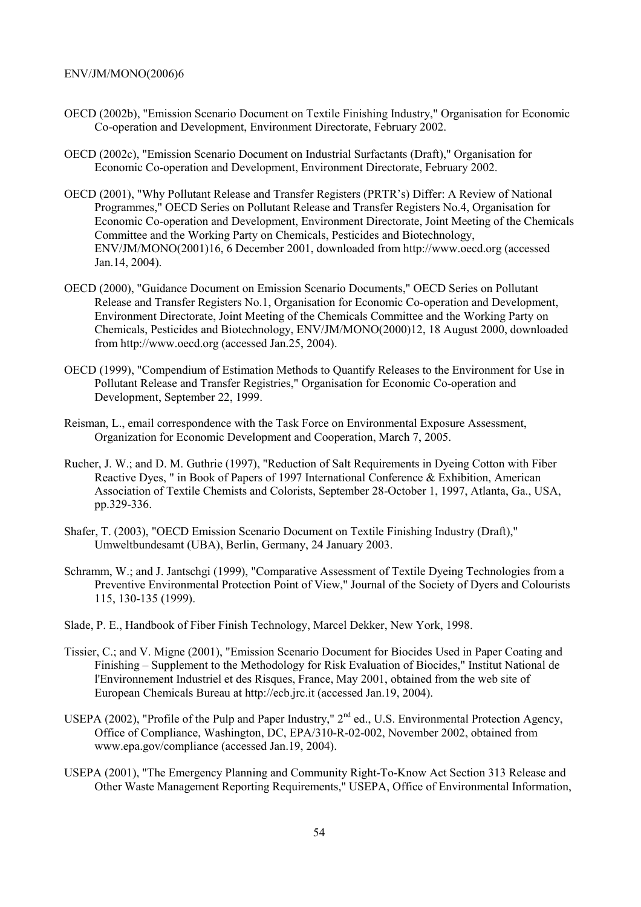- OECD (2002b), "Emission Scenario Document on Textile Finishing Industry," Organisation for Economic Co-operation and Development, Environment Directorate, February 2002.
- OECD (2002c), "Emission Scenario Document on Industrial Surfactants (Draft)," Organisation for Economic Co-operation and Development, Environment Directorate, February 2002.
- OECD (2001), "Why Pollutant Release and Transfer Registers (PRTR's) Differ: A Review of National Programmes," OECD Series on Pollutant Release and Transfer Registers No.4, Organisation for Economic Co-operation and Development, Environment Directorate, Joint Meeting of the Chemicals Committee and the Working Party on Chemicals, Pesticides and Biotechnology, ENV/JM/MONO(2001)16, 6 December 2001, downloaded from http://www.oecd.org (accessed Jan.14, 2004).
- OECD (2000), "Guidance Document on Emission Scenario Documents," OECD Series on Pollutant Release and Transfer Registers No.1, Organisation for Economic Co-operation and Development, Environment Directorate, Joint Meeting of the Chemicals Committee and the Working Party on Chemicals, Pesticides and Biotechnology, ENV/JM/MONO(2000)12, 18 August 2000, downloaded from http://www.oecd.org (accessed Jan.25, 2004).
- OECD (1999), "Compendium of Estimation Methods to Quantify Releases to the Environment for Use in Pollutant Release and Transfer Registries," Organisation for Economic Co-operation and Development, September 22, 1999.
- Reisman, L., email correspondence with the Task Force on Environmental Exposure Assessment, Organization for Economic Development and Cooperation, March 7, 2005.
- Rucher, J. W.; and D. M. Guthrie (1997), "Reduction of Salt Requirements in Dyeing Cotton with Fiber Reactive Dyes, " in Book of Papers of 1997 International Conference & Exhibition, American Association of Textile Chemists and Colorists, September 28-October 1, 1997, Atlanta, Ga., USA, pp.329-336.
- Shafer, T. (2003), "OECD Emission Scenario Document on Textile Finishing Industry (Draft)," Umweltbundesamt (UBA), Berlin, Germany, 24 January 2003.
- Schramm, W.; and J. Jantschgi (1999), "Comparative Assessment of Textile Dyeing Technologies from a Preventive Environmental Protection Point of View," Journal of the Society of Dyers and Colourists 115, 130-135 (1999).
- Slade, P. E., Handbook of Fiber Finish Technology, Marcel Dekker, New York, 1998.
- Tissier, C.; and V. Migne (2001), "Emission Scenario Document for Biocides Used in Paper Coating and Finishing – Supplement to the Methodology for Risk Evaluation of Biocides," Institut National de l'Environnement Industriel et des Risques, France, May 2001, obtained from the web site of European Chemicals Bureau at http://ecb.jrc.it (accessed Jan.19, 2004).
- USEPA (2002), "Profile of the Pulp and Paper Industry," 2<sup>nd</sup> ed., U.S. Environmental Protection Agency, Office of Compliance, Washington, DC, EPA/310-R-02-002, November 2002, obtained from www.epa.gov/compliance (accessed Jan.19, 2004).
- USEPA (2001), "The Emergency Planning and Community Right-To-Know Act Section 313 Release and Other Waste Management Reporting Requirements," USEPA, Office of Environmental Information,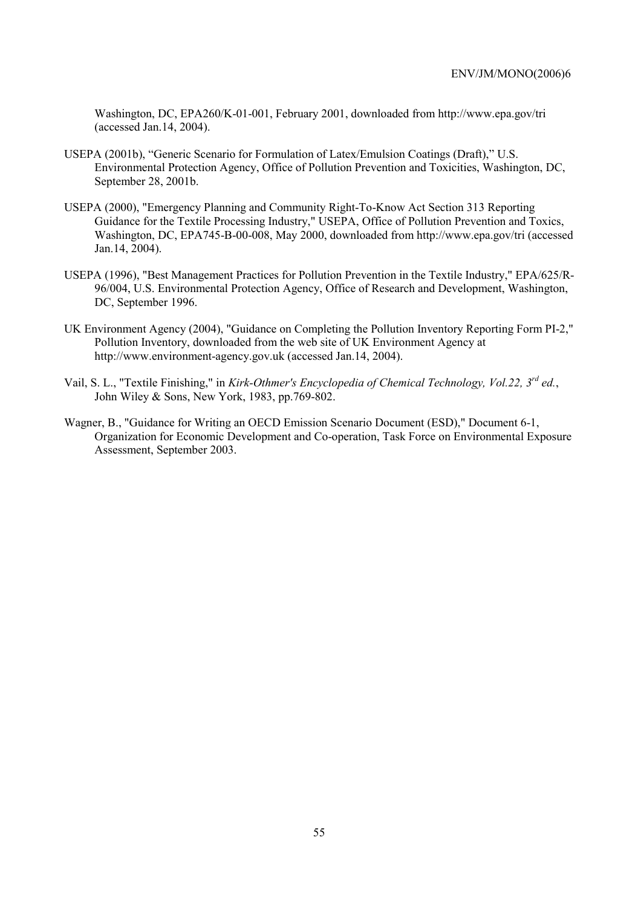Washington, DC, EPA260/K-01-001, February 2001, downloaded from http://www.epa.gov/tri (accessed Jan.14, 2004).

- USEPA (2001b), "Generic Scenario for Formulation of Latex/Emulsion Coatings (Draft)," U.S. Environmental Protection Agency, Office of Pollution Prevention and Toxicities, Washington, DC, September 28, 2001b.
- USEPA (2000), "Emergency Planning and Community Right-To-Know Act Section 313 Reporting Guidance for the Textile Processing Industry," USEPA, Office of Pollution Prevention and Toxics, Washington, DC, EPA745-B-00-008, May 2000, downloaded from http://www.epa.gov/tri (accessed Jan.14, 2004).
- USEPA (1996), "Best Management Practices for Pollution Prevention in the Textile Industry," EPA/625/R-96/004, U.S. Environmental Protection Agency, Office of Research and Development, Washington, DC, September 1996.
- UK Environment Agency (2004), "Guidance on Completing the Pollution Inventory Reporting Form PI-2," Pollution Inventory, downloaded from the web site of UK Environment Agency at http://www.environment-agency.gov.uk (accessed Jan.14, 2004).
- Vail, S. L., "Textile Finishing," in *Kirk-Othmer's Encyclopedia of Chemical Technology, Vol.22, 3rd ed.*, John Wiley & Sons, New York, 1983, pp.769-802.
- Wagner, B., "Guidance for Writing an OECD Emission Scenario Document (ESD)," Document 6-1, Organization for Economic Development and Co-operation, Task Force on Environmental Exposure Assessment, September 2003.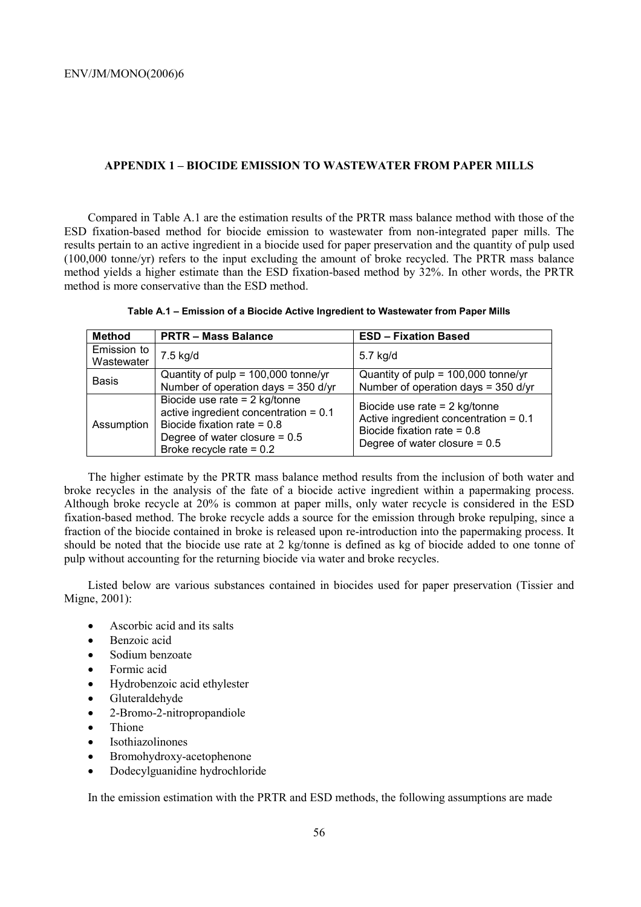## **APPENDIX 1 – BIOCIDE EMISSION TO WASTEWATER FROM PAPER MILLS**

Compared in Table A.1 are the estimation results of the PRTR mass balance method with those of the ESD fixation-based method for biocide emission to wastewater from non-integrated paper mills. The results pertain to an active ingredient in a biocide used for paper preservation and the quantity of pulp used (100,000 tonne/yr) refers to the input excluding the amount of broke recycled. The PRTR mass balance method yields a higher estimate than the ESD fixation-based method by 32%. In other words, the PRTR method is more conservative than the ESD method.

| Table A.1 - Emission of a Biocide Active Ingredient to Wastewater from Paper Mills |  |  |
|------------------------------------------------------------------------------------|--|--|
|------------------------------------------------------------------------------------|--|--|

| <b>Method</b>             | <b>PRTR - Mass Balance</b>                                                                                                                                                   | <b>ESD - Fixation Based</b>                                                                                                                    |
|---------------------------|------------------------------------------------------------------------------------------------------------------------------------------------------------------------------|------------------------------------------------------------------------------------------------------------------------------------------------|
| Emission to<br>Wastewater | 7.5 kg/d                                                                                                                                                                     | 5.7 kg/d                                                                                                                                       |
| <b>Basis</b>              | Quantity of $pulp = 100,000 tonne/yr$<br>Number of operation days = 350 d/yr                                                                                                 | Quantity of $pulp = 100,000 tonne/yr$<br>Number of operation days = $350$ d/yr                                                                 |
| Assumption                | Biocide use rate $= 2$ kg/tonne<br>active ingredient concentration = $0.1$<br>Biocide fixation rate = $0.8$<br>Degree of water closure $= 0.5$<br>Broke recycle rate = $0.2$ | Biocide use rate $= 2$ kg/tonne<br>Active ingredient concentration = $0.1$<br>Biocide fixation rate = $0.8$<br>Degree of water closure = $0.5$ |

The higher estimate by the PRTR mass balance method results from the inclusion of both water and broke recycles in the analysis of the fate of a biocide active ingredient within a papermaking process. Although broke recycle at 20% is common at paper mills, only water recycle is considered in the ESD fixation-based method. The broke recycle adds a source for the emission through broke repulping, since a fraction of the biocide contained in broke is released upon re-introduction into the papermaking process. It should be noted that the biocide use rate at 2 kg/tonne is defined as kg of biocide added to one tonne of pulp without accounting for the returning biocide via water and broke recycles.

Listed below are various substances contained in biocides used for paper preservation (Tissier and Migne, 2001):

- Ascorbic acid and its salts
- Benzoic acid
- Sodium benzoate
- Formic acid
- Hydrobenzoic acid ethylester
- Gluteraldehyde
- 2-Bromo-2-nitropropandiole
- Thione
- **Isothiazolinones**
- Bromohydroxy-acetophenone
- Dodecylguanidine hydrochloride

In the emission estimation with the PRTR and ESD methods, the following assumptions are made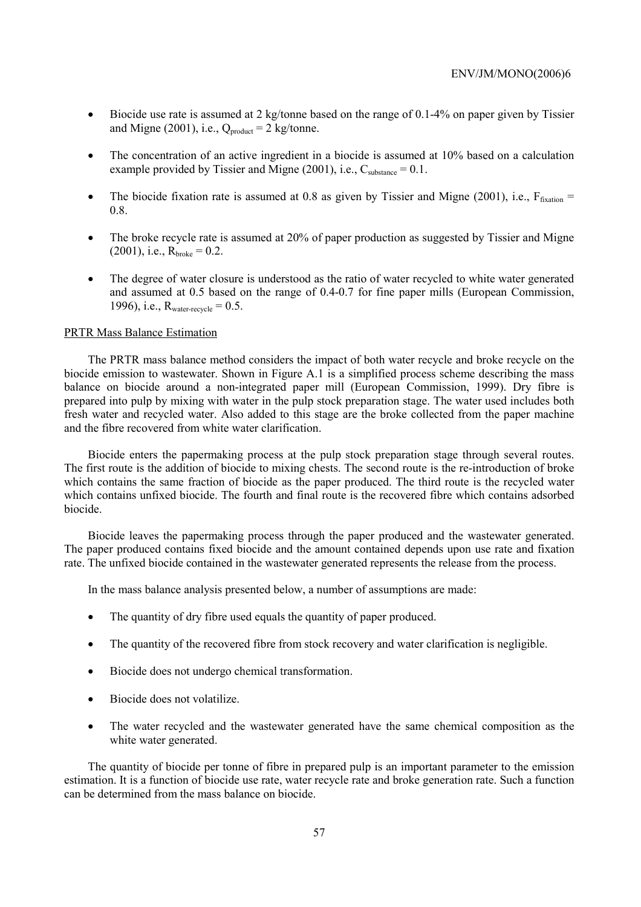- Biocide use rate is assumed at 2 kg/tonne based on the range of 0.1-4% on paper given by Tissier and Migne (2001), i.e.,  $Q_{product} = 2$  kg/tonne.
- The concentration of an active ingredient in a biocide is assumed at 10% based on a calculation example provided by Tissier and Migne (2001), i.e.,  $C_{substance} = 0.1$ .
- The biocide fixation rate is assumed at 0.8 as given by Tissier and Migne (2001), i.e.,  $F_{\text{fraction}} =$ 0.8.
- The broke recycle rate is assumed at 20% of paper production as suggested by Tissier and Migne  $(2001)$ , i.e.,  $R_{\text{broken}} = 0.2$ .
- The degree of water closure is understood as the ratio of water recycled to white water generated and assumed at 0.5 based on the range of 0.4-0.7 for fine paper mills (European Commission, 1996), i.e.,  $R_{water-recycle} = 0.5$ .

#### PRTR Mass Balance Estimation

The PRTR mass balance method considers the impact of both water recycle and broke recycle on the biocide emission to wastewater. Shown in Figure A.1 is a simplified process scheme describing the mass balance on biocide around a non-integrated paper mill (European Commission, 1999). Dry fibre is prepared into pulp by mixing with water in the pulp stock preparation stage. The water used includes both fresh water and recycled water. Also added to this stage are the broke collected from the paper machine and the fibre recovered from white water clarification.

Biocide enters the papermaking process at the pulp stock preparation stage through several routes. The first route is the addition of biocide to mixing chests. The second route is the re-introduction of broke which contains the same fraction of biocide as the paper produced. The third route is the recycled water which contains unfixed biocide. The fourth and final route is the recovered fibre which contains adsorbed biocide.

Biocide leaves the papermaking process through the paper produced and the wastewater generated. The paper produced contains fixed biocide and the amount contained depends upon use rate and fixation rate. The unfixed biocide contained in the wastewater generated represents the release from the process.

In the mass balance analysis presented below, a number of assumptions are made:

- The quantity of dry fibre used equals the quantity of paper produced.
- The quantity of the recovered fibre from stock recovery and water clarification is negligible.
- Biocide does not undergo chemical transformation.
- Biocide does not volatilize.
- The water recycled and the wastewater generated have the same chemical composition as the white water generated.

The quantity of biocide per tonne of fibre in prepared pulp is an important parameter to the emission estimation. It is a function of biocide use rate, water recycle rate and broke generation rate. Such a function can be determined from the mass balance on biocide.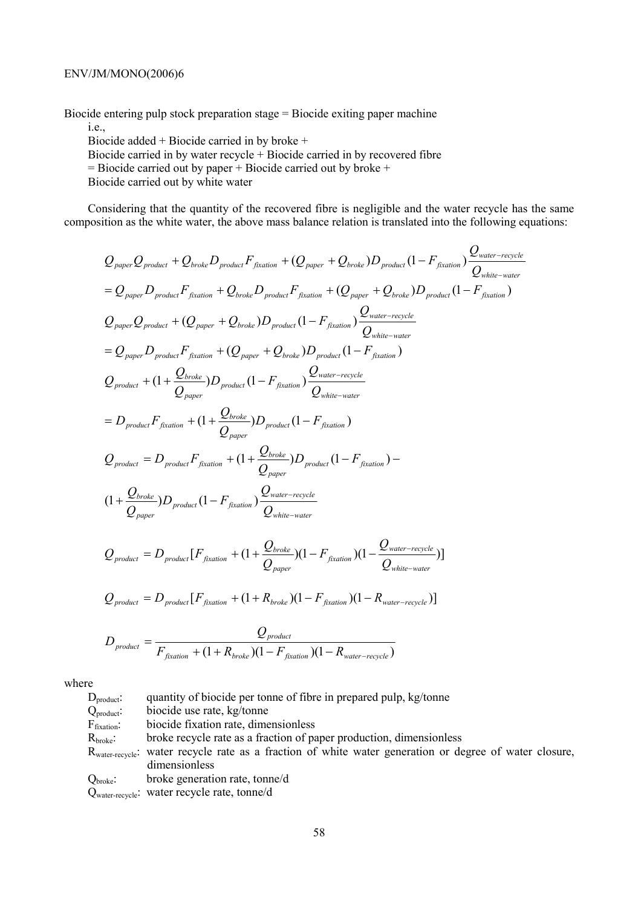Biocide entering pulp stock preparation stage = Biocide exiting paper machine

i.e., Biocide added + Biocide carried in by broke + Biocide carried in by water recycle  $+$  Biocide carried in by recovered fibre

 $=$  Biocide carried out by paper  $+$  Biocide carried out by broke  $+$ 

Biocide carried out by white water

Considering that the quantity of the recovered fibre is negligible and the water recycle has the same composition as the white water, the above mass balance relation is translated into the following equations:

$$
Q_{paper}Q_{product} + Q_{broken}D_{product}F_{fraction} + (Q_{paper} + Q_{broken})D_{product}(1 - F_{fraction})\frac{Q_{water-recycle}}{Q_{white-water-vector}}
$$
\n
$$
= Q_{paper}D_{product}F_{fraction} + Q_{broken}D_{product}F_{fraction} + (Q_{paper} + Q_{broken})D_{product}(1 - F_{fraction})
$$
\n
$$
Q_{paper}Q_{product} + (Q_{paper} + Q_{broken})D_{product}(1 - F_{fraction})\frac{Q_{water-recycle}}{Q_{white-wave}}
$$
\n
$$
= Q_{paper}D_{product}F_{fraction} + (Q_{paper} + Q_{broken})D_{product}(1 - F_{fraction})
$$
\n
$$
Q_{product} + (1 + \frac{Q_{broken}}{Q_{paper}})D_{product}(1 - F_{fraction})\frac{Q_{water-recycle}}{Q_{white-wave}}
$$
\n
$$
= D_{product}F_{fraction} + (1 + \frac{Q_{broken}}{Q_{paper}})D_{product}(1 - F_{fraction})
$$
\n
$$
Q_{product} = D_{product}F_{fraction} + (1 + \frac{Q_{broken}}{Q_{paper}})D_{product}(1 - F_{fraction})
$$
\n
$$
Q_{product} = D_{product}F_{fraction} + (1 + \frac{Q_{broken}}{Q_{paper}})D_{product}(1 - F_{fraction})
$$
\n
$$
(1 + \frac{Q_{broken}}{Q_{paper}})D_{product}(1 - F_{fraction})\frac{Q_{water-recycle}}{Q_{white-wave}}
$$
\n
$$
Q_{power} = D_{product}[F_{fraction} + (1 + \frac{Q_{broken}}{Q_{paper}})(1 - F_{fraction})(1 - \frac{Q_{water-recycle}}{Q_{white-wave-reycle}})]
$$
\n
$$
Q_{product} = D_{product}[F_{fraction} + (1 + R_{break})(1 - F_{fraction})(1 - R_{water-recycle})]
$$

$$
D_{\text{product}} = \frac{Q_{\text{product}}}{F_{\text{fixation}} + (1 + R_{\text{broken}})(1 - F_{\text{fixation}})(1 - R_{\text{water-recycle}})}
$$

where

D<sub>product</sub>: quantity of biocide per tonne of fibre in prepared pulp, kg/tonne Q<sub>product</sub>: biocide use rate, kg/tonne F<sub>fixation</sub>: biocide fixation rate, dimensionless  $R<sub>broke</sub>:$  broke recycle rate as a fraction of paper production, dimensionless Rwater-recycle: water recycle rate as a fraction of white water generation or degree of water closure, dimensionless Qbroke: broke generation rate, tonne/d

Qwater-recycle: water recycle rate, tonne/d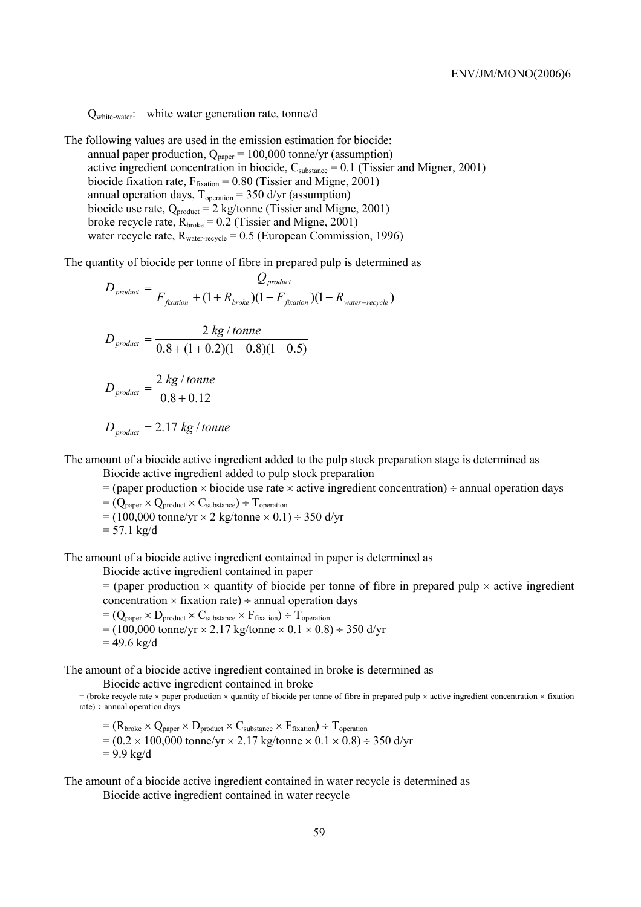Qwhite-water: white water generation rate, tonne/d

The following values are used in the emission estimation for biocide: annual paper production,  $Q_{\text{paper}} = 100,000$  tonne/yr (assumption) active ingredient concentration in biocide,  $C_{substance} = 0.1$  (Tissier and Migner, 2001) biocide fixation rate,  $F_{\text{fixation}} = 0.80$  (Tissier and Migne, 2001) annual operation days,  $T_{operation} = 350$  d/yr (assumption) biocide use rate,  $Q_{product} = 2$  kg/tonne (Tissier and Migne, 2001) broke recycle rate,  $R_{\text{broken}} = 0.2$  (Tissier and Migne, 2001) water recycle rate,  $R_{water\text{-recycle}} = 0.5$  (European Commission, 1996)

The quantity of biocide per tonne of fibre in prepared pulp is determined as

$$
D_{product} = \frac{Q_{product}}{F_{fixation} + (1 + R_{broken})(1 - F_{fixation})(1 - R_{water-recycle})}
$$
  

$$
D_{product} = \frac{2 \, kg / tonne}{0.8 + (1 + 0.2)(1 - 0.8)(1 - 0.5)}
$$
  

$$
D_{product} = \frac{2 \, kg / tonne}{0.8 + 0.12}
$$

$$
D_{\text{product}} = 2.17 \text{ kg} / \text{tonne}
$$

The amount of a biocide active ingredient added to the pulp stock preparation stage is determined as Biocide active ingredient added to pulp stock preparation

 $=$  (paper production  $\times$  biocide use rate  $\times$  active ingredient concentration)  $\div$  annual operation days  $=(Q_{\text{paper}} \times Q_{\text{product}} \times C_{\text{substance}}) \div T_{\text{operation}}$ 

 $= (100,000 \text{ tonne/yr} \times 2 \text{ kg/tonne} \times 0.1) \div 350 \text{ d/yr}$  $= 57.1 \text{ kg/d}$ 

The amount of a biocide active ingredient contained in paper is determined as

Biocide active ingredient contained in paper

 $=$  (paper production  $\times$  quantity of biocide per tonne of fibre in prepared pulp  $\times$  active ingredient concentration  $\times$  fixation rate)  $\div$  annual operation days

 $=(Q_{\text{paper}} \times D_{\text{product}} \times C_{\text{substr}} \times F_{\text{fixation}}) \div T_{\text{operation}}$  $= (100,000 \text{ tonne/yr} \times 2.17 \text{ kg/tonne} \times 0.1 \times 0.8) \div 350 \text{ d/yr}$  $= 49.6 \text{ kg/d}$ 

The amount of a biocide active ingredient contained in broke is determined as

Biocide active ingredient contained in broke

= (broke recycle rate  $\times$  paper production  $\times$  quantity of biocide per tonne of fibre in prepared pulp  $\times$  active ingredient concentration  $\times$  fixation rate) ÷ annual operation days

 $=(R_{\text{broken}} \times Q_{\text{paper}} \times D_{\text{product}} \times C_{\text{substance}} \times F_{\text{fixation}}) \div T_{\text{operation}}$  $= (0.2 \times 100,000 \text{ tonne/yr} \times 2.17 \text{ kg/tonne} \times 0.1 \times 0.8) \div 350 \text{ d/yr}$  $= 9.9$  kg/d

The amount of a biocide active ingredient contained in water recycle is determined as

Biocide active ingredient contained in water recycle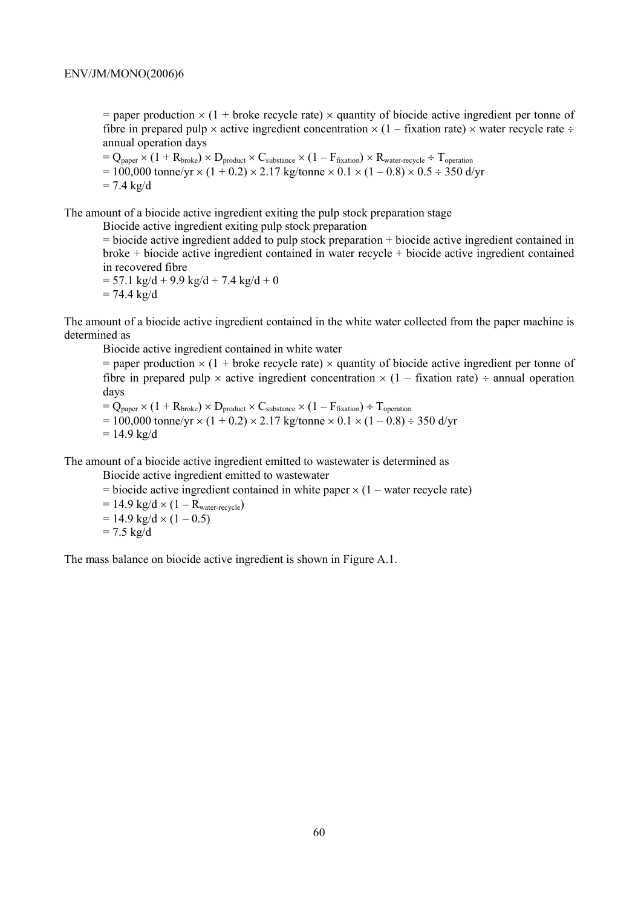$=$  paper production  $\times$  (1 + broke recycle rate)  $\times$  quantity of biocide active ingredient per tonne of fibre in prepared pulp  $\times$  active ingredient concentration  $\times$  (1 – fixation rate)  $\times$  water recycle rate ÷ annual operation days

 $=$   $Q_{paper} \times (1 + R_{broke}) \times D_{product} \times C_{substance} \times (1 - F_{fixation}) \times R_{water-recycle} \div T_{operation}$  $= 100,000$  tonne/yr  $\times$  (1 + 0.2)  $\times$  2.17 kg/tonne  $\times$  0.1  $\times$  (1 – 0.8)  $\times$  0.5 ÷ 350 d/yr  $= 7.4$  kg/d

The amount of a biocide active ingredient exiting the pulp stock preparation stage

Biocide active ingredient exiting pulp stock preparation

= biocide active ingredient added to pulp stock preparation + biocide active ingredient contained in broke + biocide active ingredient contained in water recycle + biocide active ingredient contained in recovered fibre

 $= 57.1$  kg/d + 9.9 kg/d + 7.4 kg/d + 0  $= 74.4 \text{ kg/d}$ 

The amount of a biocide active ingredient contained in the white water collected from the paper machine is determined as

Biocide active ingredient contained in white water

 $=$  paper production  $\times$  (1 + broke recycle rate)  $\times$  quantity of biocide active ingredient per tonne of fibre in prepared pulp  $\times$  active ingredient concentration  $\times$  (1 – fixation rate) ÷ annual operation days

 $= Q_{\text{paper}} \times (1 + R_{\text{broken}}) \times D_{\text{product}} \times C_{\text{substance}} \times (1 - F_{\text{fixation}}) \div T_{\text{operation}}$  $= 100,000$  tonne/yr  $\times$  (1 + 0.2)  $\times$  2.17 kg/tonne  $\times$  0.1  $\times$  (1 – 0.8) ÷ 350 d/yr  $= 14.9 \text{ kg/d}$ 

The amount of a biocide active ingredient emitted to wastewater is determined as

Biocide active ingredient emitted to wastewater

 $=$  biocide active ingredient contained in white paper  $\times$  (1 – water recycle rate)

 $= 14.9 \text{ kg/d} \times (1 - R_{\text{water-recycle}})$  $= 14.9 \text{ kg/d} \times (1 - 0.5)$ 

$$
= 7.5 \text{ kg/d}
$$

The mass balance on biocide active ingredient is shown in Figure A.1.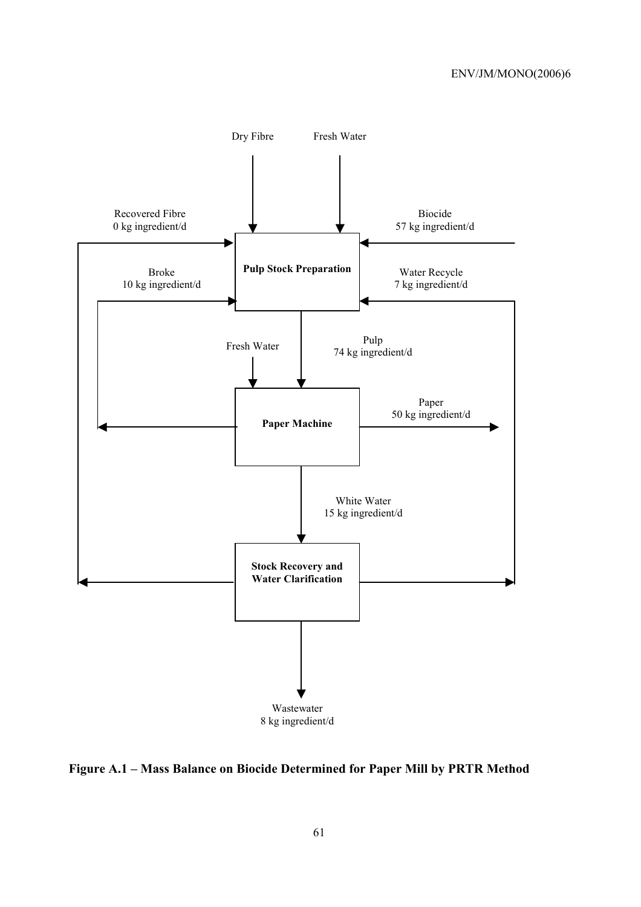

**Figure A.1 – Mass Balance on Biocide Determined for Paper Mill by PRTR Method**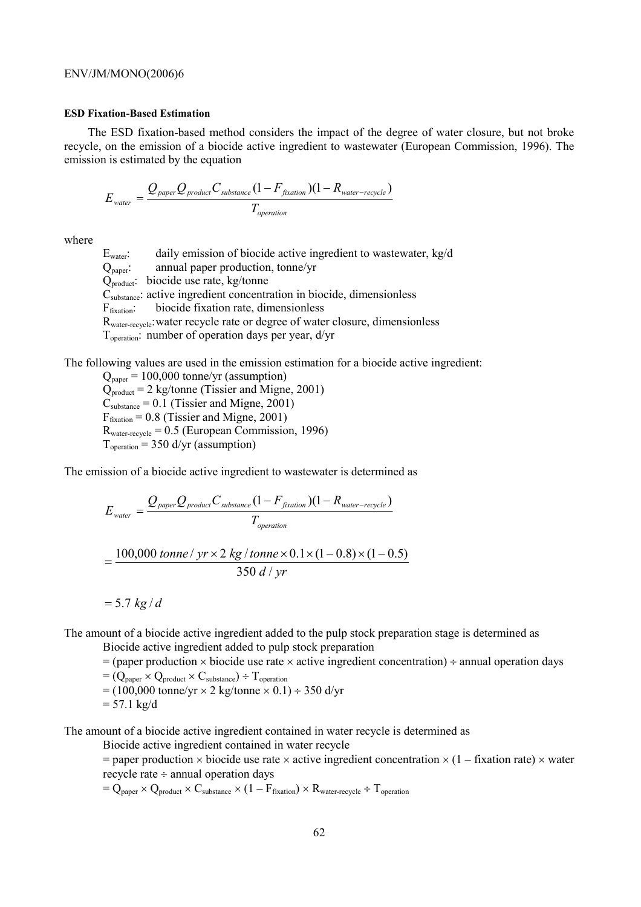#### **ESD Fixation-Based Estimation**

The ESD fixation-based method considers the impact of the degree of water closure, but not broke recycle, on the emission of a biocide active ingredient to wastewater (European Commission, 1996). The emission is estimated by the equation

$$
E_{\text{water}} = \frac{Q_{\text{paper}} Q_{\text{product}} C_{\text{substrace}} (1 - F_{\text{fixation}})(1 - R_{\text{water-recycle}})}{T_{\text{operation}}}
$$

where

 $E<sub>water</sub>$ : daily emission of biocide active ingredient to wastewater, kg/d

 $Q_{\text{paper}}$ : annual paper production, tonne/yr

Qproduct: biocide use rate, kg/tonne

 $\dot{C}_{substance}$ : active ingredient concentration in biocide, dimensionless

Ffixation: biocide fixation rate, dimensionless

Rwater-recycle: water recycle rate or degree of water closure, dimensionless

Toperation: number of operation days per year, d/yr

The following values are used in the emission estimation for a biocide active ingredient:

 $Q_{\text{paper}} = 100,000$  tonne/yr (assumption)  $Q_{product} = 2$  kg/tonne (Tissier and Migne, 2001)  $C<sub>substance</sub> = 0.1$  (Tissier and Migne, 2001)  $F<sub>fixation</sub> = 0.8$  (Tissier and Migne, 2001)  $R<sub>water-recycle</sub> = 0.5$  (European Commission, 1996)  $T_{operation} = 350$  d/yr (assumption)

The emission of a biocide active ingredient to wastewater is determined as

$$
E_{\text{water}} = \frac{Q_{\text{paper}} Q_{\text{product}} C_{\text{substance}} (1 - F_{\text{fixation}}) (1 - R_{\text{water-recycle}})}{T_{\text{operation}}}
$$

$$
= \frac{100,000 \text{ tonne} / \text{ yr} \times 2 \text{ kg} / \text{tonne} \times 0.1 \times (1 - 0.8) \times (1 - 0.5)}{350 \text{ d} / \text{ yr}}
$$

 $= 5.7 kg/d$ 

The amount of a biocide active ingredient added to the pulp stock preparation stage is determined as

Biocide active ingredient added to pulp stock preparation

 $=$  (paper production  $\times$  biocide use rate  $\times$  active ingredient concentration)  $\div$  annual operation days

- $=(Q_{\text{paper}} \times Q_{\text{product}} \times C_{\text{substance}}) \div T_{\text{operation}}$
- $= (100,000 \text{ tonne/yr} \times 2 \text{ kg/tonne} \times 0.1) \div 350 \text{ d/yr}$  $= 57.1 \text{ kg/d}$

The amount of a biocide active ingredient contained in water recycle is determined as

Biocide active ingredient contained in water recycle

= paper production  $\times$  biocide use rate  $\times$  active ingredient concentration  $\times$  (1 – fixation rate)  $\times$  water recycle rate ÷ annual operation days

 $= Q_{\text{paper}} \times Q_{\text{product}} \times C_{\text{substance}} \times (1 - F_{\text{fixation}}) \times R_{\text{water-recycle}} \div T_{\text{operation}}$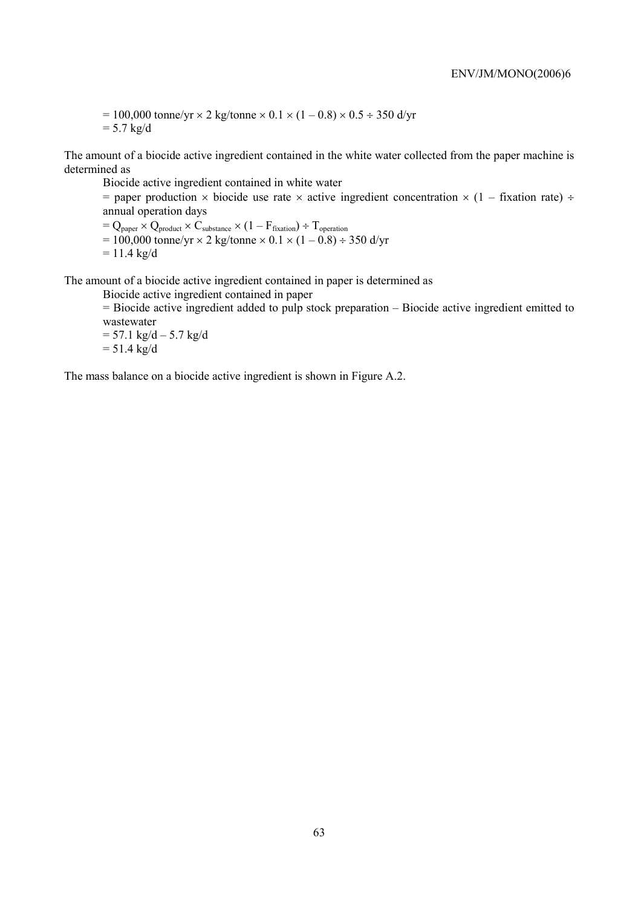$= 100,000$  tonne/yr  $\times$  2 kg/tonne  $\times$  0.1  $\times$  (1 – 0.8)  $\times$  0.5 ÷ 350 d/yr  $= 5.7 \text{ kg/d}$ 

The amount of a biocide active ingredient contained in the white water collected from the paper machine is determined as

Biocide active ingredient contained in white water

= paper production  $\times$  biocide use rate  $\times$  active ingredient concentration  $\times$  (1 – fixation rate) ÷ annual operation days

 $=$  Q<sub>paper</sub>  $\times$  Q<sub>product</sub>  $\times$  C<sub>substance</sub>  $\times$  (1 – F<sub>fixation</sub>) ÷ T<sub>operation</sub>

- $= 100,000$  tonne/yr  $\times$  2 kg/tonne  $\times$  0.1  $\times$  (1 0.8) ÷ 350 d/yr
- $= 11.4 \text{ kg/d}$

The amount of a biocide active ingredient contained in paper is determined as

Biocide active ingredient contained in paper

= Biocide active ingredient added to pulp stock preparation – Biocide active ingredient emitted to wastewater

 $= 57.1 \text{ kg/d} - 5.7 \text{ kg/d}$  $= 51.4 \text{ kg/d}$ 

The mass balance on a biocide active ingredient is shown in Figure A.2.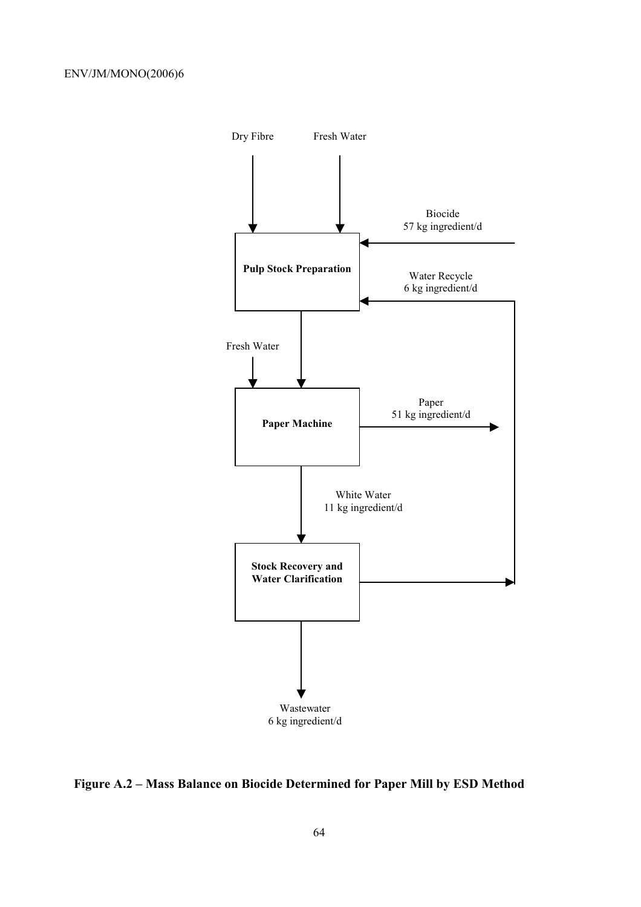

**Figure A.2 – Mass Balance on Biocide Determined for Paper Mill by ESD Method**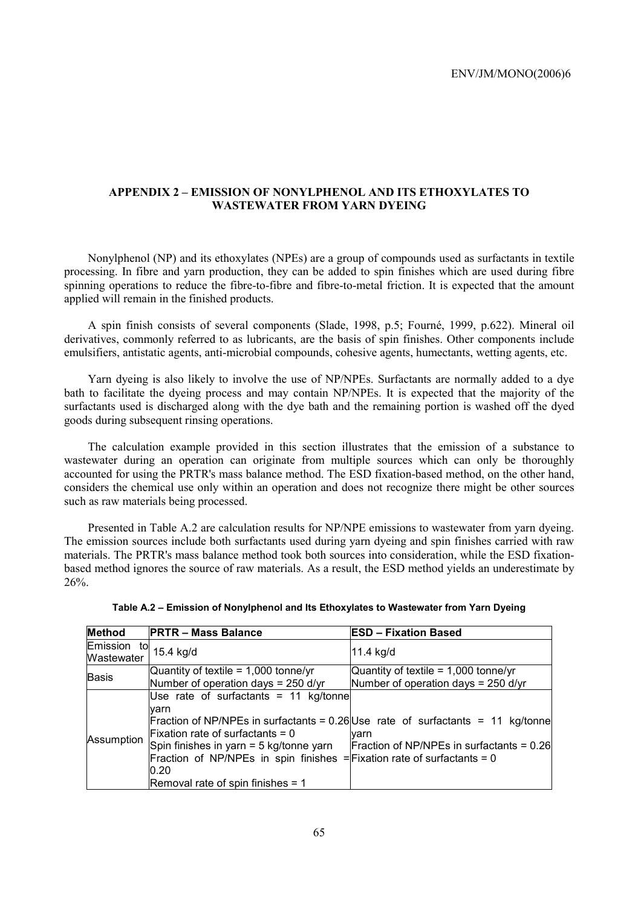## **APPENDIX 2 – EMISSION OF NONYLPHENOL AND ITS ETHOXYLATES TO WASTEWATER FROM YARN DYEING**

Nonylphenol (NP) and its ethoxylates (NPEs) are a group of compounds used as surfactants in textile processing. In fibre and yarn production, they can be added to spin finishes which are used during fibre spinning operations to reduce the fibre-to-fibre and fibre-to-metal friction. It is expected that the amount applied will remain in the finished products.

A spin finish consists of several components (Slade, 1998, p.5; Fourné, 1999, p.622). Mineral oil derivatives, commonly referred to as lubricants, are the basis of spin finishes. Other components include emulsifiers, antistatic agents, anti-microbial compounds, cohesive agents, humectants, wetting agents, etc.

Yarn dyeing is also likely to involve the use of NP/NPEs. Surfactants are normally added to a dye bath to facilitate the dyeing process and may contain NP/NPEs. It is expected that the majority of the surfactants used is discharged along with the dye bath and the remaining portion is washed off the dyed goods during subsequent rinsing operations.

The calculation example provided in this section illustrates that the emission of a substance to wastewater during an operation can originate from multiple sources which can only be thoroughly accounted for using the PRTR's mass balance method. The ESD fixation-based method, on the other hand, considers the chemical use only within an operation and does not recognize there might be other sources such as raw materials being processed.

Presented in Table A.2 are calculation results for NP/NPE emissions to wastewater from yarn dyeing. The emission sources include both surfactants used during yarn dyeing and spin finishes carried with raw materials. The PRTR's mass balance method took both sources into consideration, while the ESD fixationbased method ignores the source of raw materials. As a result, the ESD method yields an underestimate by 26%.

| Table A.2 - Emission of Nonylphenol and Its Ethoxylates to Wastewater from Yarn Dyeing |
|----------------------------------------------------------------------------------------|
|                                                                                        |

| <b>Method</b>             | <b>PRTR - Mass Balance</b>                                                                                                                                                                                                                                | <b>ESD - Fixation Based</b>                                                                                                              |
|---------------------------|-----------------------------------------------------------------------------------------------------------------------------------------------------------------------------------------------------------------------------------------------------------|------------------------------------------------------------------------------------------------------------------------------------------|
| Emission to<br>Wastewater | 15.4 kg/d                                                                                                                                                                                                                                                 | 11.4 kg/d                                                                                                                                |
| Basis                     | Quantity of textile = $1,000$ tonne/yr<br>Number of operation days = $250$ d/yr                                                                                                                                                                           | Quantity of textile = $1,000$ tonne/yr<br>Number of operation days = $250$ d/yr                                                          |
| Assumption                | Use rate of surfactants = 11 $kg/tonne$<br>lvarn<br>$Fixation$ rate of surfactants = 0<br>Spin finishes in yarn = 5 kg/tonne yarn<br>Fraction of NP/NPEs in spin finishes = Fixation rate of surfactants = 0<br>0.20<br>Removal rate of spin finishes = 1 | Fraction of NP/NPEs in surfactants = $0.26$ Use rate of surfactants = 11 kg/tonne<br>varn<br>Fraction of NP/NPEs in surfactants = $0.26$ |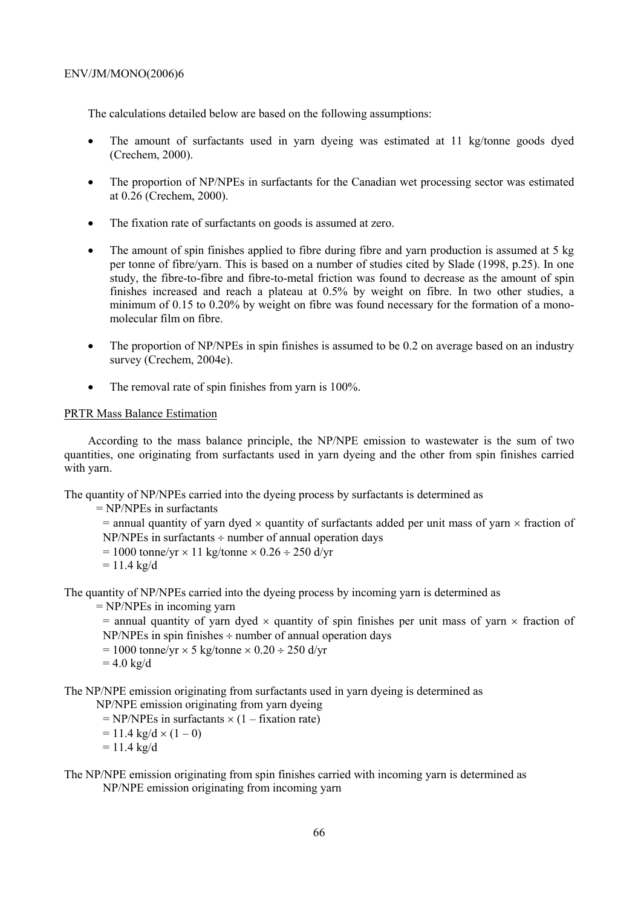The calculations detailed below are based on the following assumptions:

- The amount of surfactants used in yarn dyeing was estimated at 11 kg/tonne goods dyed (Crechem, 2000).
- The proportion of NP/NPEs in surfactants for the Canadian wet processing sector was estimated at 0.26 (Crechem, 2000).
- The fixation rate of surfactants on goods is assumed at zero.
- The amount of spin finishes applied to fibre during fibre and yarn production is assumed at 5 kg per tonne of fibre/yarn. This is based on a number of studies cited by Slade (1998, p.25). In one study, the fibre-to-fibre and fibre-to-metal friction was found to decrease as the amount of spin finishes increased and reach a plateau at 0.5% by weight on fibre. In two other studies, a minimum of 0.15 to 0.20% by weight on fibre was found necessary for the formation of a monomolecular film on fibre.
- The proportion of NP/NPEs in spin finishes is assumed to be 0.2 on average based on an industry survey (Crechem, 2004e).
- The removal rate of spin finishes from yarn is 100%.

### PRTR Mass Balance Estimation

According to the mass balance principle, the NP/NPE emission to wastewater is the sum of two quantities, one originating from surfactants used in yarn dyeing and the other from spin finishes carried with yarn.

The quantity of NP/NPEs carried into the dyeing process by surfactants is determined as

= NP/NPEs in surfactants

 $=$  annual quantity of yarn dyed  $\times$  quantity of surfactants added per unit mass of yarn  $\times$  fraction of  $NP/NPEs$  in surfactants  $\div$  number of annual operation days

- $= 1000$  tonne/yr  $\times$  11 kg/tonne  $\times$  0.26  $\div$  250 d/yr
- $= 11.4 \text{ kg/d}$

The quantity of NP/NPEs carried into the dyeing process by incoming yarn is determined as

= NP/NPEs in incoming yarn

 $=$  annual quantity of yarn dyed  $\times$  quantity of spin finishes per unit mass of yarn  $\times$  fraction of  $NP/NPEs$  in spin finishes  $\div$  number of annual operation days

 $= 1000$  tonne/yr  $\times$  5 kg/tonne  $\times$  0.20 ÷ 250 d/yr

 $= 4.0$  kg/d

The NP/NPE emission originating from surfactants used in yarn dyeing is determined as

NP/NPE emission originating from yarn dyeing

 $= NP/NPEs$  in surfactants  $\times (1 -$  fixation rate)

- $= 11.4 \text{ kg/d} \times (1 0)$
- $= 11.4 \text{ kg/d}$
- The NP/NPE emission originating from spin finishes carried with incoming yarn is determined as NP/NPE emission originating from incoming yarn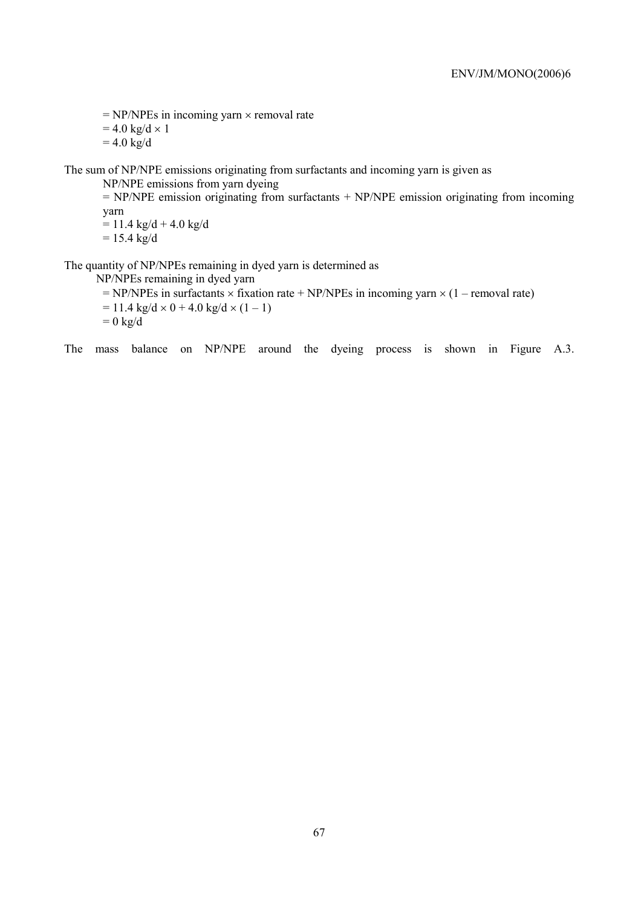$= NP/NPEs$  in incoming yarn  $\times$  removal rate

 $= 4.0 \text{ kg/d} \times 1$ 

 $= 4.0 \text{ kg/d}$ 

The sum of NP/NPE emissions originating from surfactants and incoming yarn is given as

NP/NPE emissions from yarn dyeing

 $= NP/NPE$  emission originating from surfactants  $+ NP/NPE$  emission originating from incoming yarn  $= 11.4$  kg/d + 4.0 kg/d

 $= 15.4 \text{ kg/d}$ 

The quantity of NP/NPEs remaining in dyed yarn is determined as

NP/NPEs remaining in dyed yarn

 $= NP/NPEs$  in surfactants  $\times$  fixation rate + NP/NPEs in incoming yarn  $\times$  (1 – removal rate)  $= 11.4 \text{ kg/d} \times 0 + 4.0 \text{ kg/d} \times (1 - 1)$  $= 0$  kg/d

The mass balance on NP/NPE around the dyeing process is shown in Figure A.3.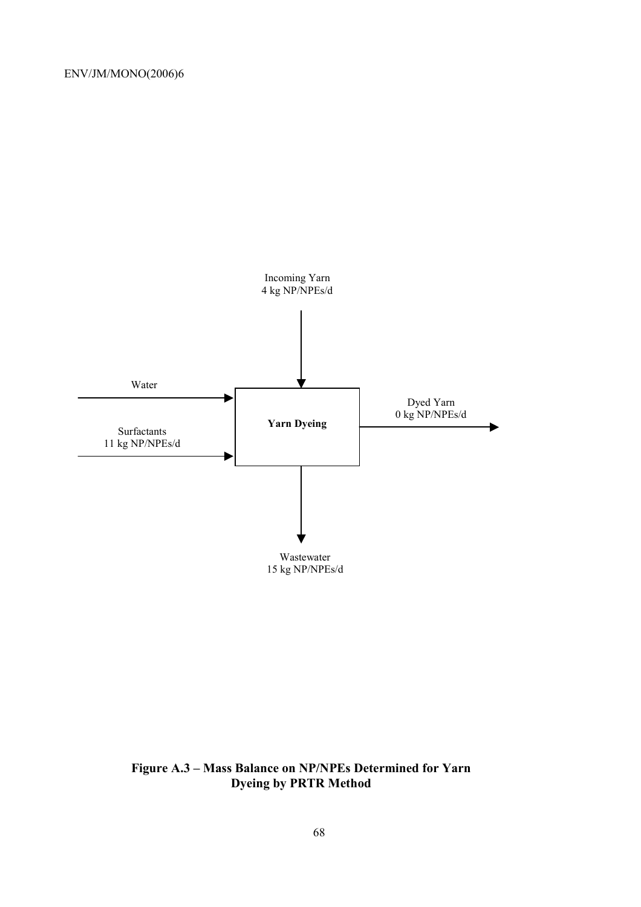

# **Figure A.3 – Mass Balance on NP/NPEs Determined for Yarn Dyeing by PRTR Method**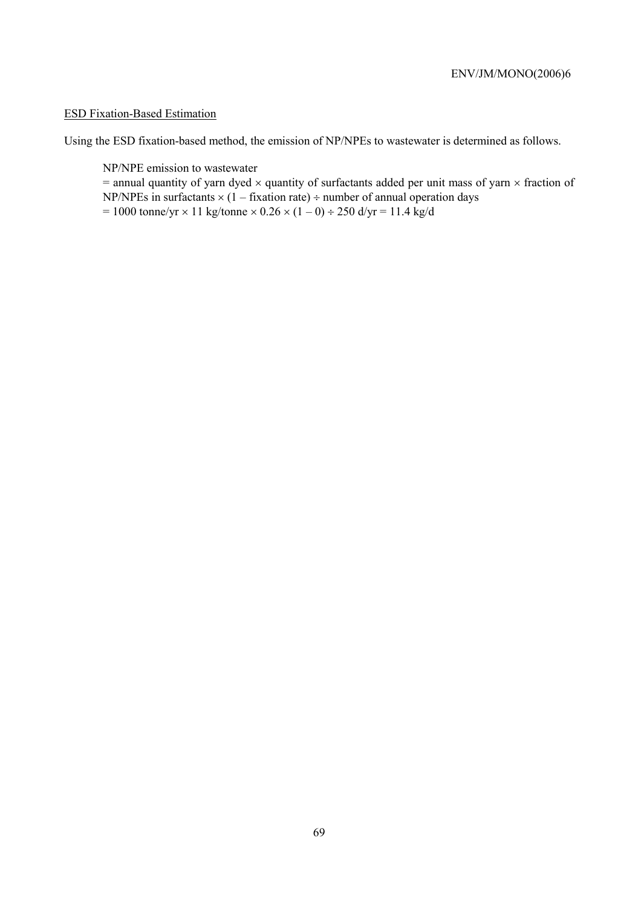# ESD Fixation-Based Estimation

Using the ESD fixation-based method, the emission of NP/NPEs to wastewater is determined as follows.

NP/NPE emission to wastewater

 $=$  annual quantity of yarn dyed  $\times$  quantity of surfactants added per unit mass of yarn  $\times$  fraction of NP/NPEs in surfactants  $\times$  (1 – fixation rate) ÷ number of annual operation days  $= 1000$  tonne/yr  $\times$  11 kg/tonne  $\times$  0.26  $\times$  (1 – 0) ÷ 250 d/yr = 11.4 kg/d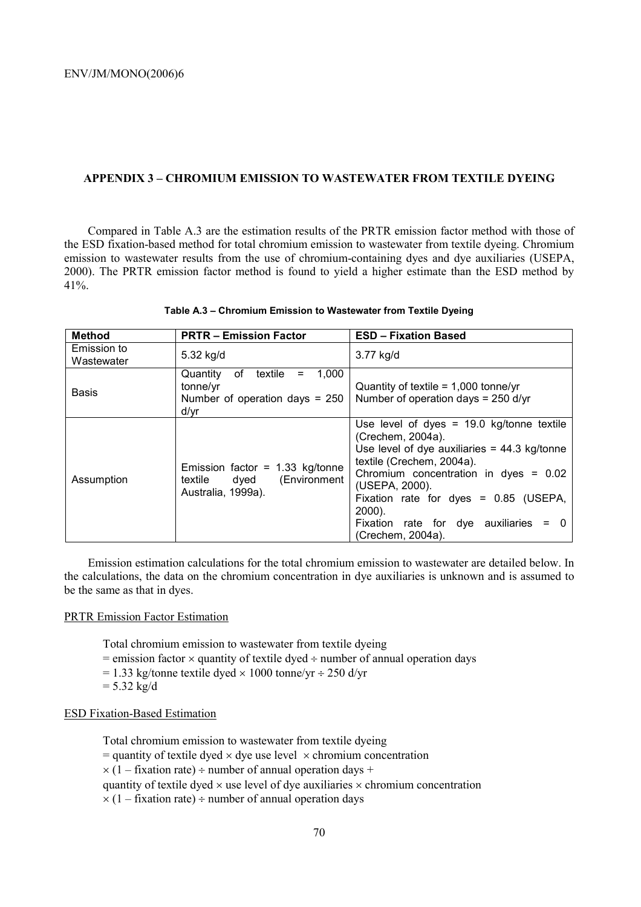### **APPENDIX 3 – CHROMIUM EMISSION TO WASTEWATER FROM TEXTILE DYEING**

Compared in Table A.3 are the estimation results of the PRTR emission factor method with those of the ESD fixation-based method for total chromium emission to wastewater from textile dyeing. Chromium emission to wastewater results from the use of chromium-containing dyes and dye auxiliaries (USEPA, 2000). The PRTR emission factor method is found to yield a higher estimate than the ESD method by  $41\%$ .

| <b>Method</b>             | <b>PRTR - Emission Factor</b>                                                                     | <b>ESD - Fixation Based</b>                                                                                                                                                                                                                                                                                                          |
|---------------------------|---------------------------------------------------------------------------------------------------|--------------------------------------------------------------------------------------------------------------------------------------------------------------------------------------------------------------------------------------------------------------------------------------------------------------------------------------|
| Emission to<br>Wastewater | 5.32 kg/d                                                                                         | 3.77 kg/d                                                                                                                                                                                                                                                                                                                            |
| <b>Basis</b>              | 1,000<br>0f<br>textile<br>Quantity<br>$=$<br>tonne/yr<br>Number of operation days = $250$<br>d/yr | Quantity of textile = $1,000$ tonne/yr<br>Number of operation days = 250 d/yr                                                                                                                                                                                                                                                        |
| Assumption                | Emission factor = $1.33$ kg/tonne<br>(Environment<br>textile dyed<br>Australia, 1999a).           | Use level of dyes = $19.0$ kg/tonne textile<br>(Crechem, 2004a).<br>Use level of dye auxiliaries = $44.3$ kg/tonne<br>textile (Crechem, 2004a).<br>Chromium concentration in dyes = $0.02$<br>(USEPA, 2000).<br>Fixation rate for dyes = $0.85$ (USEPA,<br>$2000$ ).<br>Fixation rate for dye auxiliaries = $0$<br>(Crechem, 2004a). |

#### **Table A.3 – Chromium Emission to Wastewater from Textile Dyeing**

Emission estimation calculations for the total chromium emission to wastewater are detailed below. In the calculations, the data on the chromium concentration in dye auxiliaries is unknown and is assumed to be the same as that in dyes.

### PRTR Emission Factor Estimation

Total chromium emission to wastewater from textile dyeing

- $=$  emission factor  $\times$  quantity of textile dyed  $\div$  number of annual operation days
- $= 1.33$  kg/tonne textile dyed  $\times 1000$  tonne/yr  $\div 250$  d/yr
- $= 5.32 \text{ kg/d}$

## ESD Fixation-Based Estimation

Total chromium emission to wastewater from textile dyeing  $=$  quantity of textile dyed  $\times$  dye use level  $\times$  chromium concentration  $\times$  (1 – fixation rate) ÷ number of annual operation days + quantity of textile dyed  $\times$  use level of dye auxiliaries  $\times$  chromium concentration  $\times$  (1 – fixation rate) ÷ number of annual operation days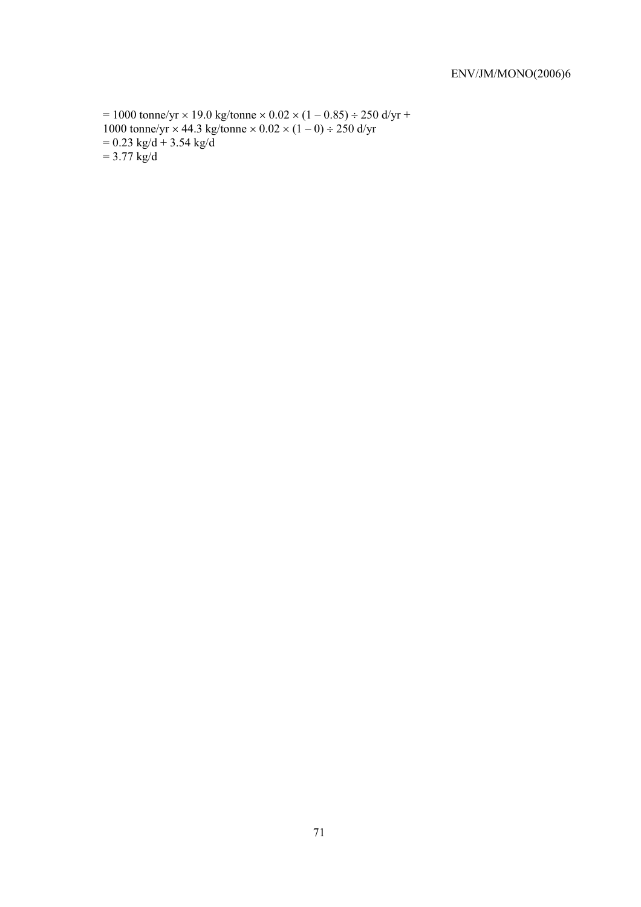$= 1000$  tonne/yr  $\times$  19.0 kg/tonne  $\times$  0.02  $\times$  (1 – 0.85) ÷ 250 d/yr + 1000 tonne/yr  $\times$  44.3 kg/tonne  $\times$  0.02  $\times$  (1 – 0) ÷ 250 d/yr  $= 0.23$  kg/d + 3.54 kg/d  $= 3.77 \text{ kg/d}$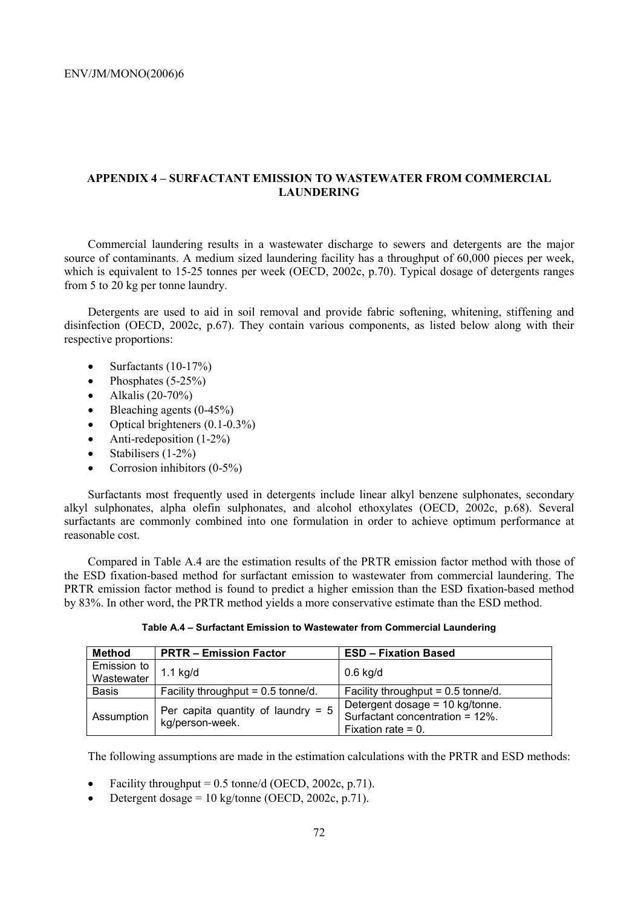## **APPENDIX 4 – SURFACTANT EMISSION TO WASTEWATER FROM COMMERCIAL LAUNDERING**

Commercial laundering results in a wastewater discharge to sewers and detergents are the major source of contaminants. A medium sized laundering facility has a throughput of 60,000 pieces per week, which is equivalent to 15-25 tonnes per week (OECD, 2002c, p.70). Typical dosage of detergents ranges from 5 to 20 kg per tonne laundry.

Detergents are used to aid in soil removal and provide fabric softening, whitening, stiffening and disinfection (OECD, 2002c, p.67). They contain various components, as listed below along with their respective proportions:

- Surfactants (10-17%)
- Phosphates  $(5-25%)$
- Alkalis  $(20-70\%)$
- Bleaching agents (0-45%)
- Optical brighteners (0.1-0.3%)
- Anti-redeposition (1-2%)
- Stabilisers (1-2%)
- Corrosion inhibitors (0-5%)

Surfactants most frequently used in detergents include linear alkyl benzene sulphonates, secondary alkyl sulphonates, alpha olefin sulphonates, and alcohol ethoxylates (OECD, 2002c, p.68). Several surfactants are commonly combined into one formulation in order to achieve optimum performance at reasonable cost.

Compared in Table A.4 are the estimation results of the PRTR emission factor method with those of the ESD fixation-based method for surfactant emission to wastewater from commercial laundering. The PRTR emission factor method is found to predict a higher emission than the ESD fixation-based method by 83%. In other word, the PRTR method yields a more conservative estimate than the ESD method.

| <b>Method</b>             | <b>PRTR - Emission Factor</b>                           | <b>ESD - Fixation Based</b>                                                                 |
|---------------------------|---------------------------------------------------------|---------------------------------------------------------------------------------------------|
| Emission to<br>Wastewater | 1.1 $kg/d$                                              | $0.6$ kg/d                                                                                  |
| <b>Basis</b>              | Facility throughput = $0.5$ tonne/d.                    | Facility throughput = $0.5$ tonne/d.                                                        |
| Assumption                | Per capita quantity of laundry = $5$<br>kg/person-week. | Detergent dosage = 10 kg/tonne.<br>Surfactant concentration = 12%.<br>Fixation rate $= 0$ . |

The following assumptions are made in the estimation calculations with the PRTR and ESD methods:

- Facility throughput =  $0.5$  tonne/d (OECD, 2002c, p.71).
- Detergent dosage =  $10 \text{ kg/tonne}$  (OECD, 2002c, p.71).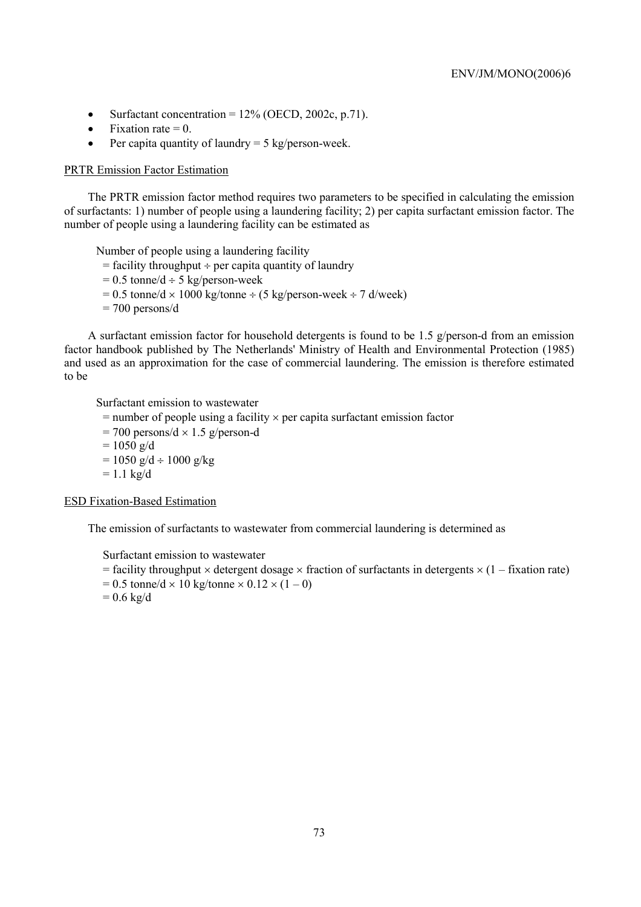- Surfactant concentration =  $12\%$  (OECD, 2002c, p.71).
- Fixation rate  $= 0$ .
- Per capita quantity of laundry  $= 5 \text{ kg/person-week.}$

### PRTR Emission Factor Estimation

The PRTR emission factor method requires two parameters to be specified in calculating the emission of surfactants: 1) number of people using a laundering facility; 2) per capita surfactant emission factor. The number of people using a laundering facility can be estimated as

Number of people using a laundering facility

- $=$  facility throughput  $\div$  per capita quantity of laundry
- $= 0.5$  tonne/d  $\div$  5 kg/person-week
- $= 0.5$  tonne/d  $\times$  1000 kg/tonne  $\div$  (5 kg/person-week  $\div$  7 d/week)
- $= 700$  persons/d

A surfactant emission factor for household detergents is found to be 1.5 g/person-d from an emission factor handbook published by The Netherlands' Ministry of Health and Environmental Protection (1985) and used as an approximation for the case of commercial laundering. The emission is therefore estimated to be

Surfactant emission to wastewater

- $=$  number of people using a facility  $\times$  per capita surfactant emission factor
- $= 700$  persons/d  $\times$  1.5 g/person-d
- $= 1050$  g/d
- $= 1050$  g/d ÷ 1000 g/kg
- $= 1.1$  kg/d

ESD Fixation-Based Estimation

The emission of surfactants to wastewater from commercial laundering is determined as

Surfactant emission to wastewater

- $=$  facility throughput  $\times$  detergent dosage  $\times$  fraction of surfactants in detergents  $\times$  (1 fixation rate)
- $= 0.5$  tonne/d  $\times$  10 kg/tonne  $\times$  0.12  $\times$  (1 0)
- $= 0.6 \text{ kg/d}$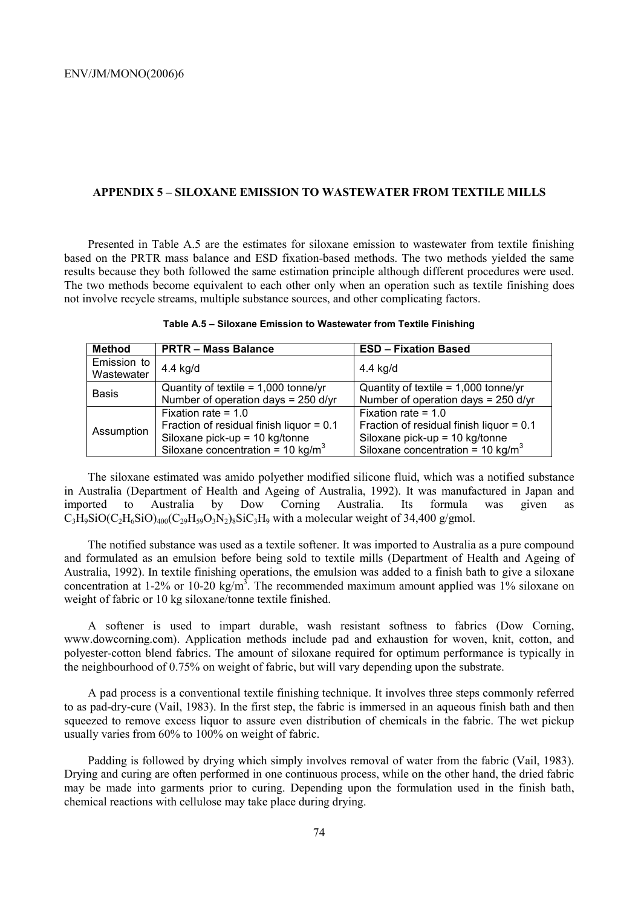### **APPENDIX 5 – SILOXANE EMISSION TO WASTEWATER FROM TEXTILE MILLS**

Presented in Table A.5 are the estimates for siloxane emission to wastewater from textile finishing based on the PRTR mass balance and ESD fixation-based methods. The two methods yielded the same results because they both followed the same estimation principle although different procedures were used. The two methods become equivalent to each other only when an operation such as textile finishing does not involve recycle streams, multiple substance sources, and other complicating factors.

| Method                    | <b>PRTR - Mass Balance</b>                    | <b>ESD - Fixation Based</b>                   |
|---------------------------|-----------------------------------------------|-----------------------------------------------|
| Emission to<br>Wastewater | 4.4 kg/d                                      | 4.4 kg/d                                      |
| <b>Basis</b>              | Quantity of textile = $1,000$ tonne/yr        | Quantity of textile = $1,000$ tonne/yr        |
|                           | Number of operation days = 250 d/yr           | Number of operation days = 250 d/yr           |
| Assumption                | Fixation rate = $1.0$                         | Fixation rate = $1.0$                         |
|                           | Fraction of residual finish liquor = 0.1      | Fraction of residual finish liquor = $0.1$    |
|                           | Siloxane pick-up = 10 kg/tonne                | Siloxane pick-up = $10$ kg/tonne              |
|                           | Siloxane concentration = 10 kg/m <sup>3</sup> | Siloxane concentration = 10 kg/m <sup>3</sup> |

**Table A.5 – Siloxane Emission to Wastewater from Textile Finishing** 

The siloxane estimated was amido polyether modified silicone fluid, which was a notified substance in Australia (Department of Health and Ageing of Australia, 1992). It was manufactured in Japan and imported to Australia by Dow Corning Australia. Its formula was given as  $C_3H_9SiO(C_2H_6SiO)_{400}(C_29H_59O_3N_2)_8SiC_3H_9$  with a molecular weight of 34,400 g/gmol.

The notified substance was used as a textile softener. It was imported to Australia as a pure compound and formulated as an emulsion before being sold to textile mills (Department of Health and Ageing of Australia, 1992). In textile finishing operations, the emulsion was added to a finish bath to give a siloxane concentration at 1-2% or 10-20 kg/m<sup>3</sup>. The recommended maximum amount applied was 1% siloxane on weight of fabric or 10 kg siloxane/tonne textile finished.

A softener is used to impart durable, wash resistant softness to fabrics (Dow Corning, www.dowcorning.com). Application methods include pad and exhaustion for woven, knit, cotton, and polyester-cotton blend fabrics. The amount of siloxane required for optimum performance is typically in the neighbourhood of 0.75% on weight of fabric, but will vary depending upon the substrate.

A pad process is a conventional textile finishing technique. It involves three steps commonly referred to as pad-dry-cure (Vail, 1983). In the first step, the fabric is immersed in an aqueous finish bath and then squeezed to remove excess liquor to assure even distribution of chemicals in the fabric. The wet pickup usually varies from 60% to 100% on weight of fabric.

Padding is followed by drying which simply involves removal of water from the fabric (Vail, 1983). Drying and curing are often performed in one continuous process, while on the other hand, the dried fabric may be made into garments prior to curing. Depending upon the formulation used in the finish bath, chemical reactions with cellulose may take place during drying.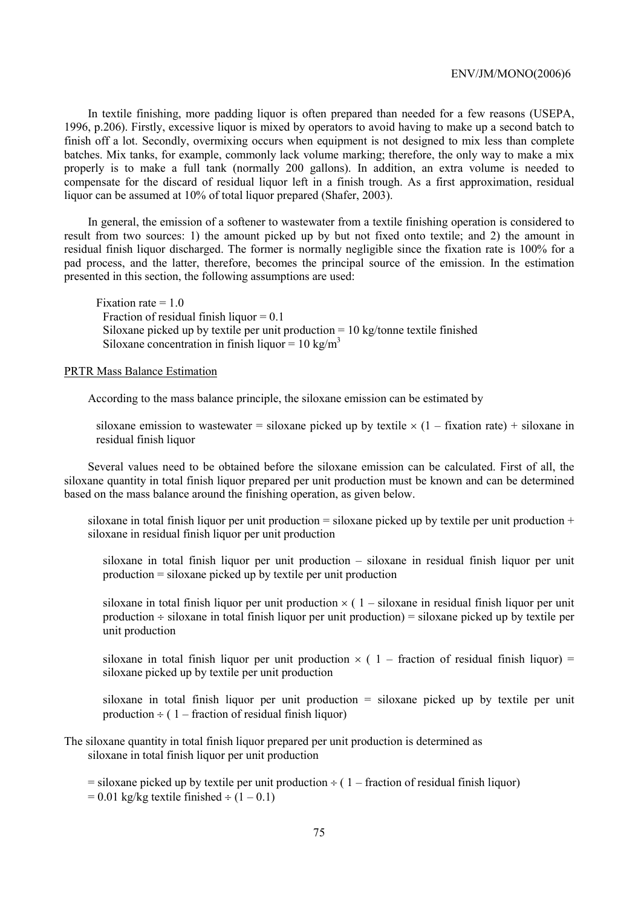In textile finishing, more padding liquor is often prepared than needed for a few reasons (USEPA, 1996, p.206). Firstly, excessive liquor is mixed by operators to avoid having to make up a second batch to finish off a lot. Secondly, overmixing occurs when equipment is not designed to mix less than complete batches. Mix tanks, for example, commonly lack volume marking; therefore, the only way to make a mix properly is to make a full tank (normally 200 gallons). In addition, an extra volume is needed to compensate for the discard of residual liquor left in a finish trough. As a first approximation, residual liquor can be assumed at 10% of total liquor prepared (Shafer, 2003).

In general, the emission of a softener to wastewater from a textile finishing operation is considered to result from two sources: 1) the amount picked up by but not fixed onto textile; and 2) the amount in residual finish liquor discharged. The former is normally negligible since the fixation rate is 100% for a pad process, and the latter, therefore, becomes the principal source of the emission. In the estimation presented in this section, the following assumptions are used:

Fixation rate  $= 1.0$ Fraction of residual finish liquor  $= 0.1$ Siloxane picked up by textile per unit production  $= 10 \text{ kg/tonne}$  textile finished Siloxane concentration in finish liquor =  $10 \text{ kg/m}^3$ 

# PRTR Mass Balance Estimation

According to the mass balance principle, the siloxane emission can be estimated by

siloxane emission to wastewater = siloxane picked up by textile  $\times$  (1 – fixation rate) + siloxane in residual finish liquor

Several values need to be obtained before the siloxane emission can be calculated. First of all, the siloxane quantity in total finish liquor prepared per unit production must be known and can be determined based on the mass balance around the finishing operation, as given below.

siloxane in total finish liquor per unit production  $=$  siloxane picked up by textile per unit production  $+$ siloxane in residual finish liquor per unit production

siloxane in total finish liquor per unit production – siloxane in residual finish liquor per unit production = siloxane picked up by textile per unit production

siloxane in total finish liquor per unit production  $\times$  (1 – siloxane in residual finish liquor per unit production ÷ siloxane in total finish liquor per unit production) = siloxane picked up by textile per unit production

siloxane in total finish liquor per unit production  $\times$  (1 – fraction of residual finish liquor) = siloxane picked up by textile per unit production

siloxane in total finish liquor per unit production = siloxane picked up by textile per unit production  $\div$  ( 1 – fraction of residual finish liquor)

The siloxane quantity in total finish liquor prepared per unit production is determined as siloxane in total finish liquor per unit production

 $=$  siloxane picked up by textile per unit production  $\div$  (1 – fraction of residual finish liquor)  $= 0.01$  kg/kg textile finished  $\div (1 - 0.1)$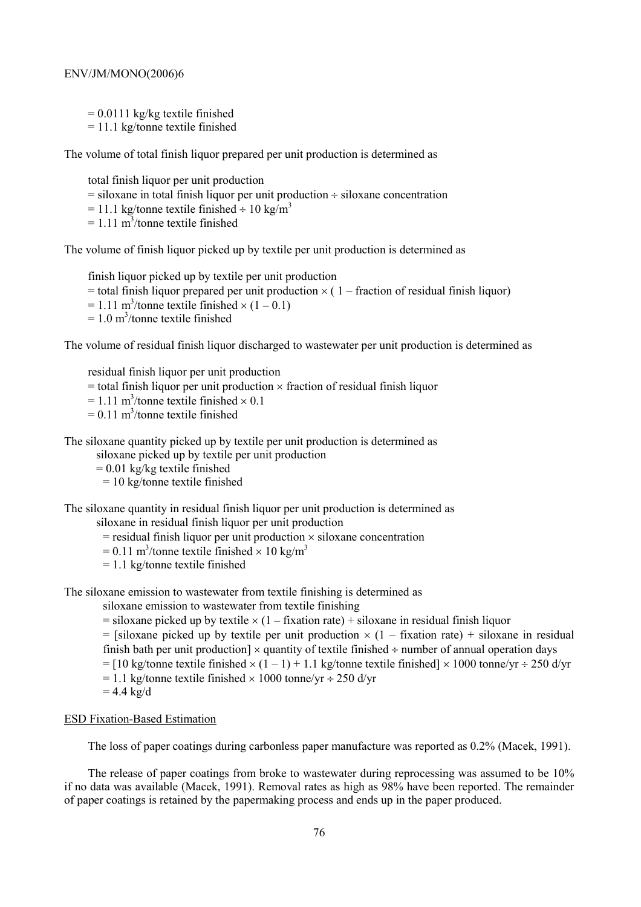$= 0.0111$  kg/kg textile finished  $= 11.1$  kg/tonne textile finished

The volume of total finish liquor prepared per unit production is determined as

total finish liquor per unit production

 $=$  siloxane in total finish liquor per unit production  $\div$  siloxane concentration

 $= 11.1$  kg/tonne textile finished  $\div 10$  kg/m<sup>3</sup>

 $= 1.11 \text{ m}^3$ /tonne textile finished

The volume of finish liquor picked up by textile per unit production is determined as

finish liquor picked up by textile per unit production

- $=$  total finish liquor prepared per unit production  $\times$  (1 fraction of residual finish liquor)
- $= 1.11$  m<sup>3</sup>/tonne textile finished  $\times (1 0.1)$
- $= 1.0$  m<sup>3</sup>/tonne textile finished

The volume of residual finish liquor discharged to wastewater per unit production is determined as

residual finish liquor per unit production

- $=$  total finish liquor per unit production  $\times$  fraction of residual finish liquor
- $= 1.11$  m<sup>3</sup>/tonne textile finished  $\times$  0.1
- $= 0.11$  m<sup>3</sup>/tonne textile finished

The siloxane quantity picked up by textile per unit production is determined as

siloxane picked up by textile per unit production

 $= 0.01$  kg/kg textile finished

= 10 kg/tonne textile finished

The siloxane quantity in residual finish liquor per unit production is determined as

siloxane in residual finish liquor per unit production

- $=$  residual finish liquor per unit production  $\times$  siloxane concentration
- $= 0.11$  m<sup>3</sup>/tonne textile finished  $\times 10$  kg/m<sup>3</sup>
- = 1.1 kg/tonne textile finished

The siloxane emission to wastewater from textile finishing is determined as

siloxane emission to wastewater from textile finishing

 $=$  siloxane picked up by textile  $\times$  (1 – fixation rate) + siloxane in residual finish liquor

 $=$  [siloxane picked up by textile per unit production  $\times$  (1 – fixation rate) + siloxane in residual finish bath per unit production]  $\times$  quantity of textile finished  $\div$  number of annual operation days

- $=$  [10 kg/tonne textile finished  $\times$  (1 1) + 1.1 kg/tonne textile finished]  $\times$  1000 tonne/yr ÷ 250 d/yr
- $= 1.1$  kg/tonne textile finished  $\times 1000$  tonne/yr  $\div 250$  d/yr
- $= 4.4$  kg/d

### ESD Fixation-Based Estimation

The loss of paper coatings during carbonless paper manufacture was reported as 0.2% (Macek, 1991).

The release of paper coatings from broke to wastewater during reprocessing was assumed to be 10% if no data was available (Macek, 1991). Removal rates as high as 98% have been reported. The remainder of paper coatings is retained by the papermaking process and ends up in the paper produced.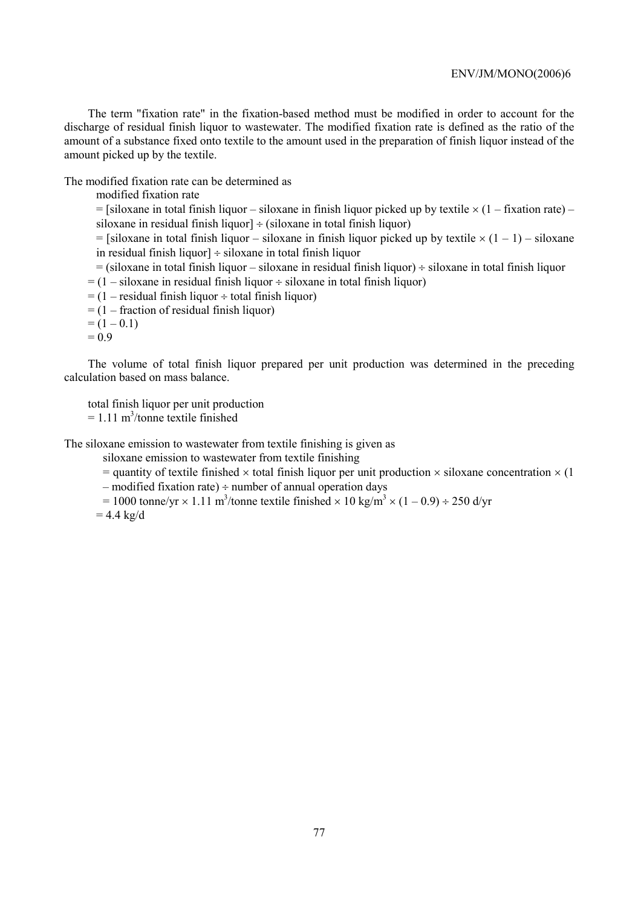The term "fixation rate" in the fixation-based method must be modified in order to account for the discharge of residual finish liquor to wastewater. The modified fixation rate is defined as the ratio of the amount of a substance fixed onto textile to the amount used in the preparation of finish liquor instead of the amount picked up by the textile.

The modified fixation rate can be determined as

modified fixation rate

 $=$  [siloxane in total finish liquor – siloxane in finish liquor picked up by textile  $\times$  (1 – fixation rate) – siloxane in residual finish liquor]  $\div$  (siloxane in total finish liquor)

 $=$  [siloxane in total finish liquor – siloxane in finish liquor picked up by textile  $\times$  (1 – 1) – siloxane in residual finish liquor] ÷ siloxane in total finish liquor

 $=$  (siloxane in total finish liquor – siloxane in residual finish liquor)  $\div$  siloxane in total finish liquor  $= (1 - siloxane)$  in residual finish liquor  $\div$  siloxane in total finish liquor)

 $= (1 - residual finish liquid + total finish liquid)$ 

 $=$  (1 – fraction of residual finish liquor)

 $= (1 - 0.1)$ 

 $= 0.9$ 

The volume of total finish liquor prepared per unit production was determined in the preceding calculation based on mass balance.

total finish liquor per unit production

 $= 1.11 \text{ m}^3$ /tonne textile finished

The siloxane emission to wastewater from textile finishing is given as

siloxane emission to wastewater from textile finishing

 $=$  quantity of textile finished  $\times$  total finish liquor per unit production  $\times$  siloxane concentration  $\times$  (1)

 $-$  modified fixation rate)  $\div$  number of annual operation days

 $= 1000$  tonne/yr  $\times$  1.11 m<sup>3</sup>/tonne textile finished  $\times$  10 kg/m<sup>3</sup>  $\times$  (1 – 0.9) ÷ 250 d/yr  $= 4.4$  kg/d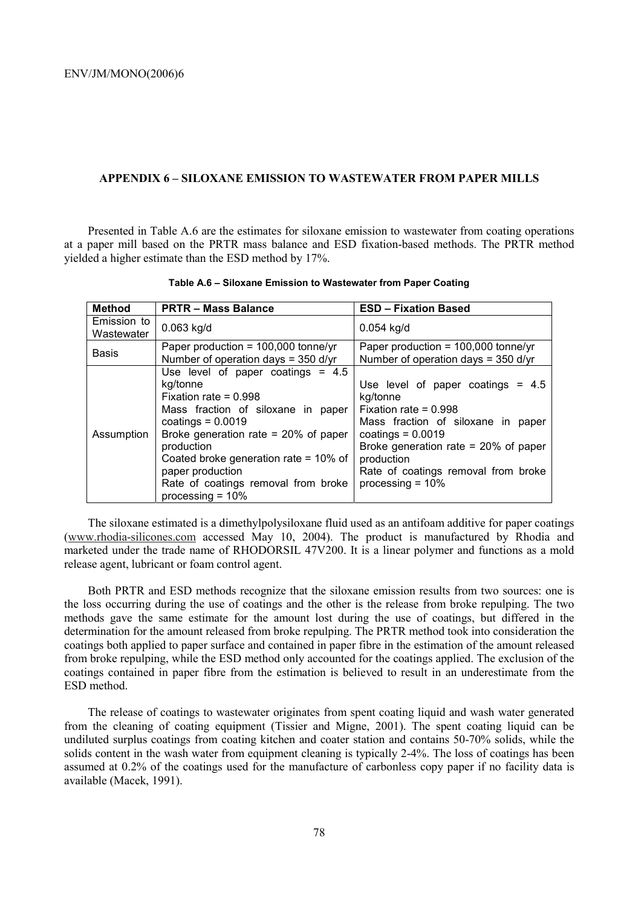### **APPENDIX 6 – SILOXANE EMISSION TO WASTEWATER FROM PAPER MILLS**

Presented in Table A.6 are the estimates for siloxane emission to wastewater from coating operations at a paper mill based on the PRTR mass balance and ESD fixation-based methods. The PRTR method yielded a higher estimate than the ESD method by 17%.

| <b>Method</b>             | <b>PRTR - Mass Balance</b>                                                                                                                                                                                                                                                                                                  | <b>ESD - Fixation Based</b>                                                                                                                                                                                                                                    |
|---------------------------|-----------------------------------------------------------------------------------------------------------------------------------------------------------------------------------------------------------------------------------------------------------------------------------------------------------------------------|----------------------------------------------------------------------------------------------------------------------------------------------------------------------------------------------------------------------------------------------------------------|
| Emission to<br>Wastewater | $0.063$ kg/d                                                                                                                                                                                                                                                                                                                | $0.054$ kg/d                                                                                                                                                                                                                                                   |
| <b>Basis</b>              | Paper production = $100,000$ tonne/yr<br>Number of operation days = $350$ d/yr                                                                                                                                                                                                                                              | Paper production = $100,000$ tonne/yr<br>Number of operation days = $350$ d/yr                                                                                                                                                                                 |
| Assumption                | Use level of paper coatings $= 4.5$<br>kg/tonne<br>Fixation rate = $0.998$<br>Mass fraction of siloxane in paper<br>coatings = $0.0019$<br>Broke generation rate = $20\%$ of paper<br>production<br>Coated broke generation rate = 10% of<br>paper production<br>Rate of coatings removal from broke<br>processing $= 10\%$ | Use level of paper coatings $= 4.5$<br>kg/tonne<br>Fixation rate = $0.998$<br>Mass fraction of siloxane in paper<br>coatings = $0.0019$<br>Broke generation rate $= 20\%$ of paper<br>production<br>Rate of coatings removal from broke<br>processing $= 10\%$ |

**Table A.6 – Siloxane Emission to Wastewater from Paper Coating** 

The siloxane estimated is a dimethylpolysiloxane fluid used as an antifoam additive for paper coatings (www.rhodia-silicones.com accessed May 10, 2004). The product is manufactured by Rhodia and marketed under the trade name of RHODORSIL 47V200. It is a linear polymer and functions as a mold release agent, lubricant or foam control agent.

Both PRTR and ESD methods recognize that the siloxane emission results from two sources: one is the loss occurring during the use of coatings and the other is the release from broke repulping. The two methods gave the same estimate for the amount lost during the use of coatings, but differed in the determination for the amount released from broke repulping. The PRTR method took into consideration the coatings both applied to paper surface and contained in paper fibre in the estimation of the amount released from broke repulping, while the ESD method only accounted for the coatings applied. The exclusion of the coatings contained in paper fibre from the estimation is believed to result in an underestimate from the ESD method.

The release of coatings to wastewater originates from spent coating liquid and wash water generated from the cleaning of coating equipment (Tissier and Migne, 2001). The spent coating liquid can be undiluted surplus coatings from coating kitchen and coater station and contains 50-70% solids, while the solids content in the wash water from equipment cleaning is typically 2-4%. The loss of coatings has been assumed at 0.2% of the coatings used for the manufacture of carbonless copy paper if no facility data is available (Macek, 1991).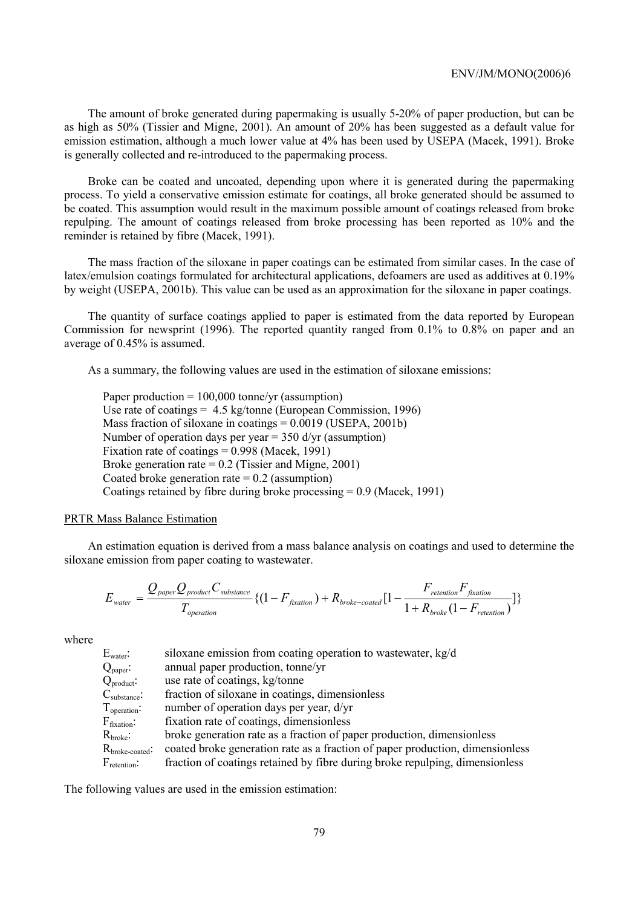The amount of broke generated during papermaking is usually 5-20% of paper production, but can be as high as 50% (Tissier and Migne, 2001). An amount of 20% has been suggested as a default value for emission estimation, although a much lower value at 4% has been used by USEPA (Macek, 1991). Broke is generally collected and re-introduced to the papermaking process.

Broke can be coated and uncoated, depending upon where it is generated during the papermaking process. To yield a conservative emission estimate for coatings, all broke generated should be assumed to be coated. This assumption would result in the maximum possible amount of coatings released from broke repulping. The amount of coatings released from broke processing has been reported as 10% and the reminder is retained by fibre (Macek, 1991).

The mass fraction of the siloxane in paper coatings can be estimated from similar cases. In the case of latex/emulsion coatings formulated for architectural applications, defoamers are used as additives at 0.19% by weight (USEPA, 2001b). This value can be used as an approximation for the siloxane in paper coatings.

The quantity of surface coatings applied to paper is estimated from the data reported by European Commission for newsprint (1996). The reported quantity ranged from 0.1% to 0.8% on paper and an average of 0.45% is assumed.

As a summary, the following values are used in the estimation of siloxane emissions:

Paper production  $= 100,000$  tonne/yr (assumption) Use rate of coatings  $= 4.5 \text{ kg/tonne}$  (European Commission, 1996) Mass fraction of siloxane in coatings  $= 0.0019$  (USEPA, 2001b) Number of operation days per year  $= 350$  d/yr (assumption) Fixation rate of coatings = 0.998 (Macek, 1991) Broke generation rate  $= 0.2$  (Tissier and Migne, 2001) Coated broke generation rate  $= 0.2$  (assumption) Coatings retained by fibre during broke processing = 0.9 (Macek, 1991)

## PRTR Mass Balance Estimation

An estimation equation is derived from a mass balance analysis on coatings and used to determine the siloxane emission from paper coating to wastewater.

$$
E_{\text{water}} = \frac{Q_{\text{paper}} Q_{\text{product}} C_{\text{substance}}}{T_{\text{operation}}} \{ (1 - F_{\text{fraction}}) + R_{\text{broken-coated}} [1 - \frac{F_{\text{retention}} F_{\text{fraction}}}{1 + R_{\text{broken}} (1 - F_{\text{retention}})} \}
$$

where

| $\rm E_{water}$ :                   | siloxane emission from coating operation to wastewater, kg/d                  |
|-------------------------------------|-------------------------------------------------------------------------------|
| $Q_{\text{paper}}$ :                | annual paper production, tonne/yr                                             |
| $Q_{product}$ :                     | use rate of coatings, kg/tonne                                                |
| $\mathrm{C}_{\mathrm{substance}}$ : | fraction of siloxane in coatings, dimensionless                               |
| $T_{\text{operation}}$ :            | number of operation days per year, d/yr                                       |
| $\rm F_{fixation}$ :                | fixation rate of coatings, dimensionless                                      |
| $\rm R_{broke}\!\!:$                | broke generation rate as a fraction of paper production, dimensionless        |
| $R_{\rm broke\text{-}coated}$ :     | coated broke generation rate as a fraction of paper production, dimensionless |
| $\mathrm{F}_{\mathrm{retention}}$ : | fraction of coatings retained by fibre during broke repulping, dimensionless  |

The following values are used in the emission estimation: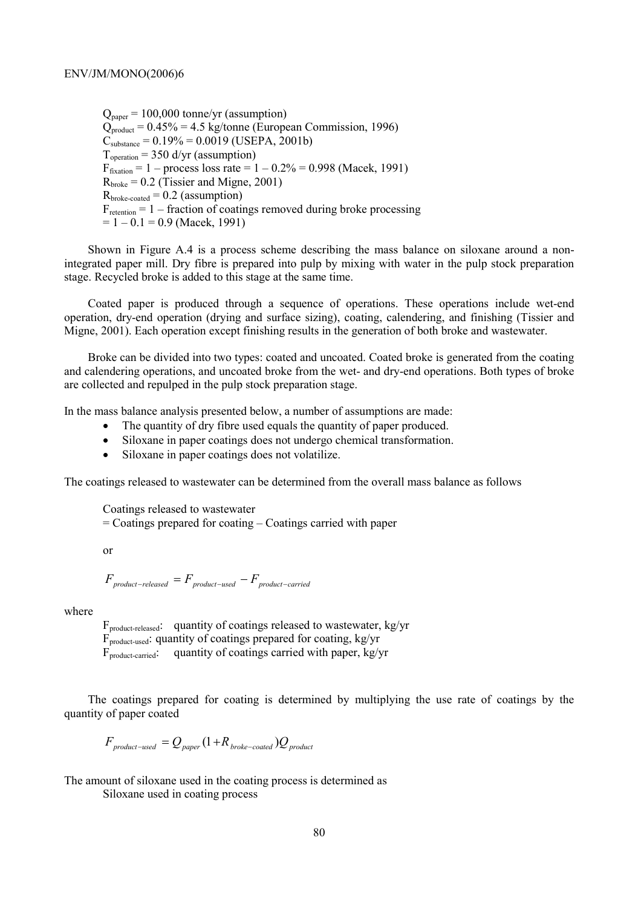$Q<sub>naner</sub> = 100,000$  tonne/yr (assumption)  $Q_{product} = 0.45\% = 4.5$  kg/tonne (European Commission, 1996)  $C_{\text{substance}} = 0.19\% = 0.0019$  (USEPA, 2001b)  $T_{\text{operation}} = 350$  d/yr (assumption)  $F_{\text{fixation}} = 1 - \text{process loss rate} = 1 - 0.2\% = 0.998 \text{ (Macek, 1991)}$  $R<sub>broken</sub> = 0.2$  (Tissier and Migne, 2001)  $R<sub>broken-coated</sub> = 0.2$  (assumption)  $F_{\text{retention}} = 1 - \text{fraction of coating removed during broke processing}$  $= 1 - 0.1 = 0.9$  (Macek, 1991)

Shown in Figure A.4 is a process scheme describing the mass balance on siloxane around a nonintegrated paper mill. Dry fibre is prepared into pulp by mixing with water in the pulp stock preparation stage. Recycled broke is added to this stage at the same time.

Coated paper is produced through a sequence of operations. These operations include wet-end operation, dry-end operation (drying and surface sizing), coating, calendering, and finishing (Tissier and Migne, 2001). Each operation except finishing results in the generation of both broke and wastewater.

Broke can be divided into two types: coated and uncoated. Coated broke is generated from the coating and calendering operations, and uncoated broke from the wet- and dry-end operations. Both types of broke are collected and repulped in the pulp stock preparation stage.

In the mass balance analysis presented below, a number of assumptions are made:

- The quantity of dry fibre used equals the quantity of paper produced.
- Siloxane in paper coatings does not undergo chemical transformation.
- Siloxane in paper coatings does not volatilize.

The coatings released to wastewater can be determined from the overall mass balance as follows

Coatings released to wastewater

= Coatings prepared for coating – Coatings carried with paper

or

$$
F_{\text{product-released}} = F_{\text{product-used}} - F_{\text{product-carried}}
$$

where

 $F_{\text{product-released}}$ : quantity of coatings released to wastewater, kg/yr  $F_{\text{product-used}}$ : quantity of coatings prepared for coating, kg/yr  $F_{product\text{-}carried}$ : quantity of coatings carried with paper, kg/yr

The coatings prepared for coating is determined by multiplying the use rate of coatings by the quantity of paper coated

$$
F_{\text{product-used}} = Q_{\text{paper}} (1 + R_{\text{broken-coated}}) Q_{\text{product}}
$$

The amount of siloxane used in the coating process is determined as

Siloxane used in coating process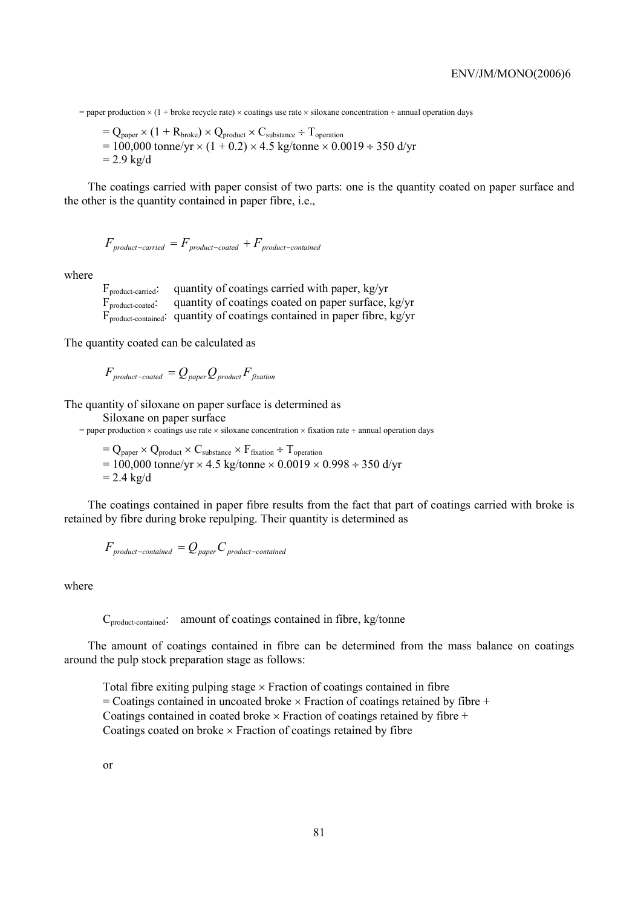$=$  paper production  $\times$  (1 + broke recycle rate)  $\times$  coatings use rate  $\times$  siloxane concentration  $\div$  annual operation days

 $=$  Q<sub>paper</sub>  $\times$  (1 + R<sub>broke</sub>)  $\times$  Q<sub>product</sub>  $\times$  C<sub>substance</sub> ÷ T<sub>operation</sub>  $= 100,000$  tonne/yr  $\times$  (1 + 0.2)  $\times$  4.5 kg/tonne  $\times$  0.0019 ÷ 350 d/yr  $= 2.9$  kg/d

The coatings carried with paper consist of two parts: one is the quantity coated on paper surface and the other is the quantity contained in paper fibre, i.e.,

$$
F_{\textit{product-carried}} = F_{\textit{product-coated}} + F_{\textit{product-contained}}
$$

where

 $F_{\text{product-carried}}$ : quantity of coatings carried with paper, kg/yr  $\vec{F}_{\text{product-coated}}$ : quantity of coatings coated on paper surface, kg/yr  $\overline{F}_{\text{product-contained}}$ : quantity of coatings contained in paper fibre, kg/yr

The quantity coated can be calculated as

$$
F_{\text{product-coated}} = Q_{\text{paper}} Q_{\text{product}} F_{\text{fixation}}
$$

The quantity of siloxane on paper surface is determined as

Siloxane on paper surface

 $=$  paper production  $\times$  coatings use rate  $\times$  siloxane concentration  $\times$  fixation rate  $\div$  annual operation days

 $=$  Q<sub>paper</sub>  $\times$  Q<sub>product</sub>  $\times$  C<sub>substance</sub>  $\times$  F<sub>fixation</sub>  $\div$  T<sub>operation</sub>  $= 100,000$  tonne/yr  $\times$  4.5 kg/tonne  $\times$  0.0019  $\times$  0.998 ÷ 350 d/yr  $= 2.4$  kg/d

The coatings contained in paper fibre results from the fact that part of coatings carried with broke is retained by fibre during broke repulping. Their quantity is determined as

$$
F_{\it product-contained} = Q_{\it paper} C_{\it product-contained}
$$

where

C<sub>product-contained</sub>: amount of coatings contained in fibre, kg/tonne

The amount of coatings contained in fibre can be determined from the mass balance on coatings around the pulp stock preparation stage as follows:

Total fibre exiting pulping stage  $\times$  Fraction of coatings contained in fibre  $=$  Coatings contained in uncoated broke  $\times$  Fraction of coatings retained by fibre  $+$ Coatings contained in coated broke  $\times$  Fraction of coatings retained by fibre  $+$ Coatings coated on broke  $\times$  Fraction of coatings retained by fibre

or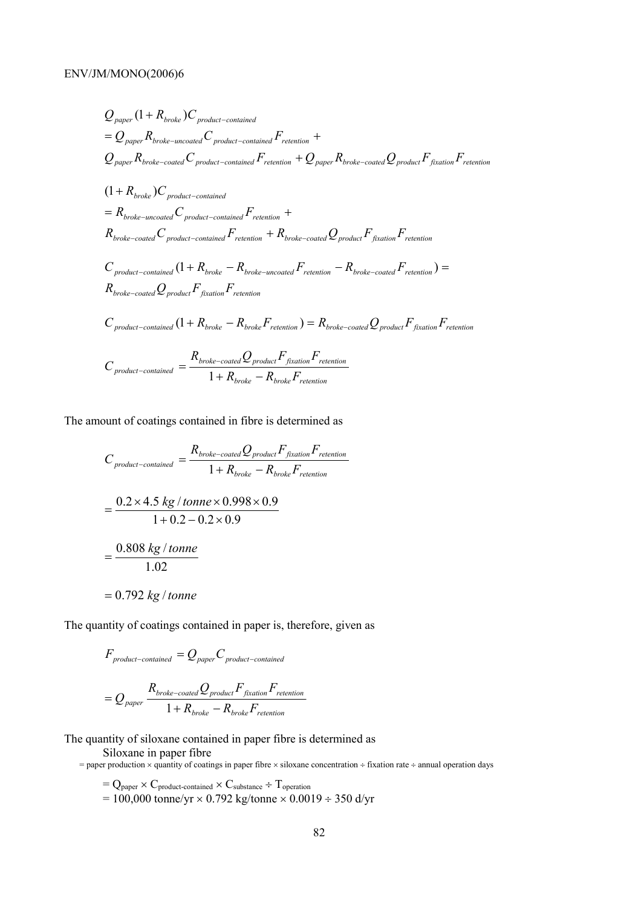$$
Q_{paper} (1 + R_{broken}) C_{product-contained}
$$
  
\n
$$
= Q_{paper} R_{broken-uncoded} C_{product-contained} F_{retention} +
$$
  
\n
$$
Q_{paper} R_{broken-coated} C_{product-contained} F_{retention} + Q_{paper} R_{broken-coated} Q_{product} F_{fixation} F_{retention}
$$
  
\n
$$
(1 + R_{broken}) C_{product-contained}
$$
  
\n
$$
= R_{broken-uncated} C_{product-contained} F_{retention} +
$$
  
\n
$$
R_{broken-coated} C_{product-contained} F_{retention} + R_{broken-coated} Q_{product} F_{fixation} F_{retention}
$$
  
\n
$$
C_{product-contained} (1 + R_{broken} - R_{broken-uncated} F_{retention} - R_{broken-coated} F_{retention}) =
$$
  
\n
$$
R_{broken-coated} Q_{product} F_{fixation} F_{retention}
$$
  
\n
$$
C_{product-contained} (1 + R_{broken} - R_{broken} F_{retention}) = R_{broken-coated} Q_{product} F_{fixation} F_{retention}
$$
  
\n
$$
C_{product-contained} (1 + R_{broken} - R_{broken} F_{retention}) = R_{broken-coated} Q_{product} F_{fixation} F_{retention}
$$
  
\n
$$
C_{product-contained} = \frac{R_{broken-coated} Q_{product} F_{fixation} F_{retention}}{1 + R_{broken} - R_{broken} F_{retention}}
$$

The amount of coatings contained in fibre is determined as

$$
C_{product-contained} = \frac{R_{broken-coated}Q_{product}F_{fixation}F_{retention}}{1 + R_{broken} - R_{broken}F_{retention}}
$$

$$
= \frac{0.2 \times 4.5 \text{ kg} / tonne \times 0.998 \times 0.9}{1 + 0.2 - 0.2 \times 0.9}
$$

$$
= \frac{0.808 \text{ kg} / tonne}{1.02}
$$

$$
= 0.792 \text{ kg} / tonne
$$

The quantity of coatings contained in paper is, therefore, given as

$$
F_{product-contained} = Q_{paper}C_{product-contained}
$$

$$
= Q_{paper} \frac{R_{broken-coated}Q_{product}F_{fixation}F_{retenition}}{1 + R_{broken} - R_{broken}F_{retenition}}
$$

The quantity of siloxane contained in paper fibre is determined as

Siloxane in paper fibre

= paper production  $\times$  quantity of coatings in paper fibre  $\times$  siloxane concentration ÷ fixation rate ÷ annual operation days

 $=$  Q<sub>paper</sub>  $\times$  C<sub>product-contained</sub>  $\times$  C<sub>substance</sub> ÷ T<sub>operation</sub>  $= 100,000$  tonne/yr  $\times 0.792$  kg/tonne  $\times 0.0019 \div 350$  d/yr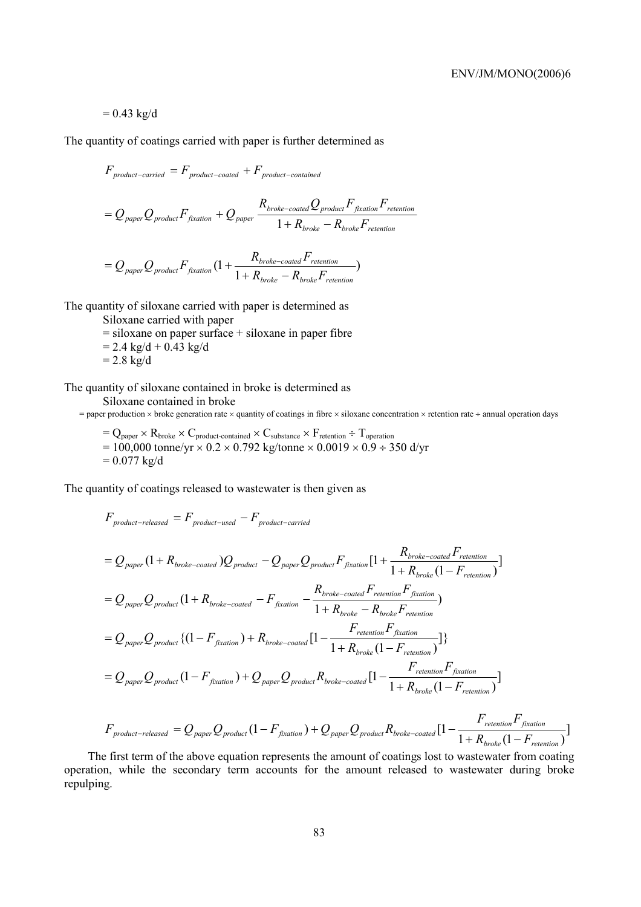# $= 0.43$  kg/d

The quantity of coatings carried with paper is further determined as

$$
F_{product-carried} = F_{product-coated} + F_{product-contained}
$$
\n
$$
= Q_{paper}Q_{product}F_{fixation} + Q_{paper} \frac{R_{broken-coated}Q_{product}F_{fixation}F_{retenition}}{1 + R_{broken} - R_{broken}F_{retenition}}
$$
\n
$$
= Q_{paper}Q_{product}F_{fixation}(1 + \frac{R_{broken-coated}F_{retenition}}{1 + R_{broken}- R_{broken}F_{retenition}})
$$

The quantity of siloxane carried with paper is determined as

Siloxane carried with paper

 $=$  siloxane on paper surface  $+$  siloxane in paper fibre

 $= 2.4 \text{ kg/d} + 0.43 \text{ kg/d}$ 

 $= 2.8 \text{ kg/d}$ 

The quantity of siloxane contained in broke is determined as

Siloxane contained in broke

= paper production  $\times$  broke generation rate  $\times$  quantity of coatings in fibre  $\times$  siloxane concentration  $\times$  retention rate ÷ annual operation days

$$
= Q_{paper} \times R_{broken} \times C_{product\text{-}contained} \times C_{substrace} \times F_{retention} \div T_{operation} = 100,000 tonne/yr \times 0.2 \times 0.792 kg/tonne \times 0.0019 \times 0.9 \div 350 d/yr = 0.077 kg/d
$$

The quantity of coatings released to wastewater is then given as

$$
F_{product-released} = F_{product-used} - F_{product-carried}
$$
\n
$$
= Q_{paper} (1 + R_{broken-coated}) Q_{product} - Q_{paper} Q_{product} F_{fixation} [1 + \frac{R_{broken-coated} F_{retenition}}{1 + R_{broken-to-odd} F_{relation}}]
$$
\n
$$
= Q_{paper} Q_{product} (1 + R_{broken-coated} - F_{fixation} - \frac{R_{broken-coated} F_{retenition} F_{fixation}}{1 + R_{broken-to-odd} F_{retenition}}
$$
\n
$$
= Q_{paper} Q_{product} \{ (1 - F_{fixation}) + R_{broken-coated} [1 - \frac{F_{retenition} F_{fixation}}{1 + R_{broken}(1 - F_{retenion})} ] \}
$$
\n
$$
= Q_{paper} Q_{product} (1 - F_{fixation}) + Q_{paper} Q_{product} R_{broken-coated} [1 - \frac{F_{retenition} F_{fixation}}{1 + R_{broken}(1 - F_{retenition})}]
$$
\n
$$
= Q_{paper} Q_{product} (1 - F_{fixation}) + Q_{paper} Q_{product} R_{broken-coated} [1 - \frac{F_{retenition} F_{fixation}}{1 + R_{broken}(1 - F_{retenion})}]
$$

$$
F_{\text{product-released}} = Q_{\text{paper}} Q_{\text{product}} (1 - F_{\text{fraction}}) + Q_{\text{paper}} Q_{\text{product}} R_{\text{broken-coated}} [1 - \frac{F_{\text{retenition}} F_{\text{fraction}}}{1 + R_{\text{broken}} (1 - F_{\text{retenition}})}]
$$

The first term of the above equation represents the amount of coatings lost to wastewater from coating operation, while the secondary term accounts for the amount released to wastewater during broke repulping.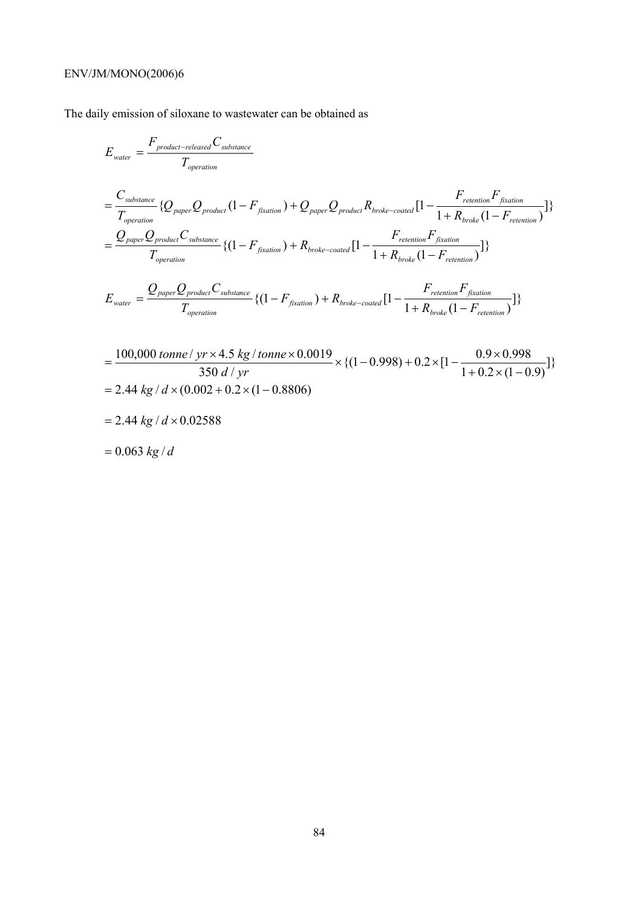# ENV/JM/MONO(2006)6

The daily emission of siloxane to wastewater can be obtained as

$$
E_{\text{water}} = \frac{F_{\text{product-release}} C_{\text{substr}}}{T_{\text{operation}}}
$$
\n
$$
= \frac{C_{\text{substr}}}{T_{\text{operation}}}
$$
\n
$$
\{Q_{\text{paper}} Q_{\text{product}} (1 - F_{\text{fixation}}) + Q_{\text{paper}} Q_{\text{product}} R_{\text{broken-coated}} [1 - \frac{F_{\text{reention}} F_{\text{fixation}}}{1 + R_{\text{broken}} (1 - F_{\text{retenation}})}]\}
$$
\n
$$
= \frac{Q_{\text{paper}} Q_{\text{product}} C_{\text{substr}} C_{\text{substr}}}{T_{\text{operation}}}
$$
\n
$$
\{ (1 - F_{\text{fixation}}) + R_{\text{broken-coated}} [1 - \frac{F_{\text{retenation}} F_{\text{fixation}}}{1 + R_{\text{broken}} (1 - F_{\text{retenation}})}]\}
$$
\n
$$
E_{\text{water}} = \frac{Q_{\text{paper}} Q_{\text{product}} C_{\text{substr}} C_{\text{substr}}}{T_{\text{operation}}}
$$
\n
$$
\{ (1 - F_{\text{fixation}}) + R_{\text{broken-coated}} [1 - \frac{F_{\text{retenation}} F_{\text{fixation}}}{1 + R_{\text{broken}} (1 - F_{\text{retenation}})}]\}
$$

$$
=\frac{100,000 \text{ tonne} / \text{ yr} \times 4.5 \text{ kg} / \text{tonne} \times 0.0019}{350 \text{ d} / \text{ yr}} \times \{ (1 - 0.998) + 0.2 \times [1 - \frac{0.9 \times 0.998}{1 + 0.2 \times (1 - 0.9)}] \}
$$
  
= 2.44 kg / d × (0.002 + 0.2 × (1 - 0.8806)

 $= 2.44 kg / d \times 0.02588$ 

$$
= 0.063 kg/d
$$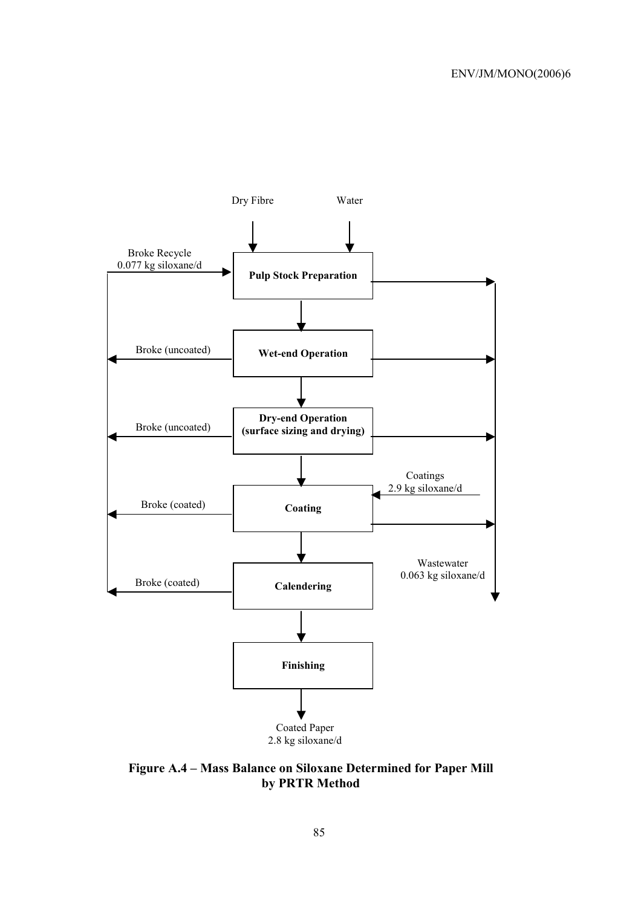

**Figure A.4 – Mass Balance on Siloxane Determined for Paper Mill by PRTR Method**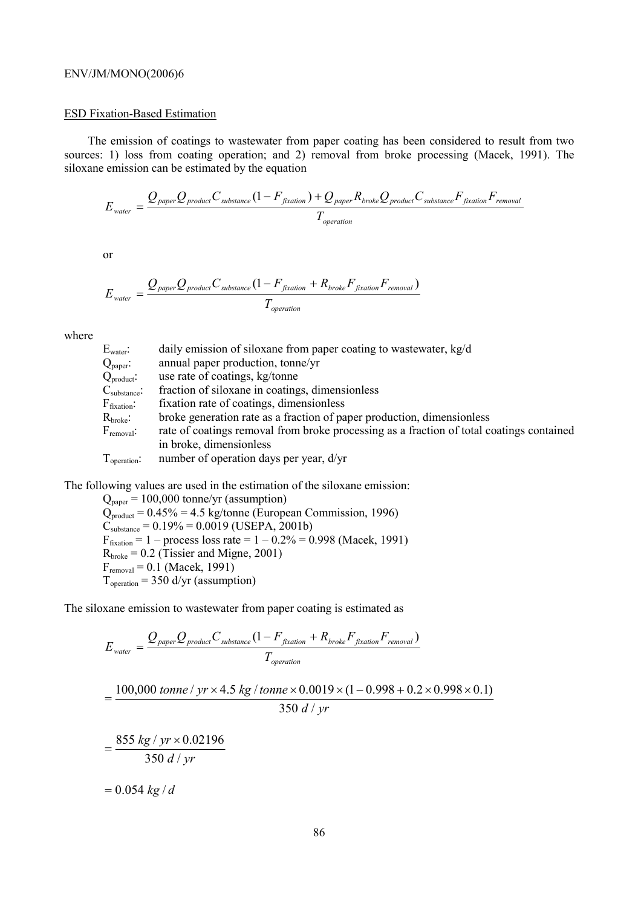### ENV/JM/MONO(2006)6

### ESD Fixation-Based Estimation

The emission of coatings to wastewater from paper coating has been considered to result from two sources: 1) loss from coating operation; and 2) removal from broke processing (Macek, 1991). The siloxane emission can be estimated by the equation

$$
E_{\text{water}} = \frac{Q_{\text{paper}}Q_{\text{product}}C_{\text{substrace}}(1 - F_{\text{fixation}}) + Q_{\text{paper}}R_{\text{broken}}Q_{\text{product}}C_{\text{substrace}}F_{\text{fixation}}F_{\text{removal}}}{T_{\text{operation}}}
$$

or

$$
E_{\text{water}} = \frac{Q_{\text{paper}} Q_{\text{product}} C_{\text{substrance}} (1 - F_{\text{fixation}} + R_{\text{broken}} F_{\text{fixation}} F_{\text{removal}})}{T_{\text{operation}}}
$$

where

| $E_{\text{water}}$ :     | daily emission of siloxane from paper coating to wastewater, kg/d                        |
|--------------------------|------------------------------------------------------------------------------------------|
| $Q_{\text{paper}}$ :     | annual paper production, tonne/yr                                                        |
| $Q_{product}$ :          | use rate of coatings, kg/tonne                                                           |
| $C_{\text{substance}}$ : | fraction of siloxane in coatings, dimensionless                                          |
| $F_{\text{fixation}}$ :  | fixation rate of coatings, dimensionless                                                 |
| $R_{\rm broke}$ :        | broke generation rate as a fraction of paper production, dimensionless                   |
| $F_{\text{removal}}$ :   | rate of coatings removal from broke processing as a fraction of total coatings contained |
|                          | in broke, dimensionless                                                                  |
| $T_{operation}$ :        | number of operation days per year, d/yr                                                  |

The following values are used in the estimation of the siloxane emission:

 $Q_{paper} = 100,000$  tonne/yr (assumption)  $Q_{product} = 0.45\% = 4.5$  kg/tonne (European Commission, 1996)  $C_{\text{substance}} = 0.19\% = 0.0019 \text{ (USEPA, 2001b)}$  $F_{\text{fixation}} = 1 - \text{process loss rate} = 1 - 0.2\% = 0.998 \text{ (Macek, 1991)}$  $R_{\text{broken}} = 0.2$  (Tissier and Migne, 2001)  $F_{\text{removal}} = 0.1 \text{ (Macek, 1991)}$  $T_{operation} = 350$  d/yr (assumption)

The siloxane emission to wastewater from paper coating is estimated as

$$
E_{\text{water}} = \frac{Q_{\text{paper}} Q_{\text{product}} C_{\text{substr}} (1 - F_{\text{fixation}} + R_{\text{broken}} F_{\text{fixation}} F_{\text{removal}})}{T_{\text{operation}}}
$$
  
= 
$$
\frac{100,000 \text{ tonne} / yr \times 4.5 \text{ kg} / \text{tonne} \times 0.0019 \times (1 - 0.998 + 0.2 \times 0.998 \times 0.1)}{350 \text{ d} / yr}
$$
  
= 
$$
\frac{855 \text{ kg} / yr \times 0.02196}{350 \text{ d} / yr}
$$
  
= 0.054 kg / d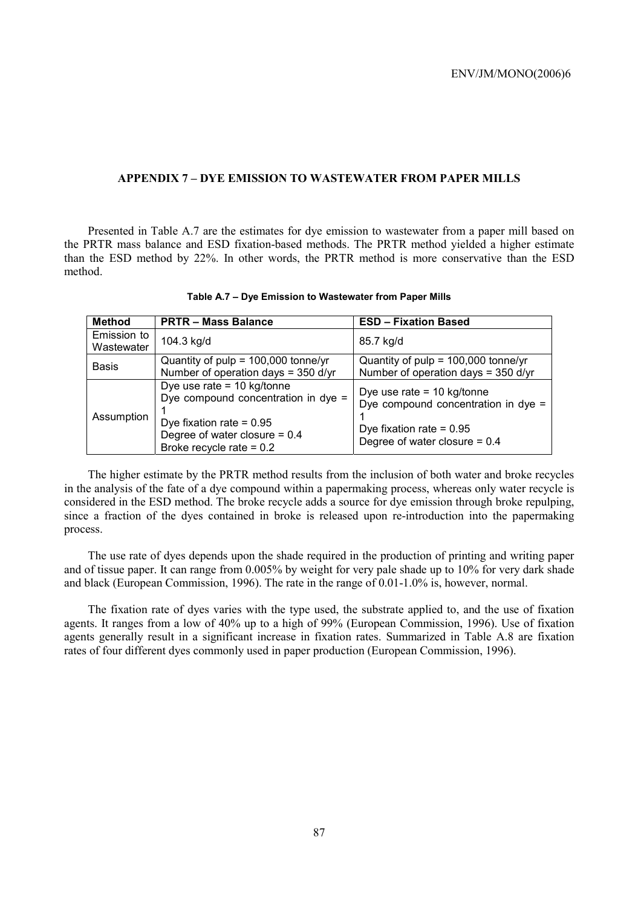### **APPENDIX 7 – DYE EMISSION TO WASTEWATER FROM PAPER MILLS**

Presented in Table A.7 are the estimates for dye emission to wastewater from a paper mill based on the PRTR mass balance and ESD fixation-based methods. The PRTR method yielded a higher estimate than the ESD method by 22%. In other words, the PRTR method is more conservative than the ESD method.

| <b>Method</b> | <b>PRTR-Mass Balance</b>                                                                                                                                           | <b>ESD - Fixation Based</b>                                                                                                          |  |
|---------------|--------------------------------------------------------------------------------------------------------------------------------------------------------------------|--------------------------------------------------------------------------------------------------------------------------------------|--|
| Emission to   | 104.3 kg/d                                                                                                                                                         |                                                                                                                                      |  |
| Wastewater    |                                                                                                                                                                    | 85.7 kg/d                                                                                                                            |  |
| <b>Basis</b>  | Quantity of $pulp = 100,000 tonne/yr$                                                                                                                              | Quantity of $pulp = 100,000 tonne/yr$                                                                                                |  |
|               | Number of operation days = 350 d/yr                                                                                                                                | Number of operation days = $350$ d/yr                                                                                                |  |
| Assumption    | Dye use rate = $10$ kg/tonne<br>Dye compound concentration in dye =<br>Dye fixation rate = $0.95$<br>Degree of water closure = $0.4$<br>Broke recycle rate = $0.2$ | Dye use rate = $10$ kg/tonne<br>Dye compound concentration in dye =<br>Dye fixation rate = $0.95$<br>Degree of water closure = $0.4$ |  |

**Table A.7 – Dye Emission to Wastewater from Paper Mills** 

The higher estimate by the PRTR method results from the inclusion of both water and broke recycles in the analysis of the fate of a dye compound within a papermaking process, whereas only water recycle is considered in the ESD method. The broke recycle adds a source for dye emission through broke repulping, since a fraction of the dyes contained in broke is released upon re-introduction into the papermaking process.

The use rate of dyes depends upon the shade required in the production of printing and writing paper and of tissue paper. It can range from 0.005% by weight for very pale shade up to 10% for very dark shade and black (European Commission, 1996). The rate in the range of 0.01-1.0% is, however, normal.

The fixation rate of dyes varies with the type used, the substrate applied to, and the use of fixation agents. It ranges from a low of 40% up to a high of 99% (European Commission, 1996). Use of fixation agents generally result in a significant increase in fixation rates. Summarized in Table A.8 are fixation rates of four different dyes commonly used in paper production (European Commission, 1996).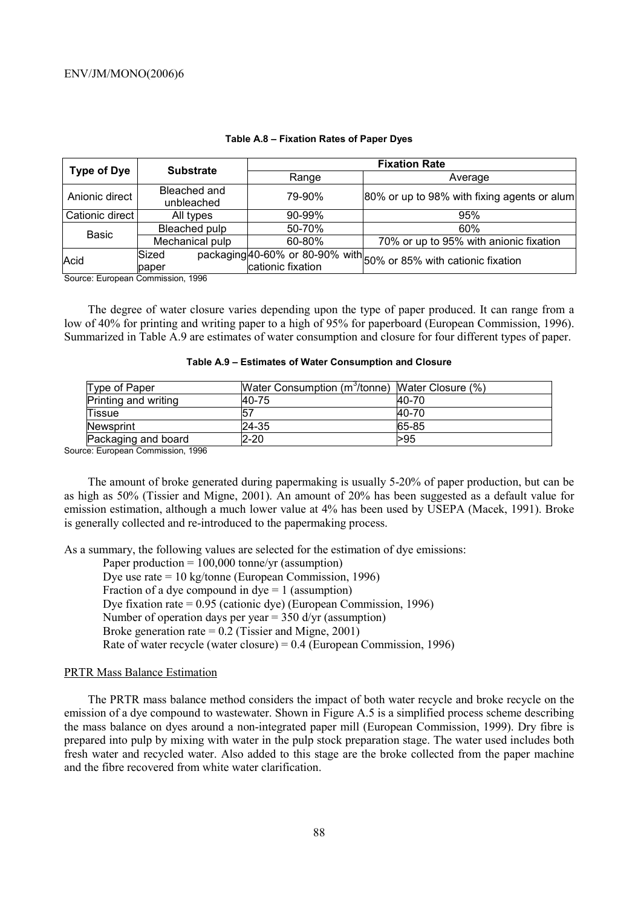| <b>Type of Dye</b> | <b>Substrate</b>           | <b>Fixation Rate</b> |                                                                   |  |
|--------------------|----------------------------|----------------------|-------------------------------------------------------------------|--|
|                    |                            | Range                | Average                                                           |  |
| Anionic direct     | Bleached and<br>unbleached | 79-90%               | 80% or up to 98% with fixing agents or alum                       |  |
| Cationic direct    | All types                  | $90 - 99\%$          | 95%                                                               |  |
| Basic              | Bleached pulp              | 50-70%               | 60%                                                               |  |
|                    | Mechanical pulp            | 60-80%               | 70% or up to 95% with anionic fixation                            |  |
| Acid               | Sized                      |                      | packaging 40-60% or 80-90% with 50% or 85% with cationic fixation |  |
|                    | paper                      | cationic fixation    |                                                                   |  |

#### **Table A.8 – Fixation Rates of Paper Dyes**

Source: European Commission, 1996

The degree of water closure varies depending upon the type of paper produced. It can range from a low of 40% for printing and writing paper to a high of 95% for paperboard (European Commission, 1996). Summarized in Table A.9 are estimates of water consumption and closure for four different types of paper.

| Table A.9 - Estimates of Water Consumption and Closure |  |  |  |
|--------------------------------------------------------|--|--|--|
|--------------------------------------------------------|--|--|--|

| Water Consumption (m <sup>3</sup> /tonne) Water Closure (%) |         |
|-------------------------------------------------------------|---------|
| 40-75                                                       | $40-70$ |
| 157                                                         | 40-70   |
| 24-35                                                       | 65-85   |
| $2 - 20$                                                    | >95     |
|                                                             |         |

Source: European Commission, 1996

The amount of broke generated during papermaking is usually 5-20% of paper production, but can be as high as 50% (Tissier and Migne, 2001). An amount of 20% has been suggested as a default value for emission estimation, although a much lower value at 4% has been used by USEPA (Macek, 1991). Broke is generally collected and re-introduced to the papermaking process.

As a summary, the following values are selected for the estimation of dye emissions:

Paper production  $= 100,000$  tonne/yr (assumption)

Dye use rate = 10 kg/tonne (European Commission, 1996)

Fraction of a dye compound in  $dye = 1$  (assumption)

Dye fixation rate = 0.95 (cationic dye) (European Commission, 1996)

Number of operation days per year = 350 d/yr (assumption)

Broke generation rate =  $0.2$  (Tissier and Migne, 2001)

Rate of water recycle (water closure) = 0.4 (European Commission, 1996)

### PRTR Mass Balance Estimation

The PRTR mass balance method considers the impact of both water recycle and broke recycle on the emission of a dye compound to wastewater. Shown in Figure A.5 is a simplified process scheme describing the mass balance on dyes around a non-integrated paper mill (European Commission, 1999). Dry fibre is prepared into pulp by mixing with water in the pulp stock preparation stage. The water used includes both fresh water and recycled water. Also added to this stage are the broke collected from the paper machine and the fibre recovered from white water clarification.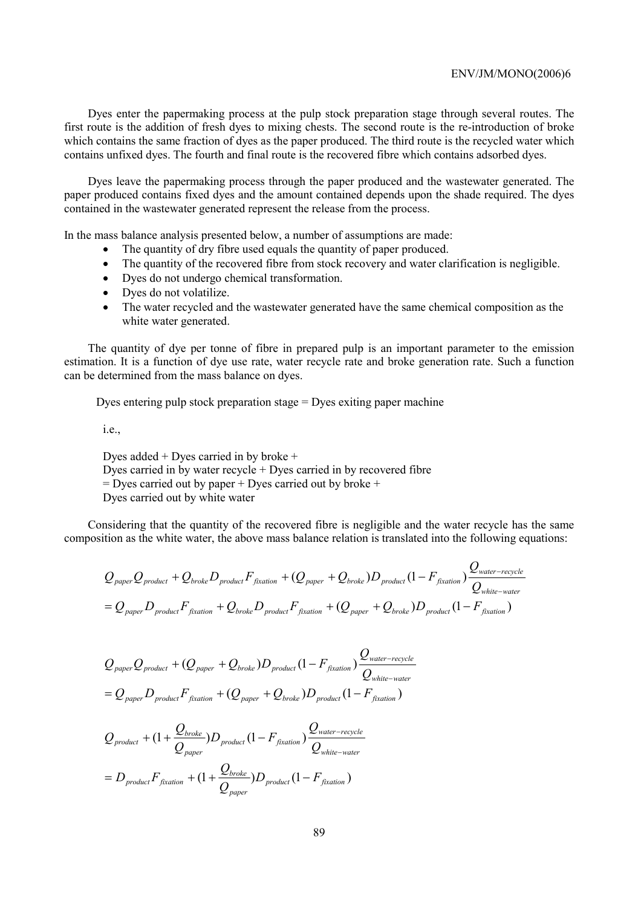Dyes enter the papermaking process at the pulp stock preparation stage through several routes. The first route is the addition of fresh dyes to mixing chests. The second route is the re-introduction of broke which contains the same fraction of dyes as the paper produced. The third route is the recycled water which contains unfixed dyes. The fourth and final route is the recovered fibre which contains adsorbed dyes.

Dyes leave the papermaking process through the paper produced and the wastewater generated. The paper produced contains fixed dyes and the amount contained depends upon the shade required. The dyes contained in the wastewater generated represent the release from the process.

In the mass balance analysis presented below, a number of assumptions are made:

- The quantity of dry fibre used equals the quantity of paper produced.
- The quantity of the recovered fibre from stock recovery and water clarification is negligible.
- Dyes do not undergo chemical transformation.
- Dyes do not volatilize.
- The water recycled and the wastewater generated have the same chemical composition as the white water generated.

The quantity of dye per tonne of fibre in prepared pulp is an important parameter to the emission estimation. It is a function of dye use rate, water recycle rate and broke generation rate. Such a function can be determined from the mass balance on dyes.

Dyes entering pulp stock preparation stage = Dyes exiting paper machine

i.e.,

Dyes added + Dyes carried in by broke +

Dyes carried in by water recycle + Dyes carried in by recovered fibre

 $=$  Dyes carried out by paper  $+$  Dyes carried out by broke  $+$ 

Dyes carried out by white water

Considering that the quantity of the recovered fibre is negligible and the water recycle has the same composition as the white water, the above mass balance relation is translated into the following equations:

$$
Q_{paper}Q_{product} + Q_{broken}D_{product}F_{fixation} + (Q_{paper} + Q_{broken})D_{product}(1 - F_{fixation})\frac{Q_{water-recycle}}{Q_{white-water}}
$$

$$
= Q_{paper}D_{product}F_{fixation} + Q_{broken}D_{product}F_{fixation} + (Q_{paper} + Q_{broken})D_{product}(1 - F_{fixation})
$$

$$
Q_{paper}Q_{product} + (Q_{paper} + Q_{broken})D_{product}(1 - F_{fixation})\frac{Q_{water-recycle}}{Q_{white-water}}
$$

$$
= Q_{paper}D_{product}F_{fixation} + (Q_{paper} + Q_{broken})D_{product}(1 - F_{fixation})
$$

$$
Q_{product} + (1 + \frac{Q_{broken}}{Q_{paper}})D_{product} (1 - F_{fixation}) \frac{Q_{water-recycle}}{Q_{white-water}}
$$

$$
= D_{product} F_{fixation} + (1 + \frac{Q_{broken}}{Q_{paper}})D_{product} (1 - F_{fixation})
$$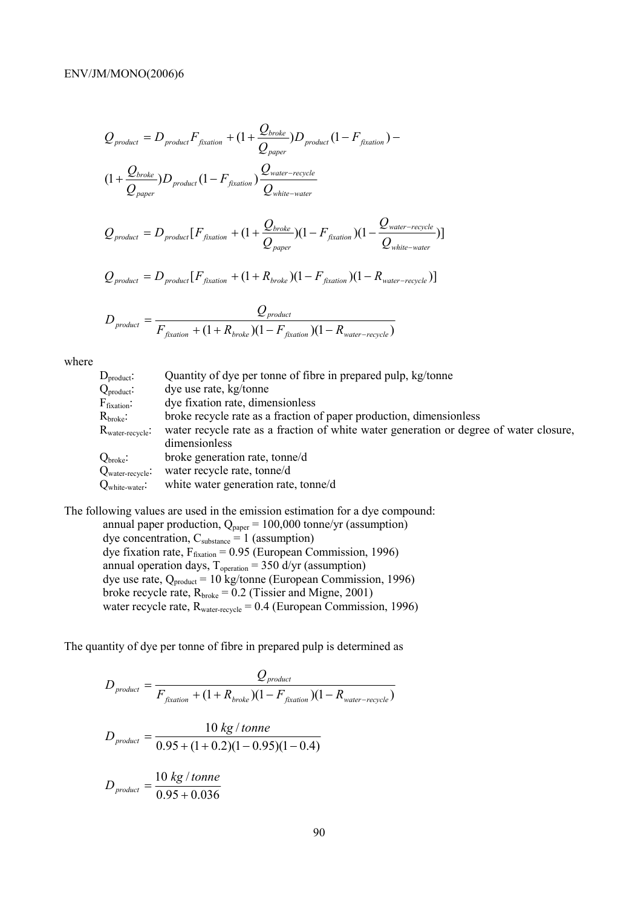$$
Q_{product} = D_{product}F_{fixation} + (1 + \frac{Q_{broken}}{Q_{paper}})D_{product} (1 - F_{fixation}) -
$$
  

$$
(1 + \frac{Q_{broken}}{Q_{paper}})D_{product} (1 - F_{fixation}) \frac{Q_{water-recycle}}{Q_{white-water}}
$$
  

$$
Q_{product} = D_{product} [F_{fixation} + (1 + \frac{Q_{broken}}{Q_{paper}})(1 - F_{fixation}) (1 - \frac{Q_{water-recycle}}{Q_{white-wave}})]
$$

$$
Q_{\text{product}} = D_{\text{product}}[F_{\text{fixation}} + (1 + R_{\text{broken}})(1 - F_{\text{fixation}})(1 - R_{\text{water-recycle}})]
$$

$$
D_{\text{product}} = \frac{Q_{\text{product}}}{F_{\text{fixation}} + (1 + R_{\text{broken}})(1 - F_{\text{fixation}})(1 - R_{\text{water-recycle}})}
$$

where

| $D_{product}$ :                      | Quantity of dye per tonne of fibre in prepared pulp, kg/tonne                          |
|--------------------------------------|----------------------------------------------------------------------------------------|
| $Q_{product}$ :                      | dye use rate, kg/tonne                                                                 |
| $\rm F_{fixation}$ :                 | dye fixation rate, dimensionless                                                       |
| $\rm R_{broke}\!\!:$                 | broke recycle rate as a fraction of paper production, dimensionless                    |
| $R_{\text{water-recycle}}$           | water recycle rate as a fraction of white water generation or degree of water closure, |
|                                      | dimensionless                                                                          |
| $\operatorname{Q}_{\text{broken}}$ : | broke generation rate, tonne/d                                                         |
| $Q_{\text{water-recycle}}$ :         | water recycle rate, tonne/d                                                            |
| $Q_{white\text{-}water}$ :           | white water generation rate, tonne/d                                                   |
|                                      |                                                                                        |

The following values are used in the emission estimation for a dye compound: annual paper production,  $Q_{\text{paper}} = 100,000$  tonne/yr (assumption) dye concentration,  $C_{\text{substance}} = 1$  (assumption) dye fixation rate,  $F_{fixation} = 0.95$  (European Commission, 1996) annual operation days,  $T_{operation} = 350$  d/yr (assumption) dye use rate,  $Q_{product} = 10$  kg/tonne (European Commission, 1996) broke recycle rate,  $R_{\text{broken}} = 0.2$  (Tissier and Migne, 2001) water recycle rate,  $R_{water\text{-recycle}} = 0.4$  (European Commission, 1996)

The quantity of dye per tonne of fibre in prepared pulp is determined as

$$
D_{product} = \frac{Q_{product}}{F_{fixedion} + (1 + R_{broken})(1 - F_{fixation})(1 - R_{water-recycle})}
$$
  

$$
D_{product} = \frac{10 \text{ kg}/tonne}{0.95 + (1 + 0.2)(1 - 0.95)(1 - 0.4)}
$$
  

$$
D_{product} = \frac{10 \text{ kg}/tonne}{0.95 + 0.036}
$$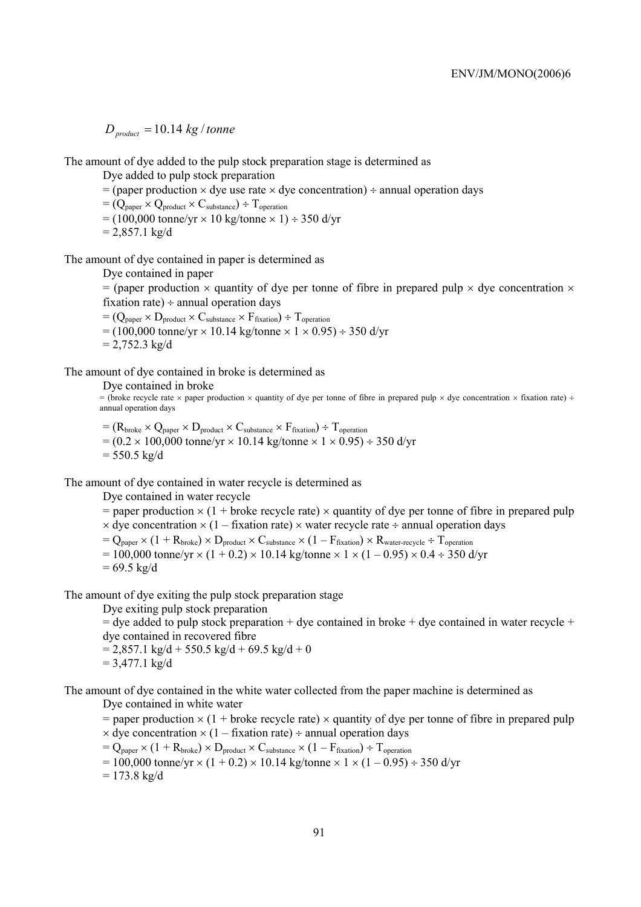$D_{product} = 10.14$  kg / tonne

The amount of dye added to the pulp stock preparation stage is determined as

Dye added to pulp stock preparation

 $=$  (paper production  $\times$  dye use rate  $\times$  dye concentration)  $\div$  annual operation days

 $=(Q_{\text{paper}} \times Q_{\text{product}} \times C_{\text{substance}}) \div T_{\text{operation}}$ 

 $= (100,000 \text{ tonne/yr} \times 10 \text{ kg/tonne} \times 1) \div 350 \text{ d/yr}$  $= 2.857.1$  kg/d

The amount of dye contained in paper is determined as

Dye contained in paper

= (paper production  $\times$  quantity of dye per tonne of fibre in prepared pulp  $\times$  dye concentration  $\times$ fixation rate)  $\div$  annual operation days

 $=(Q_{\text{paper}} \times D_{\text{product}} \times C_{\text{substr}} \times F_{\text{fixation}}) \div T_{\text{operation}}$  $= (100,000 \text{ tonne/yr} \times 10.14 \text{ kg/tonne} \times 1 \times 0.95) \div 350 \text{ d/yr}$  $= 2,752.3 \text{ kg/d}$ 

The amount of dye contained in broke is determined as

Dye contained in broke

= (broke recycle rate × paper production × quantity of dye per tonne of fibre in prepared pulp × dye concentration × fixation rate) ÷ annual operation days

 $=(R_{\text{broken}} \times Q_{\text{paper}} \times D_{\text{product}} \times C_{\text{substance}} \times F_{\text{fixation}}) \div T_{\text{operation}}$  $= (0.2 \times 100,000 \text{ tonne/yr} \times 10.14 \text{ kg/tonne} \times 1 \times 0.95) \div 350 \text{ d/yr}$  $= 550.5 \text{ kg/d}$ 

The amount of dye contained in water recycle is determined as

Dye contained in water recycle

 $=$  paper production  $\times$  (1 + broke recycle rate)  $\times$  quantity of dye per tonne of fibre in prepared pulp  $\times$  dye concentration  $\times$  (1 – fixation rate)  $\times$  water recycle rate ÷ annual operation days

 $=$   $Q_{\text{paper}} \times (1 + R_{\text{broken}}) \times D_{\text{product}} \times C_{\text{substrface}} \times (1 - F_{\text{fixation}}) \times R_{\text{water-recycle}} \div T_{\text{operation}}$ 

 $= 100,000$  tonne/yr  $\times$  (1 + 0.2)  $\times$  10.14 kg/tonne  $\times$  1  $\times$  (1 – 0.95)  $\times$  0.4 ÷ 350 d/yr

 $= 69.5 \text{ kg/d}$ 

The amount of dye exiting the pulp stock preparation stage

Dye exiting pulp stock preparation

 $=$  dye added to pulp stock preparation  $+$  dye contained in broke  $+$  dye contained in water recycle  $+$ dye contained in recovered fibre

 $= 2,857.1 \text{ kg/d} + 550.5 \text{ kg/d} + 69.5 \text{ kg/d} + 0$  $= 3,477.1 \text{ kg/d}$ 

The amount of dye contained in the white water collected from the paper machine is determined as

Dye contained in white water

 $=$  paper production  $\times$  (1 + broke recycle rate)  $\times$  quantity of dye per tonne of fibre in prepared pulp  $\times$  dye concentration  $\times$  (1 – fixation rate) ÷ annual operation days

 $= Q_{\text{paper}} \times (1 + R_{\text{broken}}) \times D_{\text{product}} \times C_{\text{substance}} \times (1 - F_{\text{fixation}}) \div T_{\text{operation}}$ 

 $= 100,000$  tonne/yr  $\times$  (1 + 0.2)  $\times$  10.14 kg/tonne  $\times$  1  $\times$  (1 – 0.95) ÷ 350 d/yr

 $= 173.8 \text{ kg/d}$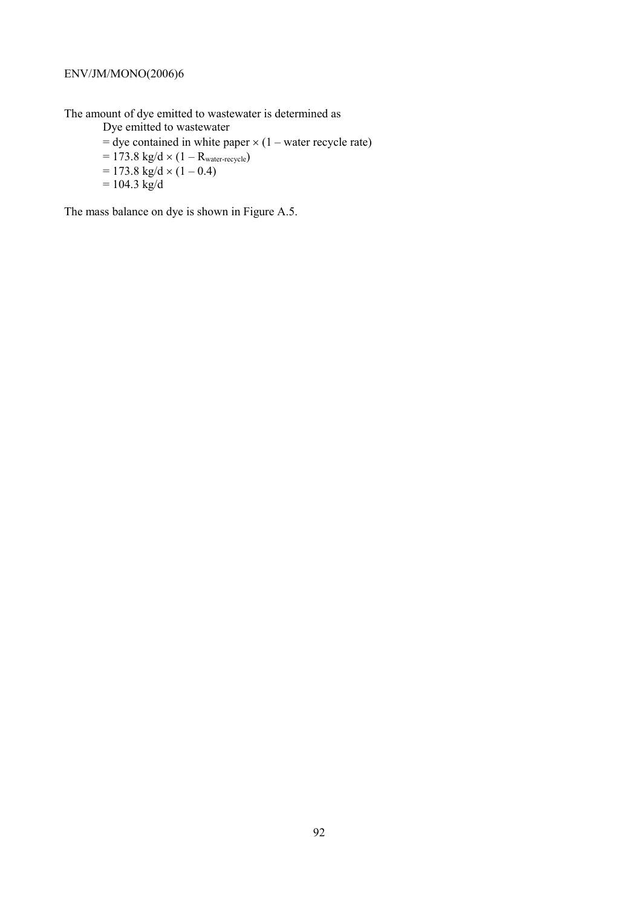The amount of dye emitted to wastewater is determined as

Dye emitted to wastewater

- $=$  dye contained in white paper  $\times$  (1 water recycle rate)
- $= 173.8 \text{ kg/d} \times (1 R_{\text{water-recycle}})$  $= 173.8 \text{ kg/d} \times (1 - 0.4)$
- $= 104.3 \text{ kg/d}$

The mass balance on dye is shown in Figure A.5.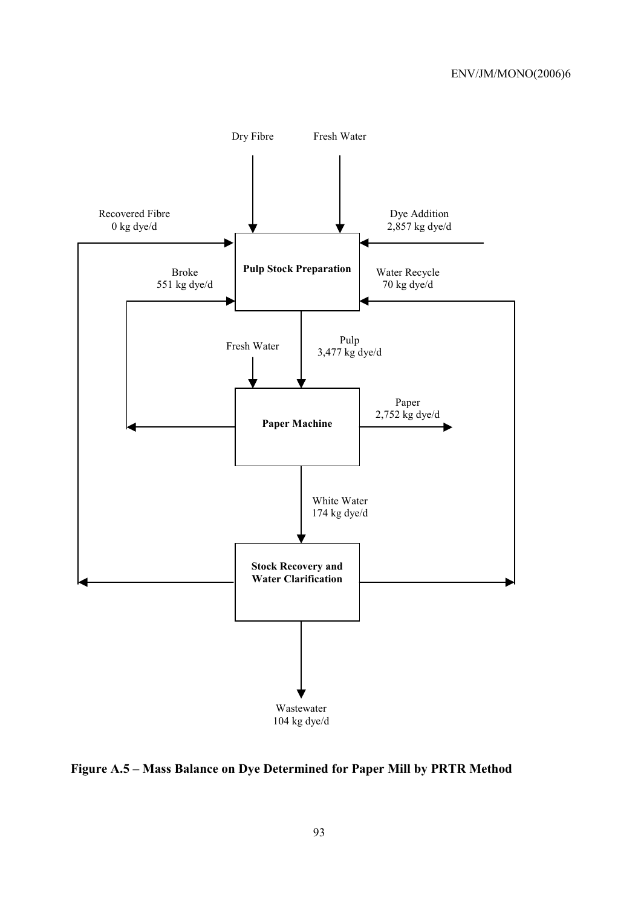

**Figure A.5 – Mass Balance on Dye Determined for Paper Mill by PRTR Method**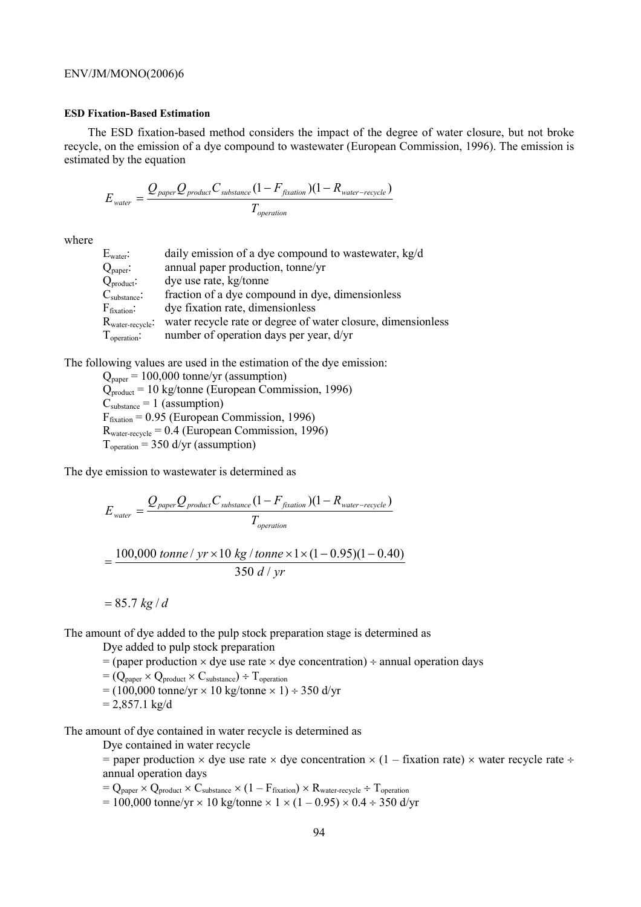### **ESD Fixation-Based Estimation**

The ESD fixation-based method considers the impact of the degree of water closure, but not broke recycle, on the emission of a dye compound to wastewater (European Commission, 1996). The emission is estimated by the equation

$$
E_{\text{water}} = \frac{Q_{\text{paper}} Q_{\text{product}} C_{\text{substrace}} (1 - F_{\text{fixation}})(1 - R_{\text{water-recycle}})}{T_{\text{operation}}}
$$

where

| $\mathrm{E}_{\mathrm{water}}$ :     | daily emission of a dye compound to wastewater, kg/d         |
|-------------------------------------|--------------------------------------------------------------|
| $Q_{\text{paper}}$ :                | annual paper production, tonne/yr                            |
| $Q_{product}$ :                     | dye use rate, kg/tonne                                       |
| $\mathrm{C}_{\mathrm{substance}}$ : | fraction of a dye compound in dye, dimensionless             |
| $F_{\text{fixation}}$ :             | dye fixation rate, dimensionless                             |
| $\rm R_{water\text{-}recycle}$ :    | water recycle rate or degree of water closure, dimensionless |
| $T_{\text{operation}}$ :            | number of operation days per year, d/yr                      |

The following values are used in the estimation of the dye emission:

 $Q_{\text{paper}} = 100,000$  tonne/yr (assumption) Qproduct = 10 kg/tonne (European Commission, 1996)  $C_{\text{substance}} = 1$  (assumption)  $F_{\text{fixation}} = 0.95$  (European Commission, 1996)  $R<sub>water-recycle</sub> = 0.4$  (European Commission, 1996)  $T_{operation} = 350$  d/yr (assumption)

The dye emission to wastewater is determined as

$$
E_{\text{water}} = \frac{Q_{\text{paper}} Q_{\text{product}} C_{\text{substance}} (1 - F_{\text{fixation}}) (1 - R_{\text{water-recycle}})}{T_{\text{operation}}}
$$

$$
= \frac{100,000 \text{ tonne} / yr \times 10 \text{ kg} / tonne \times 1 \times (1 - 0.95)(1 - 0.40)}{350 \text{ d} / yr}
$$

 $= 85.7 kg/d$ 

The amount of dye added to the pulp stock preparation stage is determined as

Dye added to pulp stock preparation

 $=$  (paper production  $\times$  dye use rate  $\times$  dye concentration)  $\div$  annual operation days

 $=(Q_{paper} \times Q_{product} \times C_{substr} \times T_{operation})$  $= (100,000 \text{ tonne/yr} \times 10 \text{ kg/tonne} \times 1) \div 350 \text{ d/yr}$  $= 2,857.1 \text{ kg/d}$ 

The amount of dye contained in water recycle is determined as

Dye contained in water recycle

= paper production  $\times$  dye use rate  $\times$  dye concentration  $\times$  (1 – fixation rate)  $\times$  water recycle rate ÷ annual operation days

 $=$  Q<sub>paper</sub>  $\times$  Q<sub>product</sub>  $\times$  C<sub>substance</sub>  $\times$  (1 – F<sub>fixation</sub>)  $\times$  R<sub>water-recycle</sub> ÷ T<sub>operation</sub>

 $= 100,000$  tonne/yr  $\times$  10 kg/tonne  $\times$  1  $\times$  (1 – 0.95)  $\times$  0.4 ÷ 350 d/yr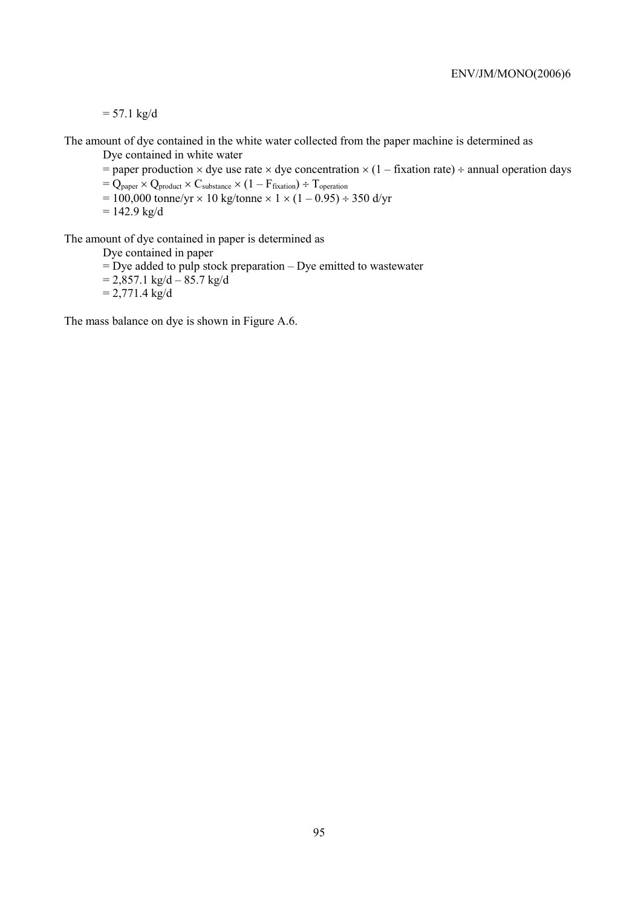$= 57.1 \text{ kg/d}$ 

The amount of dye contained in the white water collected from the paper machine is determined as Dye contained in white water

= paper production  $\times$  dye use rate  $\times$  dye concentration  $\times$  (1 – fixation rate) ÷ annual operation days

 $= Q_{\text{paper}} \times Q_{\text{product}} \times C_{\text{substr}} \times (1 - F_{\text{fixation}}) \div T_{\text{operation}}$ 

 $= 100,000$  tonne/yr  $\times$  10 kg/tonne  $\times$  1  $\times$  (1 – 0.95) ÷ 350 d/yr

 $= 142.9$  kg/d

The amount of dye contained in paper is determined as

Dye contained in paper

 $=$  Dye added to pulp stock preparation – Dye emitted to wastewater

 $= 2,857.1 \text{ kg/d} - 85.7 \text{ kg/d}$ 

 $= 2,771.4 \text{ kg/d}$ 

The mass balance on dye is shown in Figure A.6.